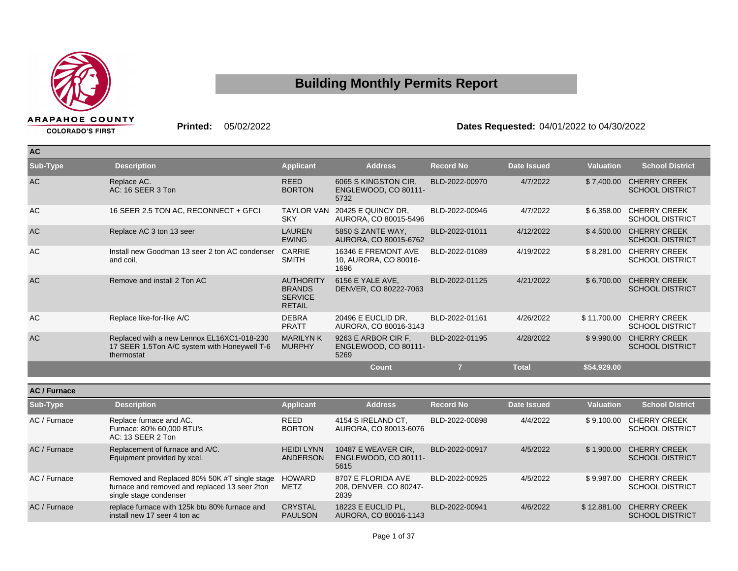

**AC**

## **Building Monthly Permits Report**

**COLORADO'S FIRST** 

**Printed:** 05/02/2022 **Dates Requested:** 04/01/2022 to 04/30/2022

| <b>AV</b> |                                                                                                          |                                                                      |                                                      |                  |                    |                  |                                               |
|-----------|----------------------------------------------------------------------------------------------------------|----------------------------------------------------------------------|------------------------------------------------------|------------------|--------------------|------------------|-----------------------------------------------|
| Sub-Type  | <b>Description</b>                                                                                       | <b>Applicant</b>                                                     | <b>Address</b>                                       | <b>Record No</b> | <b>Date Issued</b> | <b>Valuation</b> | <b>School District</b>                        |
| <b>AC</b> | Replace AC.<br>AC: 16 SEER 3 Ton                                                                         | <b>REED</b><br><b>BORTON</b>                                         | 6065 S KINGSTON CIR.<br>ENGLEWOOD, CO 80111-<br>5732 | BLD-2022-00970   | 4/7/2022           | \$7,400.00       | <b>CHERRY CREEK</b><br><b>SCHOOL DISTRICT</b> |
| <b>AC</b> | 16 SEER 2.5 TON AC, RECONNECT + GFCI                                                                     | <b>TAYLOR VAN</b><br><b>SKY</b>                                      | 20425 E QUINCY DR.<br>AURORA, CO 80015-5496          | BLD-2022-00946   | 4/7/2022           | \$6,358.00       | <b>CHERRY CREEK</b><br><b>SCHOOL DISTRICT</b> |
| <b>AC</b> | Replace AC 3 ton 13 seer                                                                                 | <b>LAUREN</b><br><b>EWING</b>                                        | 5850 S ZANTE WAY,<br>AURORA, CO 80015-6762           | BLD-2022-01011   | 4/12/2022          | \$4,500.00       | <b>CHERRY CREEK</b><br><b>SCHOOL DISTRICT</b> |
| <b>AC</b> | Install new Goodman 13 seer 2 ton AC condenser<br>and coil,                                              | <b>CARRIE</b><br><b>SMITH</b>                                        | 16346 E FREMONT AVE<br>10, AURORA, CO 80016-<br>1696 | BLD-2022-01089   | 4/19/2022          | \$8,281.00       | <b>CHERRY CREEK</b><br><b>SCHOOL DISTRICT</b> |
| <b>AC</b> | Remove and install 2 Ton AC                                                                              | <b>AUTHORITY</b><br><b>BRANDS</b><br><b>SERVICE</b><br><b>RETAIL</b> | 6156 E YALE AVE,<br>DENVER, CO 80222-7063            | BLD-2022-01125   | 4/21/2022          | \$6,700.00       | <b>CHERRY CREEK</b><br><b>SCHOOL DISTRICT</b> |
| AC        | Replace like-for-like A/C                                                                                | <b>DEBRA</b><br><b>PRATT</b>                                         | 20496 E EUCLID DR.<br>AURORA, CO 80016-3143          | BLD-2022-01161   | 4/26/2022          | \$11,700.00      | <b>CHERRY CREEK</b><br><b>SCHOOL DISTRICT</b> |
| <b>AC</b> | Replaced with a new Lennox EL16XC1-018-230<br>17 SEER 1.5Ton A/C system with Honeywell T-6<br>thermostat | <b>MARILYNK</b><br><b>MURPHY</b>                                     | 9263 E ARBOR CIR F.<br>ENGLEWOOD, CO 80111-<br>5269  | BLD-2022-01195   | 4/28/2022          | \$9,990.00       | <b>CHERRY CREEK</b><br><b>SCHOOL DISTRICT</b> |
|           |                                                                                                          |                                                                      | <b>Count</b>                                         | $\overline{7}$   | <b>Total</b>       | \$54,929.00      |                                               |

| <b>AC/Furnace</b> |                                                                                                                         |                                      |                                                      |                  |                    |                  |                                               |
|-------------------|-------------------------------------------------------------------------------------------------------------------------|--------------------------------------|------------------------------------------------------|------------------|--------------------|------------------|-----------------------------------------------|
| Sub-Type          | <b>Description</b>                                                                                                      | <b>Applicant</b>                     | <b>Address</b>                                       | <b>Record No</b> | <b>Date Issued</b> | <b>Valuation</b> | <b>School District</b>                        |
| AC / Furnace      | Replace furnace and AC.<br>Furnace: 80% 60,000 BTU's<br>AC: 13 SEER 2 Ton                                               | <b>REED</b><br><b>BORTON</b>         | 4154 S IRELAND CT,<br>AURORA, CO 80013-6076          | BLD-2022-00898   | 4/4/2022           | \$9.100.00       | <b>CHERRY CREEK</b><br><b>SCHOOL DISTRICT</b> |
| AC / Furnace      | Replacement of furnace and A/C.<br>Equipment provided by xcel.                                                          | <b>HEIDI LYNN</b><br><b>ANDERSON</b> | 10487 E WEAVER CIR.<br>ENGLEWOOD, CO 80111-<br>5615  | BLD-2022-00917   | 4/5/2022           | \$1.900.00       | <b>CHERRY CREEK</b><br><b>SCHOOL DISTRICT</b> |
| AC / Furnace      | Removed and Replaced 80% 50K #T single stage<br>furnace and removed and replaced 13 seer 2ton<br>single stage condenser | HOWARD<br><b>METZ</b>                | 8707 E FLORIDA AVE<br>208, DENVER, CO 80247-<br>2839 | BLD-2022-00925   | 4/5/2022           | \$9.987.00       | <b>CHERRY CREEK</b><br><b>SCHOOL DISTRICT</b> |
| AC / Furnace      | replace furnace with 125k btu 80% furnace and<br>install new 17 seer 4 ton ac                                           | <b>CRYSTAL</b><br><b>PAULSON</b>     | 18223 E EUCLID PL.<br>AURORA, CO 80016-1143          | BLD-2022-00941   | 4/6/2022           | \$12,881,00      | <b>CHERRY CREEK</b><br><b>SCHOOL DISTRICT</b> |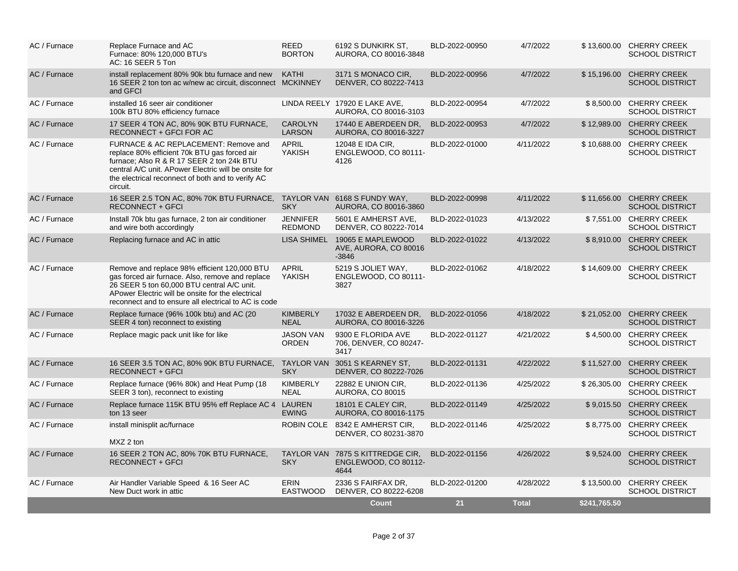| AC / Furnace | Replace Furnace and AC<br>Furnace: 80% 120,000 BTU's<br>AC: 16 SEER 5 Ton                                                                                                                                                                                   | REED<br><b>BORTON</b>             | 6192 S DUNKIRK ST,<br>AURORA, CO 80016-3848            | BLD-2022-00950 | 4/7/2022     |              | \$13,600.00 CHERRY CREEK<br><b>SCHOOL DISTRICT</b> |
|--------------|-------------------------------------------------------------------------------------------------------------------------------------------------------------------------------------------------------------------------------------------------------------|-----------------------------------|--------------------------------------------------------|----------------|--------------|--------------|----------------------------------------------------|
| AC / Furnace | install replacement 80% 90k btu furnace and new<br>16 SEER 2 ton ton ac w/new ac circuit, disconnect MCKINNEY<br>and GFCI                                                                                                                                   | KATHI                             | 3171 S MONACO CIR.<br>DENVER, CO 80222-7413            | BLD-2022-00956 | 4/7/2022     |              | \$15,196.00 CHERRY CREEK<br><b>SCHOOL DISTRICT</b> |
| AC / Furnace | installed 16 seer air conditioner<br>100k BTU 80% efficiency furnace                                                                                                                                                                                        |                                   | LINDA REELY 17920 E LAKE AVE,<br>AURORA, CO 80016-3103 | BLD-2022-00954 | 4/7/2022     |              | \$8,500.00 CHERRY CREEK<br><b>SCHOOL DISTRICT</b>  |
| AC / Furnace | 17 SEER 4 TON AC, 80% 90K BTU FURNACE,<br>RECONNECT + GFCI FOR AC                                                                                                                                                                                           | <b>CAROLYN</b><br><b>LARSON</b>   | 17440 E ABERDEEN DR.<br>AURORA, CO 80016-3227          | BLD-2022-00953 | 4/7/2022     |              | \$12,989.00 CHERRY CREEK<br><b>SCHOOL DISTRICT</b> |
| AC / Furnace | FURNACE & AC REPLACEMENT: Remove and<br>replace 80% efficient 70k BTU gas forced air<br>furnace; Also R & R 17 SEER 2 ton 24k BTU<br>central A/C unit. APower Electric will be onsite for<br>the electrical reconnect of both and to verify AC<br>circuit.  | <b>APRIL</b><br>YAKISH            | 12048 E IDA CIR,<br>ENGLEWOOD, CO 80111-<br>4126       | BLD-2022-01000 | 4/11/2022    |              | \$10,688.00 CHERRY CREEK<br><b>SCHOOL DISTRICT</b> |
| AC / Furnace | 16 SEER 2.5 TON AC, 80% 70K BTU FURNACE,<br><b>RECONNECT + GFCI</b>                                                                                                                                                                                         | <b>TAYLOR VAN</b><br><b>SKY</b>   | 6168 S FUNDY WAY,<br>AURORA, CO 80016-3860             | BLD-2022-00998 | 4/11/2022    |              | \$11,656,00 CHERRY CREEK<br><b>SCHOOL DISTRICT</b> |
| AC / Furnace | Install 70k btu gas furnace, 2 ton air conditioner<br>and wire both accordingly                                                                                                                                                                             | <b>JENNIFER</b><br><b>REDMOND</b> | 5601 E AMHERST AVE.<br>DENVER, CO 80222-7014           | BLD-2022-01023 | 4/13/2022    |              | \$7.551.00 CHERRY CREEK<br><b>SCHOOL DISTRICT</b>  |
| AC / Furnace | Replacing furnace and AC in attic                                                                                                                                                                                                                           | <b>LISA SHIMEL</b>                | 19065 E MAPLEWOOD<br>AVE, AURORA, CO 80016<br>$-3846$  | BLD-2022-01022 | 4/13/2022    |              | \$8,910.00 CHERRY CREEK<br><b>SCHOOL DISTRICT</b>  |
| AC / Furnace | Remove and replace 98% efficient 120,000 BTU<br>gas forced air furnace. Also, remove and replace<br>26 SEER 5 ton 60,000 BTU central A/C unit.<br>APower Electric will be onsite for the electrical<br>reconnect and to ensure all electrical to AC is code | <b>APRIL</b><br>YAKISH            | 5219 S JOLIET WAY,<br>ENGLEWOOD, CO 80111-<br>3827     | BLD-2022-01062 | 4/18/2022    |              | \$14,609.00 CHERRY CREEK<br><b>SCHOOL DISTRICT</b> |
| AC / Furnace | Replace furnace (96% 100k btu) and AC (20<br>SEER 4 ton) reconnect to existing                                                                                                                                                                              | <b>KIMBERLY</b><br><b>NEAL</b>    | 17032 E ABERDEEN DR.<br>AURORA, CO 80016-3226          | BLD-2022-01056 | 4/18/2022    |              | \$21,052.00 CHERRY CREEK<br><b>SCHOOL DISTRICT</b> |
| AC / Furnace | Replace magic pack unit like for like                                                                                                                                                                                                                       | <b>JASON VAN</b><br><b>ORDEN</b>  | 9300 E FLORIDA AVE<br>706, DENVER, CO 80247-<br>3417   | BLD-2022-01127 | 4/21/2022    |              | \$4,500.00 CHERRY CREEK<br><b>SCHOOL DISTRICT</b>  |
| AC / Furnace | 16 SEER 3.5 TON AC, 80% 90K BTU FURNACE,<br><b>RECONNECT + GFCI</b>                                                                                                                                                                                         | <b>TAYLOR VAN</b><br><b>SKY</b>   | 3051 S KEARNEY ST,<br>DENVER, CO 80222-7026            | BLD-2022-01131 | 4/22/2022    |              | \$11,527.00 CHERRY CREEK<br><b>SCHOOL DISTRICT</b> |
| AC / Furnace | Replace furnace (96% 80k) and Heat Pump (18<br>SEER 3 ton), reconnect to existing                                                                                                                                                                           | <b>KIMBERLY</b><br><b>NEAL</b>    | 22882 E UNION CIR,<br><b>AURORA, CO 80015</b>          | BLD-2022-01136 | 4/25/2022    |              | \$26,305.00 CHERRY CREEK<br><b>SCHOOL DISTRICT</b> |
| AC / Furnace | Replace furnace 115K BTU 95% eff Replace AC 4 LAUREN<br>ton 13 seer                                                                                                                                                                                         | <b>EWING</b>                      | 18101 E CALEY CIR,<br>AURORA, CO 80016-1175            | BLD-2022-01149 | 4/25/2022    |              | \$9,015.50 CHERRY CREEK<br><b>SCHOOL DISTRICT</b>  |
| AC / Furnace | install minisplit ac/furnace<br>MXZ 2 ton                                                                                                                                                                                                                   | ROBIN COLE                        | 8342 E AMHERST CIR,<br>DENVER, CO 80231-3870           | BLD-2022-01146 | 4/25/2022    |              | \$8,775.00 CHERRY CREEK<br><b>SCHOOL DISTRICT</b>  |
| AC / Furnace | 16 SEER 2 TON AC, 80% 70K BTU FURNACE,<br><b>RECONNECT + GFCI</b>                                                                                                                                                                                           | <b>TAYLOR VAN</b><br><b>SKY</b>   | 7875 S KITTREDGE CIR,<br>ENGLEWOOD, CO 80112-<br>4644  | BLD-2022-01156 | 4/26/2022    | \$9,524.00   | <b>CHERRY CREEK</b><br><b>SCHOOL DISTRICT</b>      |
| AC / Furnace | Air Handler Variable Speed & 16 Seer AC<br>New Duct work in attic                                                                                                                                                                                           | <b>ERIN</b><br><b>EASTWOOD</b>    | 2336 S FAIRFAX DR.<br>DENVER, CO 80222-6208            | BLD-2022-01200 | 4/28/2022    |              | \$13,500.00 CHERRY CREEK<br><b>SCHOOL DISTRICT</b> |
|              |                                                                                                                                                                                                                                                             |                                   | <b>Count</b>                                           | 21             | <b>Total</b> | \$241,765.50 |                                                    |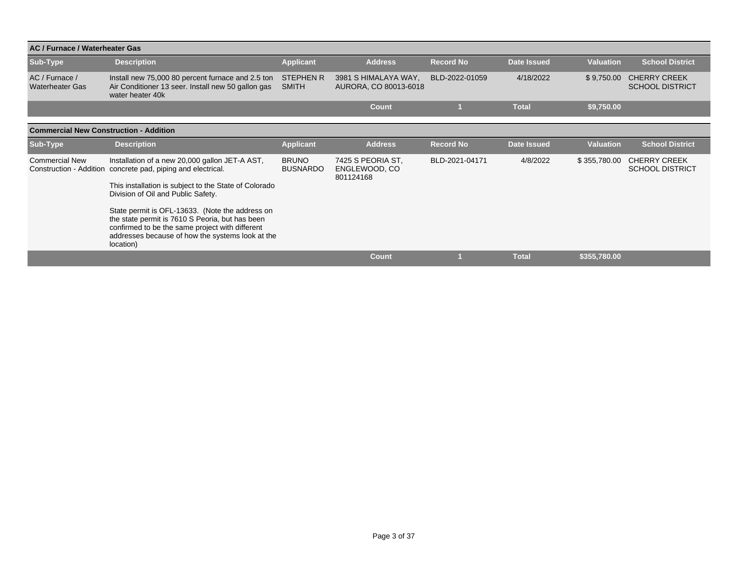| AC / Furnace / Waterheater Gas                |                                                                                                                                                                                                                        |                                  |                                                 |                  |              |                  |                                               |  |  |  |  |
|-----------------------------------------------|------------------------------------------------------------------------------------------------------------------------------------------------------------------------------------------------------------------------|----------------------------------|-------------------------------------------------|------------------|--------------|------------------|-----------------------------------------------|--|--|--|--|
| Sub-Type                                      | <b>Description</b>                                                                                                                                                                                                     | <b>Applicant</b>                 | <b>Address</b>                                  | <b>Record No</b> | Date Issued  | <b>Valuation</b> | <b>School District</b>                        |  |  |  |  |
| AC / Furnace /<br><b>Waterheater Gas</b>      | Install new 75,000 80 percent furnace and 2.5 ton<br>Air Conditioner 13 seer. Install new 50 gallon gas<br>water heater 40k                                                                                            | <b>STEPHEN R</b><br><b>SMITH</b> | 3981 S HIMALAYA WAY,<br>AURORA, CO 80013-6018   | BLD-2022-01059   | 4/18/2022    | \$9,750.00       | <b>CHERRY CREEK</b><br><b>SCHOOL DISTRICT</b> |  |  |  |  |
|                                               |                                                                                                                                                                                                                        |                                  | <b>Count</b>                                    |                  | <b>Total</b> | \$9,750.00       |                                               |  |  |  |  |
| <b>Commercial New Construction - Addition</b> |                                                                                                                                                                                                                        |                                  |                                                 |                  |              |                  |                                               |  |  |  |  |
| Sub-Type                                      | <b>Description</b>                                                                                                                                                                                                     | <b>Applicant</b>                 | <b>Address</b>                                  | <b>Record No</b> | Date Issued  | <b>Valuation</b> | <b>School District</b>                        |  |  |  |  |
| <b>Commercial New</b>                         | Installation of a new 20,000 gallon JET-A AST,<br>Construction - Addition concrete pad, piping and electrical.                                                                                                         | <b>BRUNO</b><br><b>BUSNARDO</b>  | 7425 S PEORIA ST,<br>ENGLEWOOD, CO<br>801124168 | BLD-2021-04171   | 4/8/2022     | \$355,780.00     | <b>CHERRY CREEK</b><br><b>SCHOOL DISTRICT</b> |  |  |  |  |
|                                               | This installation is subject to the State of Colorado<br>Division of Oil and Public Safety.                                                                                                                            |                                  |                                                 |                  |              |                  |                                               |  |  |  |  |
|                                               | State permit is OFL-13633. (Note the address on<br>the state permit is 7610 S Peoria, but has been<br>confirmed to be the same project with different<br>addresses because of how the systems look at the<br>location) |                                  |                                                 |                  |              |                  |                                               |  |  |  |  |
|                                               |                                                                                                                                                                                                                        |                                  | <b>Count</b>                                    |                  | <b>Total</b> | \$355,780.00     |                                               |  |  |  |  |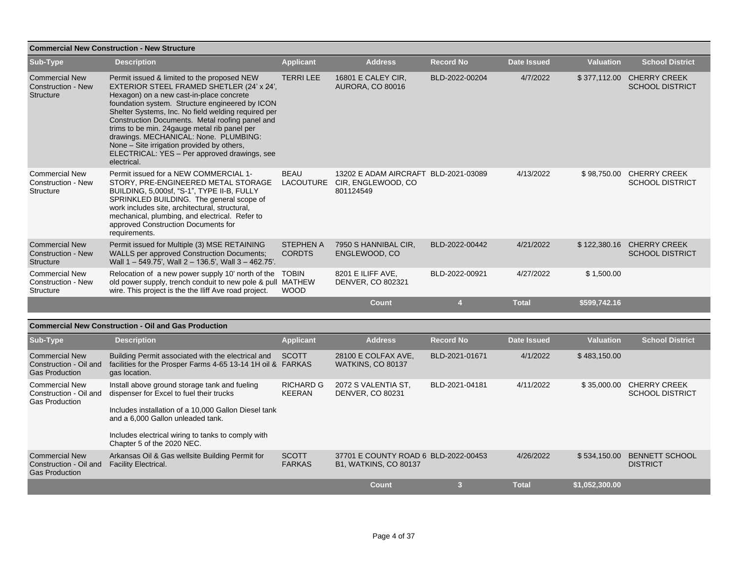| <b>Commercial New Construction - New Structure</b>              |                                                                                                                                                                                                                                                                                                                                                                                                                                                                                                          |                                   |                                                                         |                  |                    |                  |                                               |  |  |
|-----------------------------------------------------------------|----------------------------------------------------------------------------------------------------------------------------------------------------------------------------------------------------------------------------------------------------------------------------------------------------------------------------------------------------------------------------------------------------------------------------------------------------------------------------------------------------------|-----------------------------------|-------------------------------------------------------------------------|------------------|--------------------|------------------|-----------------------------------------------|--|--|
| Sub-Type                                                        | <b>Description</b>                                                                                                                                                                                                                                                                                                                                                                                                                                                                                       | <b>Applicant</b>                  | <b>Address</b>                                                          | <b>Record No</b> | <b>Date Issued</b> | <b>Valuation</b> | <b>School District</b>                        |  |  |
| <b>Commercial New</b><br><b>Construction - New</b><br>Structure | Permit issued & limited to the proposed NEW<br>EXTERIOR STEEL FRAMED SHETLER (24' x 24',<br>Hexagon) on a new cast-in-place concrete<br>foundation system. Structure engineered by ICON<br>Shelter Systems, Inc. No field welding required per<br>Construction Documents. Metal roofing panel and<br>trims to be min. 24 gauge metal rib panel per<br>drawings. MECHANICAL: None. PLUMBING:<br>None – Site irrigation provided by others,<br>ELECTRICAL: YES - Per approved drawings, see<br>electrical. | <b>TERRILEE</b>                   | 16801 E CALEY CIR.<br><b>AURORA, CO 80016</b>                           | BLD-2022-00204   | 4/7/2022           | \$377,112.00     | <b>CHERRY CREEK</b><br><b>SCHOOL DISTRICT</b> |  |  |
| <b>Commercial New</b><br><b>Construction - New</b><br>Structure | Permit issued for a NEW COMMERCIAL 1-<br>STORY, PRE-ENGINEERED METAL STORAGE<br>BUILDING, 5,000sf, "S-1", TYPE II-B, FULLY<br>SPRINKLED BUILDING. The general scope of<br>work includes site, architectural, structural,<br>mechanical, plumbing, and electrical. Refer to<br>approved Construction Documents for<br>requirements.                                                                                                                                                                       | <b>BEAU</b><br><b>LACOUTURE</b>   | 13202 E ADAM AIRCRAFT BLD-2021-03089<br>CIR, ENGLEWOOD, CO<br>801124549 |                  | 4/13/2022          | \$98,750.00      | <b>CHERRY CREEK</b><br><b>SCHOOL DISTRICT</b> |  |  |
| <b>Commercial New</b><br><b>Construction - New</b><br>Structure | Permit issued for Multiple (3) MSE RETAINING<br>WALLS per approved Construction Documents;<br>Wall 1 - 549.75', Wall 2 - 136.5', Wall 3 - 462.75'.                                                                                                                                                                                                                                                                                                                                                       | <b>STEPHEN A</b><br><b>CORDTS</b> | 7950 S HANNIBAL CIR,<br>ENGLEWOOD, CO                                   | BLD-2022-00442   | 4/21/2022          | \$122,380.16     | <b>CHERRY CREEK</b><br><b>SCHOOL DISTRICT</b> |  |  |
| <b>Commercial New</b><br><b>Construction - New</b><br>Structure | Relocation of a new power supply 10' north of the<br>old power supply, trench conduit to new pole & pull MATHEW<br>wire. This project is the the Iliff Ave road project.                                                                                                                                                                                                                                                                                                                                 | <b>TOBIN</b><br><b>WOOD</b>       | 8201 E ILIFF AVE.<br>DENVER, CO 802321                                  | BLD-2022-00921   | 4/27/2022          | \$1,500.00       |                                               |  |  |
|                                                                 |                                                                                                                                                                                                                                                                                                                                                                                                                                                                                                          |                                   | <b>Count</b>                                                            | $\overline{4}$   | <b>Total</b>       | \$599,742.16     |                                               |  |  |
|                                                                 |                                                                                                                                                                                                                                                                                                                                                                                                                                                                                                          |                                   |                                                                         |                  |                    |                  |                                               |  |  |
|                                                                 | <b>Commercial New Construction - Oil and Gas Production</b>                                                                                                                                                                                                                                                                                                                                                                                                                                              |                                   |                                                                         |                  |                    |                  |                                               |  |  |
| Sub-Type                                                        | <b>Description</b>                                                                                                                                                                                                                                                                                                                                                                                                                                                                                       | <b>Applicant</b>                  | <b>Address</b>                                                          | <b>Record No</b> | Date Issued        | <b>Valuation</b> | <b>School District</b>                        |  |  |

| Sub-Type                                                                 | <b>Description</b>                                                                                                                                                                                                                                                         | <b>Applicant</b>                  | <b>Address</b>                                                       | <b>Record No</b> | <b>Date Issued</b> | <b>Valuation</b> | <b>School District</b>                        |
|--------------------------------------------------------------------------|----------------------------------------------------------------------------------------------------------------------------------------------------------------------------------------------------------------------------------------------------------------------------|-----------------------------------|----------------------------------------------------------------------|------------------|--------------------|------------------|-----------------------------------------------|
| <b>Commercial New</b><br>Construction - Oil and<br><b>Gas Production</b> | Building Permit associated with the electrical and<br>facilities for the Prosper Farms 4-65 13-14 1H oil & FARKAS<br>gas location.                                                                                                                                         | <b>SCOTT</b>                      | 28100 E COLFAX AVE,<br><b>WATKINS, CO 80137</b>                      | BLD-2021-01671   | 4/1/2022           | \$483.150.00     |                                               |
| <b>Commercial New</b><br>Construction - Oil and<br><b>Gas Production</b> | Install above ground storage tank and fueling<br>dispenser for Excel to fuel their trucks<br>Includes installation of a 10,000 Gallon Diesel tank<br>and a 6,000 Gallon unleaded tank.<br>Includes electrical wiring to tanks to comply with<br>Chapter 5 of the 2020 NEC. | <b>RICHARD G</b><br><b>KEERAN</b> | 2072 S VALENTIA ST,<br><b>DENVER, CO 80231</b>                       | BLD-2021-04181   | 4/11/2022          | \$35,000.00      | <b>CHERRY CREEK</b><br><b>SCHOOL DISTRICT</b> |
| <b>Commercial New</b><br>Construction - Oil and<br><b>Gas Production</b> | Arkansas Oil & Gas wellsite Building Permit for<br><b>Facility Electrical.</b>                                                                                                                                                                                             | <b>SCOTT</b><br><b>FARKAS</b>     | 37701 E COUNTY ROAD 6 BLD-2022-00453<br><b>B1. WATKINS, CO 80137</b> |                  | 4/26/2022          | \$534,150.00     | <b>BENNETT SCHOOL</b><br><b>DISTRICT</b>      |
|                                                                          |                                                                                                                                                                                                                                                                            |                                   | Count                                                                | з                | <b>Total</b>       | \$1.052.300.00   |                                               |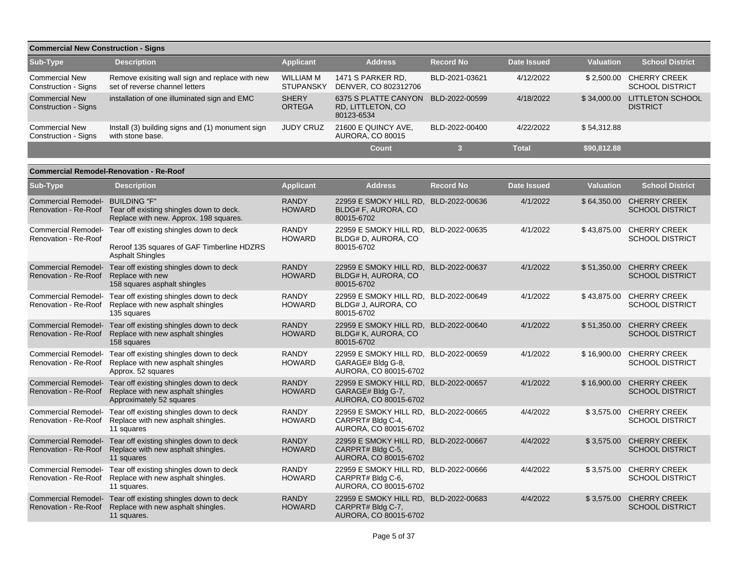| <b>Commercial New Construction - Signs</b>    |                                                                                   |                               |                                                         |                  |              |                  |                                               |  |  |  |
|-----------------------------------------------|-----------------------------------------------------------------------------------|-------------------------------|---------------------------------------------------------|------------------|--------------|------------------|-----------------------------------------------|--|--|--|
| Sub-Type                                      | <b>Description</b>                                                                | <b>Applicant</b>              | <b>Address</b>                                          | <b>Record No</b> | Date Issued  | <b>Valuation</b> | <b>School District</b>                        |  |  |  |
| <b>Commercial New</b><br>Construction - Signs | Remove exisiting wall sign and replace with new<br>set of reverse channel letters | WILLIAM M<br><b>STUPANSKY</b> | 1471 S PARKER RD.<br>DENVER, CO 802312706               | BLD-2021-03621   | 4/12/2022    | \$2.500.00       | <b>CHERRY CREEK</b><br><b>SCHOOL DISTRICT</b> |  |  |  |
| <b>Commercial New</b><br>Construction - Signs | installation of one illuminated sign and EMC                                      | <b>SHERY</b><br><b>ORTEGA</b> | 6375 S PLATTE CANYON<br>RD, LITTLETON, CO<br>80123-6534 | BLD-2022-00599   | 4/18/2022    | \$34,000.00      | <b>LITTLETON SCHOOL</b><br><b>DISTRICT</b>    |  |  |  |
| <b>Commercial New</b><br>Construction - Signs | Install (3) building signs and (1) monument sign<br>with stone base.              | <b>JUDY CRUZ</b>              | 21600 E QUINCY AVE,<br><b>AURORA, CO 80015</b>          | BLD-2022-00400   | 4/22/2022    | \$54,312.88      |                                               |  |  |  |
|                                               |                                                                                   |                               | <b>Count</b>                                            |                  | <b>Total</b> | \$90,812.88      |                                               |  |  |  |

|                                  | <b>Commercial Remodel-Renovation - Re-Roof</b>                                                                                       |                               |                                                                                     |                  |                    |                  |                                                    |
|----------------------------------|--------------------------------------------------------------------------------------------------------------------------------------|-------------------------------|-------------------------------------------------------------------------------------|------------------|--------------------|------------------|----------------------------------------------------|
| Sub-Type                         | <b>Description</b>                                                                                                                   | <b>Applicant</b>              | <b>Address</b>                                                                      | <b>Record No</b> | <b>Date Issued</b> | <b>Valuation</b> | <b>School District</b>                             |
| Commercial Remodel- BUILDING "F" | Renovation - Re-Roof Tear off existing shingles down to deck.<br>Replace with new. Approx. 198 squares.                              | <b>RANDY</b><br><b>HOWARD</b> | 22959 E SMOKY HILL RD, BLD-2022-00636<br>BLDG# F, AURORA, CO<br>80015-6702          |                  | 4/1/2022           |                  | \$64,350.00 CHERRY CREEK<br><b>SCHOOL DISTRICT</b> |
| Renovation - Re-Roof             | Commercial Remodel- Tear off existing shingles down to deck<br>Reroof 135 squares of GAF Timberline HDZRS<br><b>Asphalt Shingles</b> | <b>RANDY</b><br><b>HOWARD</b> | 22959 E SMOKY HILL RD, BLD-2022-00635<br>BLDG# D, AURORA, CO<br>80015-6702          |                  | 4/1/2022           |                  | \$43,875.00 CHERRY CREEK<br><b>SCHOOL DISTRICT</b> |
| Renovation - Re-Roof             | Commercial Remodel- Tear off existing shingles down to deck<br>Replace with new<br>158 squares asphalt shingles                      | <b>RANDY</b><br><b>HOWARD</b> | 22959 E SMOKY HILL RD, BLD-2022-00637<br>BLDG# H, AURORA, CO<br>80015-6702          |                  | 4/1/2022           |                  | \$51,350.00 CHERRY CREEK<br><b>SCHOOL DISTRICT</b> |
| Renovation - Re-Roof             | Commercial Remodel- Tear off existing shingles down to deck<br>Replace with new asphalt shingles<br>135 squares                      | <b>RANDY</b><br><b>HOWARD</b> | 22959 E SMOKY HILL RD, BLD-2022-00649<br>BLDG# J, AURORA, CO<br>80015-6702          |                  | 4/1/2022           |                  | \$43,875.00 CHERRY CREEK<br><b>SCHOOL DISTRICT</b> |
| Renovation - Re-Roof             | Commercial Remodel- Tear off existing shingles down to deck<br>Replace with new asphalt shingles<br>158 squares                      | <b>RANDY</b><br><b>HOWARD</b> | 22959 E SMOKY HILL RD, BLD-2022-00640<br>BLDG# K, AURORA, CO<br>80015-6702          |                  | 4/1/2022           |                  | \$51,350.00 CHERRY CREEK<br><b>SCHOOL DISTRICT</b> |
| Renovation - Re-Roof             | Commercial Remodel- Tear off existing shingles down to deck<br>Replace with new asphalt shingles<br>Approx. 52 squares               | <b>RANDY</b><br><b>HOWARD</b> | 22959 E SMOKY HILL RD, BLD-2022-00659<br>GARAGE# Bldg G-8,<br>AURORA, CO 80015-6702 |                  | 4/1/2022           |                  | \$16,900.00 CHERRY CREEK<br><b>SCHOOL DISTRICT</b> |
| Renovation - Re-Roof             | Commercial Remodel- Tear off existing shingles down to deck<br>Replace with new asphalt shingles<br>Approximately 52 squares         | <b>RANDY</b><br><b>HOWARD</b> | 22959 E SMOKY HILL RD, BLD-2022-00657<br>GARAGE# Bldg G-7,<br>AURORA, CO 80015-6702 |                  | 4/1/2022           |                  | \$16,900.00 CHERRY CREEK<br><b>SCHOOL DISTRICT</b> |
| Renovation - Re-Roof             | Commercial Remodel- Tear off existing shingles down to deck<br>Replace with new asphalt shingles.<br>11 squares                      | <b>RANDY</b><br><b>HOWARD</b> | 22959 E SMOKY HILL RD, BLD-2022-00665<br>CARPRT# Bldg C-4,<br>AURORA, CO 80015-6702 |                  | 4/4/2022           |                  | \$3,575.00 CHERRY CREEK<br><b>SCHOOL DISTRICT</b>  |
| Renovation - Re-Roof             | Commercial Remodel- Tear off existing shingles down to deck<br>Replace with new asphalt shingles.<br>11 squares                      | <b>RANDY</b><br><b>HOWARD</b> | 22959 E SMOKY HILL RD, BLD-2022-00667<br>CARPRT# Bldg C-5,<br>AURORA, CO 80015-6702 |                  | 4/4/2022           |                  | \$3,575.00 CHERRY CREEK<br><b>SCHOOL DISTRICT</b>  |
| Renovation - Re-Roof             | Commercial Remodel- Tear off existing shingles down to deck<br>Replace with new asphalt shingles.<br>11 squares.                     | <b>RANDY</b><br><b>HOWARD</b> | 22959 E SMOKY HILL RD, BLD-2022-00666<br>CARPRT# Bldg C-6,<br>AURORA, CO 80015-6702 |                  | 4/4/2022           |                  | \$3,575.00 CHERRY CREEK<br><b>SCHOOL DISTRICT</b>  |
| Renovation - Re-Roof             | Commercial Remodel- Tear off existing shingles down to deck<br>Replace with new asphalt shingles.<br>11 squares.                     | <b>RANDY</b><br><b>HOWARD</b> | 22959 E SMOKY HILL RD, BLD-2022-00683<br>CARPRT# Bldg C-7,<br>AURORA, CO 80015-6702 |                  | 4/4/2022           | \$3,575.00       | <b>CHERRY CREEK</b><br><b>SCHOOL DISTRICT</b>      |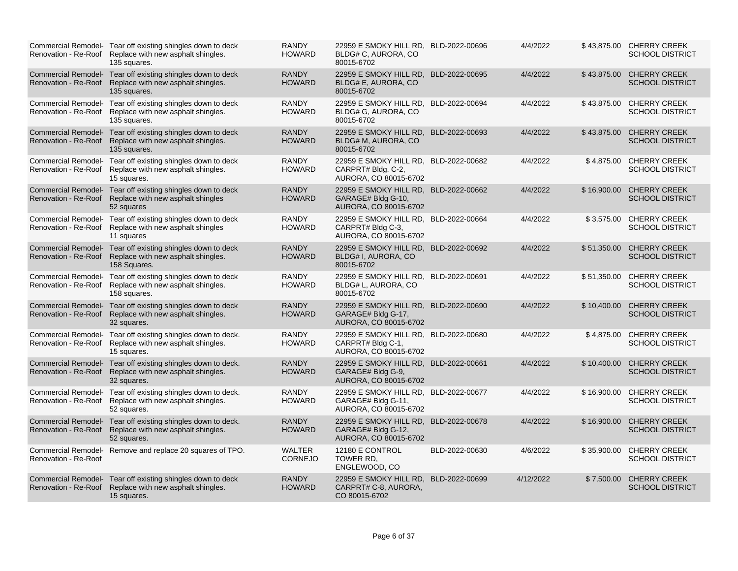|                      | Commercial Remodel- Tear off existing shingles down to deck<br>Renovation - Re-Roof Replace with new asphalt shingles.<br>135 squares. | <b>RANDY</b><br><b>HOWARD</b>   | 22959 E SMOKY HILL RD, BLD-2022-00696<br>BLDG# C, AURORA, CO<br>80015-6702           |                | 4/4/2022  |             | \$43,875.00 CHERRY CREEK<br><b>SCHOOL DISTRICT</b> |
|----------------------|----------------------------------------------------------------------------------------------------------------------------------------|---------------------------------|--------------------------------------------------------------------------------------|----------------|-----------|-------------|----------------------------------------------------|
|                      | Commercial Remodel- Tear off existing shingles down to deck<br>Renovation - Re-Roof Replace with new asphalt shingles.<br>135 squares. | <b>RANDY</b><br><b>HOWARD</b>   | 22959 E SMOKY HILL RD, BLD-2022-00695<br>BLDG# E, AURORA, CO<br>80015-6702           |                | 4/4/2022  | \$43,875.00 | <b>CHERRY CREEK</b><br><b>SCHOOL DISTRICT</b>      |
|                      | Commercial Remodel- Tear off existing shingles down to deck<br>Renovation - Re-Roof Replace with new asphalt shingles.<br>135 squares. | <b>RANDY</b><br><b>HOWARD</b>   | 22959 E SMOKY HILL RD. BLD-2022-00694<br>BLDG# G, AURORA, CO<br>80015-6702           |                | 4/4/2022  | \$43,875.00 | <b>CHERRY CREEK</b><br><b>SCHOOL DISTRICT</b>      |
| Renovation - Re-Roof | Commercial Remodel- Tear off existing shingles down to deck<br>Replace with new asphalt shingles.<br>135 squares.                      | <b>RANDY</b><br><b>HOWARD</b>   | 22959 E SMOKY HILL RD, BLD-2022-00693<br>BLDG# M, AURORA, CO<br>80015-6702           |                | 4/4/2022  | \$43,875.00 | <b>CHERRY CREEK</b><br><b>SCHOOL DISTRICT</b>      |
|                      | Commercial Remodel- Tear off existing shingles down to deck<br>Renovation - Re-Roof Replace with new asphalt shingles.<br>15 squares.  | <b>RANDY</b><br><b>HOWARD</b>   | 22959 E SMOKY HILL RD, BLD-2022-00682<br>CARPRT# Bldg. C-2,<br>AURORA, CO 80015-6702 |                | 4/4/2022  | \$4,875.00  | <b>CHERRY CREEK</b><br><b>SCHOOL DISTRICT</b>      |
| Renovation - Re-Roof | Commercial Remodel- Tear off existing shingles down to deck<br>Replace with new asphalt shingles<br>52 squares                         | <b>RANDY</b><br><b>HOWARD</b>   | 22959 E SMOKY HILL RD, BLD-2022-00662<br>GARAGE# Bldg G-10,<br>AURORA, CO 80015-6702 |                | 4/4/2022  | \$16,900.00 | <b>CHERRY CREEK</b><br><b>SCHOOL DISTRICT</b>      |
| Renovation - Re-Roof | Commercial Remodel- Tear off existing shingles down to deck<br>Replace with new asphalt shingles<br>11 squares                         | <b>RANDY</b><br><b>HOWARD</b>   | 22959 E SMOKY HILL RD, BLD-2022-00664<br>CARPRT# Bldg C-3,<br>AURORA, CO 80015-6702  |                | 4/4/2022  | \$3.575.00  | <b>CHERRY CREEK</b><br><b>SCHOOL DISTRICT</b>      |
|                      | Commercial Remodel- Tear off existing shingles down to deck<br>Renovation - Re-Roof Replace with new asphalt shingles.<br>158 Squares. | <b>RANDY</b><br><b>HOWARD</b>   | 22959 E SMOKY HILL RD, BLD-2022-00692<br>BLDG# I, AURORA, CO<br>80015-6702           |                | 4/4/2022  | \$51,350.00 | <b>CHERRY CREEK</b><br><b>SCHOOL DISTRICT</b>      |
|                      | Commercial Remodel- Tear off existing shingles down to deck<br>Renovation - Re-Roof Replace with new asphalt shingles.<br>158 squares. | <b>RANDY</b><br><b>HOWARD</b>   | 22959 E SMOKY HILL RD, BLD-2022-00691<br>BLDG# L, AURORA, CO<br>80015-6702           |                | 4/4/2022  | \$51,350.00 | <b>CHERRY CREEK</b><br><b>SCHOOL DISTRICT</b>      |
| Renovation - Re-Roof | Commercial Remodel- Tear off existing shingles down to deck<br>Replace with new asphalt shingles.<br>32 squares.                       | <b>RANDY</b><br><b>HOWARD</b>   | 22959 E SMOKY HILL RD, BLD-2022-00690<br>GARAGE# Bldg G-17,<br>AURORA, CO 80015-6702 |                | 4/4/2022  | \$10,400.00 | <b>CHERRY CREEK</b><br><b>SCHOOL DISTRICT</b>      |
|                      | Commercial Remodel- Tear off existing shingles down to deck.<br>Renovation - Re-Roof Replace with new asphalt shingles.<br>15 squares. | <b>RANDY</b><br><b>HOWARD</b>   | 22959 E SMOKY HILL RD. BLD-2022-00680<br>CARPRT# Bldg C-1,<br>AURORA, CO 80015-6702  |                | 4/4/2022  | \$4.875.00  | <b>CHERRY CREEK</b><br><b>SCHOOL DISTRICT</b>      |
| Renovation - Re-Roof | Commercial Remodel- Tear off existing shingles down to deck.<br>Replace with new asphalt shingles.<br>32 squares.                      | <b>RANDY</b><br><b>HOWARD</b>   | 22959 E SMOKY HILL RD, BLD-2022-00661<br>GARAGE# Bldg G-9,<br>AURORA, CO 80015-6702  |                | 4/4/2022  | \$10,400.00 | <b>CHERRY CREEK</b><br><b>SCHOOL DISTRICT</b>      |
| Renovation - Re-Roof | Commercial Remodel- Tear off existing shingles down to deck.<br>Replace with new asphalt shingles.<br>52 squares.                      | <b>RANDY</b><br><b>HOWARD</b>   | 22959 E SMOKY HILL RD, BLD-2022-00677<br>GARAGE# Bldg G-11,<br>AURORA, CO 80015-6702 |                | 4/4/2022  | \$16,900.00 | <b>CHERRY CREEK</b><br><b>SCHOOL DISTRICT</b>      |
|                      | Commercial Remodel- Tear off existing shingles down to deck.<br>Renovation - Re-Roof Replace with new asphalt shingles.<br>52 squares. | <b>RANDY</b><br><b>HOWARD</b>   | 22959 E SMOKY HILL RD, BLD-2022-00678<br>GARAGE# Bldg G-12,<br>AURORA, CO 80015-6702 |                | 4/4/2022  | \$16,900.00 | <b>CHERRY CREEK</b><br><b>SCHOOL DISTRICT</b>      |
| Renovation - Re-Roof | Commercial Remodel- Remove and replace 20 squares of TPO.                                                                              | <b>WALTER</b><br><b>CORNEJO</b> | 12180 E CONTROL<br>TOWER RD,<br>ENGLEWOOD, CO                                        | BLD-2022-00630 | 4/6/2022  | \$35,900.00 | <b>CHERRY CREEK</b><br><b>SCHOOL DISTRICT</b>      |
| Renovation - Re-Roof | Commercial Remodel- Tear off existing shingles down to deck<br>Replace with new asphalt shingles.<br>15 squares.                       | <b>RANDY</b><br><b>HOWARD</b>   | 22959 E SMOKY HILL RD.<br>CARPRT# C-8, AURORA,<br>CO 80015-6702                      | BLD-2022-00699 | 4/12/2022 | \$7,500.00  | <b>CHERRY CREEK</b><br><b>SCHOOL DISTRICT</b>      |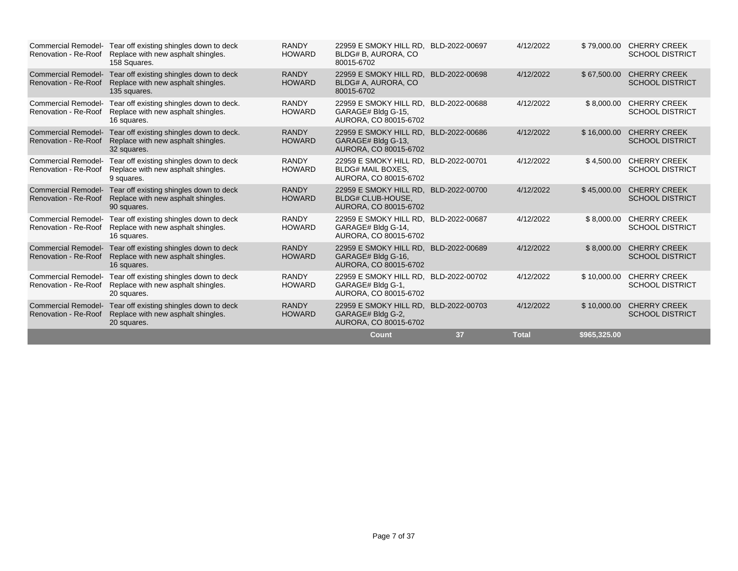| Renovation - Re-Roof                               | Commercial Remodel- Tear off existing shingles down to deck<br>Replace with new asphalt shingles.<br>158 Squares. | <b>RANDY</b><br><b>HOWARD</b> | 22959 E SMOKY HILL RD. BLD-2022-00697<br>BLDG# B, AURORA, CO<br>80015-6702                 |                | 4/12/2022    |              | \$79,000.00 CHERRY CREEK<br><b>SCHOOL DISTRICT</b> |
|----------------------------------------------------|-------------------------------------------------------------------------------------------------------------------|-------------------------------|--------------------------------------------------------------------------------------------|----------------|--------------|--------------|----------------------------------------------------|
| <b>Commercial Remodel-</b><br>Renovation - Re-Roof | Tear off existing shingles down to deck<br>Replace with new asphalt shingles.<br>135 squares.                     | <b>RANDY</b><br><b>HOWARD</b> | 22959 E SMOKY HILL RD, BLD-2022-00698<br>BLDG# A, AURORA, CO<br>80015-6702                 |                | 4/12/2022    | \$67,500.00  | <b>CHERRY CREEK</b><br><b>SCHOOL DISTRICT</b>      |
| Renovation - Re-Roof                               | Commercial Remodel- Tear off existing shingles down to deck.<br>Replace with new asphalt shingles.<br>16 squares. | <b>RANDY</b><br><b>HOWARD</b> | 22959 E SMOKY HILL RD. BLD-2022-00688<br>GARAGE# Bldg G-15,<br>AURORA, CO 80015-6702       |                | 4/12/2022    | \$8,000.00   | <b>CHERRY CREEK</b><br><b>SCHOOL DISTRICT</b>      |
| Renovation - Re-Roof                               | Commercial Remodel- Tear off existing shingles down to deck.<br>Replace with new asphalt shingles.<br>32 squares. | <b>RANDY</b><br><b>HOWARD</b> | 22959 E SMOKY HILL RD, BLD-2022-00686<br>GARAGE# Bldg G-13,<br>AURORA, CO 80015-6702       |                | 4/12/2022    | \$16,000.00  | <b>CHERRY CREEK</b><br><b>SCHOOL DISTRICT</b>      |
| Commercial Remodel-<br>Renovation - Re-Roof        | Tear off existing shingles down to deck<br>Replace with new asphalt shingles.<br>9 squares.                       | <b>RANDY</b><br><b>HOWARD</b> | 22959 E SMOKY HILL RD.<br><b>BLDG# MAIL BOXES,</b><br>AURORA, CO 80015-6702                | BLD-2022-00701 | 4/12/2022    | \$4,500.00   | <b>CHERRY CREEK</b><br><b>SCHOOL DISTRICT</b>      |
| Renovation - Re-Roof                               | Commercial Remodel- Tear off existing shingles down to deck<br>Replace with new asphalt shingles.<br>90 squares.  | <b>RANDY</b><br><b>HOWARD</b> | 22959 E SMOKY HILL RD, BLD-2022-00700<br><b>BLDG# CLUB-HOUSE.</b><br>AURORA, CO 80015-6702 |                | 4/12/2022    | \$45,000.00  | <b>CHERRY CREEK</b><br><b>SCHOOL DISTRICT</b>      |
| <b>Commercial Remodel-</b>                         | Tear off existing shingles down to deck<br>Renovation - Re-Roof Replace with new asphalt shingles.<br>16 squares. | <b>RANDY</b><br><b>HOWARD</b> | 22959 E SMOKY HILL RD. BLD-2022-00687<br>GARAGE# Bldg G-14,<br>AURORA, CO 80015-6702       |                | 4/12/2022    | \$8,000.00   | <b>CHERRY CREEK</b><br><b>SCHOOL DISTRICT</b>      |
| Renovation - Re-Roof                               | Commercial Remodel- Tear off existing shingles down to deck<br>Replace with new asphalt shingles.<br>16 squares.  | <b>RANDY</b><br><b>HOWARD</b> | 22959 E SMOKY HILL RD, BLD-2022-00689<br>GARAGE# Bldg G-16,<br>AURORA, CO 80015-6702       |                | 4/12/2022    | \$8,000.00   | <b>CHERRY CREEK</b><br><b>SCHOOL DISTRICT</b>      |
| <b>Commercial Remodel-</b><br>Renovation - Re-Roof | Tear off existing shingles down to deck<br>Replace with new asphalt shingles.<br>20 squares.                      | <b>RANDY</b><br><b>HOWARD</b> | 22959 E SMOKY HILL RD, BLD-2022-00702<br>GARAGE# Bldg G-1,<br>AURORA, CO 80015-6702        |                | 4/12/2022    | \$10,000.00  | <b>CHERRY CREEK</b><br><b>SCHOOL DISTRICT</b>      |
| Renovation - Re-Roof                               | Commercial Remodel- Tear off existing shingles down to deck<br>Replace with new asphalt shingles.<br>20 squares.  | <b>RANDY</b><br><b>HOWARD</b> | 22959 E SMOKY HILL RD. BLD-2022-00703<br>GARAGE# Bldg G-2,<br>AURORA, CO 80015-6702        |                | 4/12/2022    | \$10,000.00  | <b>CHERRY CREEK</b><br><b>SCHOOL DISTRICT</b>      |
|                                                    |                                                                                                                   |                               | <b>Count</b>                                                                               | 37             | <b>Total</b> | \$965,325.00 |                                                    |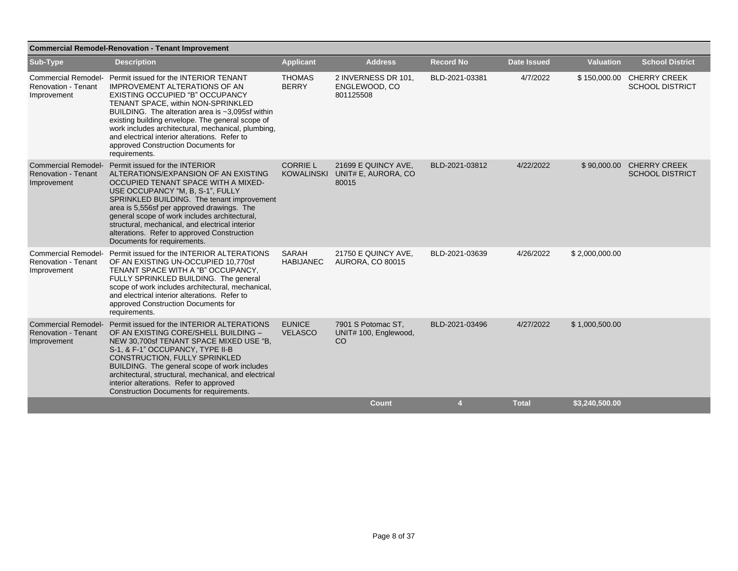| <b>Commercial Remodel-Renovation - Tenant Improvement</b>               |                                                                                                                                                                                                                                                                                                                                                                                                                                                     |                                  |                                                                |                  |                    |                  |                                                     |  |  |  |  |
|-------------------------------------------------------------------------|-----------------------------------------------------------------------------------------------------------------------------------------------------------------------------------------------------------------------------------------------------------------------------------------------------------------------------------------------------------------------------------------------------------------------------------------------------|----------------------------------|----------------------------------------------------------------|------------------|--------------------|------------------|-----------------------------------------------------|--|--|--|--|
| Sub-Type                                                                | <b>Description</b>                                                                                                                                                                                                                                                                                                                                                                                                                                  | <b>Applicant</b>                 | <b>Address</b>                                                 | <b>Record No</b> | <b>Date Issued</b> | <b>Valuation</b> | <b>School District</b>                              |  |  |  |  |
| Renovation - Tenant<br>Improvement                                      | Commercial Remodel- Permit issued for the INTERIOR TENANT<br><b>IMPROVEMENT ALTERATIONS OF AN</b><br>EXISTING OCCUPIED "B" OCCUPANCY<br>TENANT SPACE, within NON-SPRINKLED<br>BUILDING. The alteration area is ~3,095sf within<br>existing building envelope. The general scope of<br>work includes architectural, mechanical, plumbing,<br>and electrical interior alterations. Refer to<br>approved Construction Documents for<br>requirements.   | <b>THOMAS</b><br><b>BERRY</b>    | 2 INVERNESS DR 101,<br>ENGLEWOOD, CO<br>801125508              | BLD-2021-03381   | 4/7/2022           |                  | \$150,000.00 CHERRY CREEK<br><b>SCHOOL DISTRICT</b> |  |  |  |  |
| <b>Renovation - Tenant</b><br>Improvement                               | Commercial Remodel- Permit issued for the INTERIOR<br>ALTERATIONS/EXPANSION OF AN EXISTING<br>OCCUPIED TENANT SPACE WITH A MIXED-<br>USE OCCUPANCY "M, B, S-1", FULLY<br>SPRINKLED BUILDING. The tenant improvement<br>area is 5,556sf per approved drawings. The<br>general scope of work includes architectural,<br>structural, mechanical, and electrical interior<br>alterations. Refer to approved Construction<br>Documents for requirements. | <b>CORRIE L</b>                  | 21699 E QUINCY AVE,<br>KOWALINSKI UNIT# E, AURORA, CO<br>80015 | BLD-2021-03812   | 4/22/2022          |                  | \$90,000.00 CHERRY CREEK<br><b>SCHOOL DISTRICT</b>  |  |  |  |  |
| <b>Renovation - Tenant</b><br>Improvement                               | Commercial Remodel- Permit issued for the INTERIOR ALTERATIONS<br>OF AN EXISTING UN-OCCUPIED 10,770sf<br>TENANT SPACE WITH A "B" OCCUPANCY,<br>FULLY SPRINKLED BUILDING. The general<br>scope of work includes architectural, mechanical,<br>and electrical interior alterations. Refer to<br>approved Construction Documents for<br>requirements.                                                                                                  | <b>SARAH</b><br><b>HABIJANEC</b> | 21750 E QUINCY AVE,<br><b>AURORA, CO 80015</b>                 | BLD-2021-03639   | 4/26/2022          | \$2,000,000.00   |                                                     |  |  |  |  |
| <b>Commercial Remodel-</b><br><b>Renovation - Tenant</b><br>Improvement | Permit issued for the INTERIOR ALTERATIONS<br>OF AN EXISTING CORE/SHELL BUILDING -<br>NEW 30,700sf TENANT SPACE MIXED USE "B,<br>S-1, & F-1" OCCUPANCY, TYPE II-B<br>CONSTRUCTION, FULLY SPRINKLED<br>BUILDING. The general scope of work includes<br>architectural, structural, mechanical, and electrical<br>interior alterations. Refer to approved<br><b>Construction Documents for requirements.</b>                                           | <b>EUNICE</b><br><b>VELASCO</b>  | 7901 S Potomac ST.<br>UNIT# 100, Englewood,<br><sub>CO</sub>   | BLD-2021-03496   | 4/27/2022          | \$1,000,500.00   |                                                     |  |  |  |  |
|                                                                         |                                                                                                                                                                                                                                                                                                                                                                                                                                                     |                                  | <b>Count</b>                                                   | 4                | <b>Total</b>       | \$3,240,500.00   |                                                     |  |  |  |  |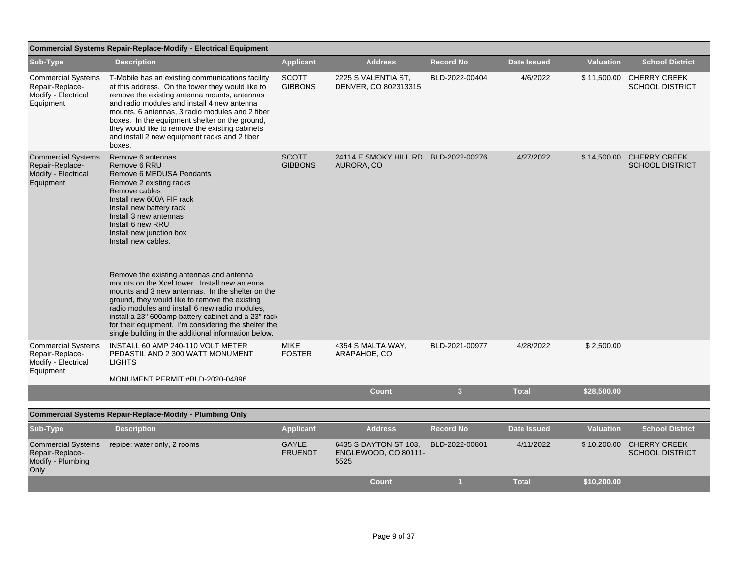|                                                                                  | <b>Commercial Systems Repair-Replace-Modify - Electrical Equipment</b>                                                                                                                                                                                                                                                                                                                                                                                                                                                                                                                                                                                                                           |                                |                                                       |                         |                    |                  |                                                    |
|----------------------------------------------------------------------------------|--------------------------------------------------------------------------------------------------------------------------------------------------------------------------------------------------------------------------------------------------------------------------------------------------------------------------------------------------------------------------------------------------------------------------------------------------------------------------------------------------------------------------------------------------------------------------------------------------------------------------------------------------------------------------------------------------|--------------------------------|-------------------------------------------------------|-------------------------|--------------------|------------------|----------------------------------------------------|
| Sub-Type                                                                         | <b>Description</b>                                                                                                                                                                                                                                                                                                                                                                                                                                                                                                                                                                                                                                                                               | <b>Applicant</b>               | <b>Address</b>                                        | <b>Record No</b>        | <b>Date Issued</b> | <b>Valuation</b> | <b>School District</b>                             |
| <b>Commercial Systems</b><br>Repair-Replace-<br>Modify - Electrical<br>Equipment | T-Mobile has an existing communications facility<br>at this address. On the tower they would like to<br>remove the existing antenna mounts, antennas<br>and radio modules and install 4 new antenna<br>mounts, 6 antennas, 3 radio modules and 2 fiber<br>boxes. In the equipment shelter on the ground,<br>they would like to remove the existing cabinets<br>and install 2 new equipment racks and 2 fiber<br>boxes.                                                                                                                                                                                                                                                                           | <b>SCOTT</b><br><b>GIBBONS</b> | 2225 S VALENTIA ST,<br>DENVER, CO 802313315           | BLD-2022-00404          | 4/6/2022           | \$11,500.00      | <b>CHERRY CREEK</b><br><b>SCHOOL DISTRICT</b>      |
| <b>Commercial Systems</b><br>Repair-Replace-<br>Modify - Electrical<br>Equipment | Remove 6 antennas<br>Remove 6 RRU<br>Remove 6 MEDUSA Pendants<br>Remove 2 existing racks<br>Remove cables<br>Install new 600A FIF rack<br>Install new battery rack<br>Install 3 new antennas<br>Install 6 new RRU<br>Install new junction box<br>Install new cables.<br>Remove the existing antennas and antenna<br>mounts on the Xcel tower. Install new antenna<br>mounts and 3 new antennas. In the shelter on the<br>ground, they would like to remove the existing<br>radio modules and install 6 new radio modules,<br>install a 23" 600amp battery cabinet and a 23" rack<br>for their equipment. I'm considering the shelter the<br>single building in the additional information below. | <b>SCOTT</b><br><b>GIBBONS</b> | 24114 E SMOKY HILL RD, BLD-2022-00276<br>AURORA, CO   |                         | 4/27/2022          |                  | \$14,500.00 CHERRY CREEK<br><b>SCHOOL DISTRICT</b> |
| <b>Commercial Systems</b><br>Repair-Replace-<br>Modify - Electrical<br>Equipment | INSTALL 60 AMP 240-110 VOLT METER<br>PEDASTIL AND 2 300 WATT MONUMENT<br><b>LIGHTS</b><br>MONUMENT PERMIT #BLD-2020-04896                                                                                                                                                                                                                                                                                                                                                                                                                                                                                                                                                                        | <b>MIKE</b><br><b>FOSTER</b>   | 4354 S MALTA WAY,<br>ARAPAHOE, CO                     | BLD-2021-00977          | 4/28/2022          | \$2,500.00       |                                                    |
|                                                                                  |                                                                                                                                                                                                                                                                                                                                                                                                                                                                                                                                                                                                                                                                                                  |                                | <b>Count</b>                                          | $\overline{\mathbf{3}}$ | <b>Total</b>       | \$28,500.00      |                                                    |
|                                                                                  | <b>Commercial Systems Repair-Replace-Modify - Plumbing Only</b>                                                                                                                                                                                                                                                                                                                                                                                                                                                                                                                                                                                                                                  |                                |                                                       |                         |                    |                  |                                                    |
| Sub-Type                                                                         | <b>Description</b>                                                                                                                                                                                                                                                                                                                                                                                                                                                                                                                                                                                                                                                                               | <b>Applicant</b>               | <b>Address</b>                                        | <b>Record No</b>        | <b>Date Issued</b> | <b>Valuation</b> | <b>School District</b>                             |
| <b>Commercial Systems</b><br>Repair-Replace-<br>Modify - Plumbing<br>Only        | repipe: water only, 2 rooms                                                                                                                                                                                                                                                                                                                                                                                                                                                                                                                                                                                                                                                                      | <b>GAYLE</b><br><b>FRUENDT</b> | 6435 S DAYTON ST 103,<br>ENGLEWOOD, CO 80111-<br>5525 | BLD-2022-00801          | 4/11/2022          |                  | \$10,200.00 CHERRY CREEK<br><b>SCHOOL DISTRICT</b> |
|                                                                                  |                                                                                                                                                                                                                                                                                                                                                                                                                                                                                                                                                                                                                                                                                                  |                                | <b>Count</b>                                          | -1                      | <b>Total</b>       | \$10.200.00      |                                                    |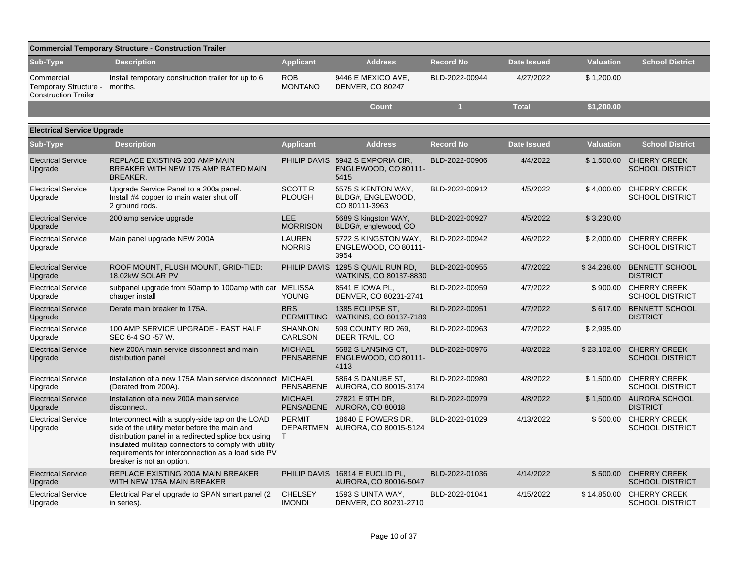| <b>Commercial Temporary Structure - Construction Trailer</b>       |                                                                                                                                                                                                                                                                                                    |                                    |                                                          |                  |                    |                  |                                               |  |  |  |  |
|--------------------------------------------------------------------|----------------------------------------------------------------------------------------------------------------------------------------------------------------------------------------------------------------------------------------------------------------------------------------------------|------------------------------------|----------------------------------------------------------|------------------|--------------------|------------------|-----------------------------------------------|--|--|--|--|
| Sub-Type                                                           | <b>Description</b>                                                                                                                                                                                                                                                                                 | <b>Applicant</b>                   | <b>Address</b>                                           | <b>Record No</b> | <b>Date Issued</b> | <b>Valuation</b> | <b>School District</b>                        |  |  |  |  |
| Commercial<br>Temporary Structure -<br><b>Construction Trailer</b> | Install temporary construction trailer for up to 6<br>months.                                                                                                                                                                                                                                      | <b>ROB</b><br><b>MONTANO</b>       | 9446 E MEXICO AVE,<br>DENVER, CO 80247                   | BLD-2022-00944   | 4/27/2022          | \$1,200.00       |                                               |  |  |  |  |
|                                                                    |                                                                                                                                                                                                                                                                                                    |                                    | <b>Count</b>                                             | $\mathbf{1}$     | <b>Total</b>       | \$1,200.00       |                                               |  |  |  |  |
| <b>Electrical Service Upgrade</b>                                  |                                                                                                                                                                                                                                                                                                    |                                    |                                                          |                  |                    |                  |                                               |  |  |  |  |
| Sub-Type                                                           | <b>Description</b>                                                                                                                                                                                                                                                                                 | <b>Applicant</b>                   | <b>Address</b>                                           | <b>Record No</b> | <b>Date Issued</b> | <b>Valuation</b> | <b>School District</b>                        |  |  |  |  |
| <b>Electrical Service</b><br>Upgrade                               | REPLACE EXISTING 200 AMP MAIN<br>BREAKER WITH NEW 175 AMP RATED MAIN<br><b>BREAKER.</b>                                                                                                                                                                                                            | PHILIP DAVIS                       | 5942 S EMPORIA CIR,<br>ENGLEWOOD, CO 80111-<br>5415      | BLD-2022-00906   | 4/4/2022           | \$1,500.00       | <b>CHERRY CREEK</b><br><b>SCHOOL DISTRICT</b> |  |  |  |  |
| <b>Electrical Service</b><br>Upgrade                               | Upgrade Service Panel to a 200a panel.<br>Install #4 copper to main water shut off<br>2 ground rods.                                                                                                                                                                                               | <b>SCOTT R</b><br><b>PLOUGH</b>    | 5575 S KENTON WAY,<br>BLDG#, ENGLEWOOD,<br>CO 80111-3963 | BLD-2022-00912   | 4/5/2022           | \$4,000.00       | <b>CHERRY CREEK</b><br><b>SCHOOL DISTRICT</b> |  |  |  |  |
| <b>Electrical Service</b><br>Upgrade                               | 200 amp service upgrade                                                                                                                                                                                                                                                                            | LEE.<br><b>MORRISON</b>            | 5689 S kingston WAY,<br>BLDG#, englewood, CO             | BLD-2022-00927   | 4/5/2022           | \$3,230.00       |                                               |  |  |  |  |
| <b>Electrical Service</b><br>Upgrade                               | Main panel upgrade NEW 200A                                                                                                                                                                                                                                                                        | <b>LAUREN</b><br><b>NORRIS</b>     | 5722 S KINGSTON WAY,<br>ENGLEWOOD, CO 80111-<br>3954     | BLD-2022-00942   | 4/6/2022           | \$2,000.00       | <b>CHERRY CREEK</b><br><b>SCHOOL DISTRICT</b> |  |  |  |  |
| <b>Electrical Service</b><br>Upgrade                               | ROOF MOUNT, FLUSH MOUNT, GRID-TIED:<br>18.02kW SOLAR PV                                                                                                                                                                                                                                            | PHILIP DAVIS                       | 1295 S QUAIL RUN RD,<br>WATKINS, CO 80137-8830           | BLD-2022-00955   | 4/7/2022           | \$34,238.00      | <b>BENNETT SCHOOL</b><br><b>DISTRICT</b>      |  |  |  |  |
| <b>Electrical Service</b><br>Upgrade                               | subpanel upgrade from 50amp to 100amp with car<br>charger install                                                                                                                                                                                                                                  | <b>MELISSA</b><br>YOUNG            | 8541 E IOWA PL,<br>DENVER, CO 80231-2741                 | BLD-2022-00959   | 4/7/2022           | \$900.00         | <b>CHERRY CREEK</b><br><b>SCHOOL DISTRICT</b> |  |  |  |  |
| <b>Electrical Service</b><br>Upgrade                               | Derate main breaker to 175A.                                                                                                                                                                                                                                                                       | <b>BRS</b><br><b>PERMITTING</b>    | 1385 ECLIPSE ST,<br>WATKINS, CO 80137-7189               | BLD-2022-00951   | 4/7/2022           | \$617.00         | <b>BENNETT SCHOOL</b><br><b>DISTRICT</b>      |  |  |  |  |
| <b>Electrical Service</b><br>Upgrade                               | 100 AMP SERVICE UPGRADE - EAST HALF<br>SEC 6-4 SO -57 W.                                                                                                                                                                                                                                           | <b>SHANNON</b><br><b>CARLSON</b>   | 599 COUNTY RD 269.<br>DEER TRAIL, CO                     | BLD-2022-00963   | 4/7/2022           | \$2,995.00       |                                               |  |  |  |  |
| <b>Electrical Service</b><br>Upgrade                               | New 200A main service disconnect and main<br>distribution panel                                                                                                                                                                                                                                    | <b>MICHAEL</b><br><b>PENSABENE</b> | 5682 S LANSING CT.<br>ENGLEWOOD, CO 80111-<br>4113       | BLD-2022-00976   | 4/8/2022           | \$23,102.00      | <b>CHERRY CREEK</b><br><b>SCHOOL DISTRICT</b> |  |  |  |  |
| <b>Electrical Service</b><br>Upgrade                               | Installation of a new 175A Main service disconnect MICHAEL<br>(Derated from 200A).                                                                                                                                                                                                                 | <b>PENSABENE</b>                   | 5864 S DANUBE ST,<br>AURORA, CO 80015-3174               | BLD-2022-00980   | 4/8/2022           | \$1,500.00       | <b>CHERRY CREEK</b><br><b>SCHOOL DISTRICT</b> |  |  |  |  |
| <b>Electrical Service</b><br>Upgrade                               | Installation of a new 200A main service<br>disconnect.                                                                                                                                                                                                                                             | <b>MICHAEL</b><br><b>PENSABENE</b> | 27821 E 9TH DR,<br>AURORA, CO 80018                      | BLD-2022-00979   | 4/8/2022           | \$1,500.00       | <b>AURORA SCHOOL</b><br><b>DISTRICT</b>       |  |  |  |  |
| <b>Electrical Service</b><br>Upgrade                               | Interconnect with a supply-side tap on the LOAD<br>side of the utility meter before the main and<br>distribution panel in a redirected splice box using<br>insulated multitap connectors to comply with utility<br>requirements for interconnection as a load side PV<br>breaker is not an option. | <b>PERMIT</b><br>T.                | 18640 E POWERS DR.<br>DEPARTMEN AURORA, CO 80015-5124    | BLD-2022-01029   | 4/13/2022          | \$500.00         | <b>CHERRY CREEK</b><br><b>SCHOOL DISTRICT</b> |  |  |  |  |
| <b>Electrical Service</b><br>Upgrade                               | REPLACE EXISTING 200A MAIN BREAKER<br>WITH NEW 175A MAIN BREAKER                                                                                                                                                                                                                                   |                                    | PHILIP DAVIS 16814 E EUCLID PL,<br>AURORA, CO 80016-5047 | BLD-2022-01036   | 4/14/2022          | \$500.00         | <b>CHERRY CREEK</b><br><b>SCHOOL DISTRICT</b> |  |  |  |  |
| <b>Electrical Service</b><br>Upgrade                               | Electrical Panel upgrade to SPAN smart panel (2)<br>in series).                                                                                                                                                                                                                                    | <b>CHELSEY</b><br><b>IMONDI</b>    | 1593 S UINTA WAY,<br>DENVER, CO 80231-2710               | BLD-2022-01041   | 4/15/2022          | \$14,850.00      | <b>CHERRY CREEK</b><br><b>SCHOOL DISTRICT</b> |  |  |  |  |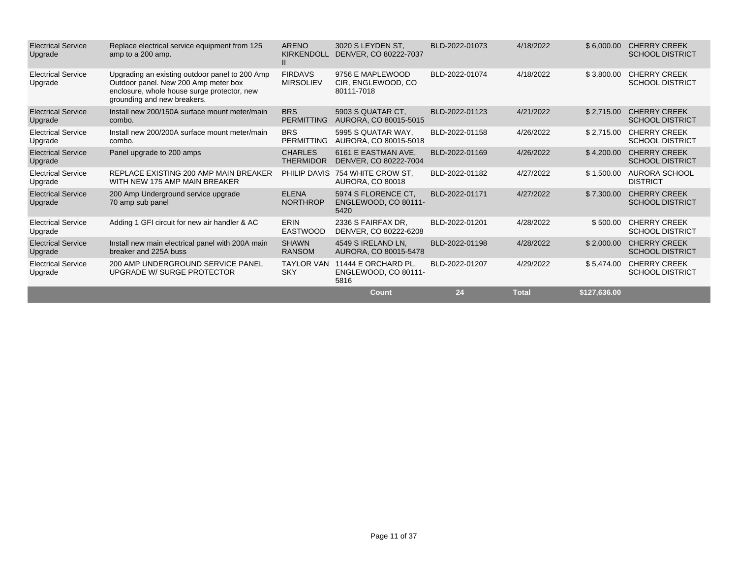| <b>Electrical Service</b><br>Upgrade | Replace electrical service equipment from 125<br>amp to a 200 amp.                                                                                                   | <b>ARENO</b><br><b>KIRKENDOLL</b><br>$\mathbf{II}$ | 3020 S LEYDEN ST.<br>DENVER, CO 80222-7037            | BLD-2022-01073 | 4/18/2022    | \$6,000.00   | <b>CHERRY CREEK</b><br><b>SCHOOL DISTRICT</b> |
|--------------------------------------|----------------------------------------------------------------------------------------------------------------------------------------------------------------------|----------------------------------------------------|-------------------------------------------------------|----------------|--------------|--------------|-----------------------------------------------|
| <b>Electrical Service</b><br>Upgrade | Upgrading an existing outdoor panel to 200 Amp<br>Outdoor panel. New 200 Amp meter box<br>enclosure, whole house surge protector, new<br>grounding and new breakers. | <b>FIRDAVS</b><br><b>MIRSOLIEV</b>                 | 9756 E MAPLEWOOD<br>CIR, ENGLEWOOD, CO.<br>80111-7018 | BLD-2022-01074 | 4/18/2022    | \$3,800.00   | <b>CHERRY CREEK</b><br><b>SCHOOL DISTRICT</b> |
| <b>Electrical Service</b><br>Upgrade | Install new 200/150A surface mount meter/main<br>combo.                                                                                                              | <b>BRS</b><br><b>PERMITTING</b>                    | 5903 S QUATAR CT.<br>AURORA, CO 80015-5015            | BLD-2022-01123 | 4/21/2022    | \$2,715.00   | <b>CHERRY CREEK</b><br><b>SCHOOL DISTRICT</b> |
| <b>Electrical Service</b><br>Upgrade | Install new 200/200A surface mount meter/main<br>combo.                                                                                                              | <b>BRS</b><br><b>PERMITTING</b>                    | 5995 S QUATAR WAY,<br>AURORA, CO 80015-5018           | BLD-2022-01158 | 4/26/2022    | \$2,715.00   | <b>CHERRY CREEK</b><br><b>SCHOOL DISTRICT</b> |
| <b>Electrical Service</b><br>Upgrade | Panel upgrade to 200 amps                                                                                                                                            | <b>CHARLES</b><br><b>THERMIDOR</b>                 | 6161 E EASTMAN AVE,<br>DENVER, CO 80222-7004          | BLD-2022-01169 | 4/26/2022    | \$4,200.00   | <b>CHERRY CREEK</b><br><b>SCHOOL DISTRICT</b> |
| <b>Electrical Service</b><br>Upgrade | REPLACE EXISTING 200 AMP MAIN BREAKER<br>WITH NEW 175 AMP MAIN BREAKER                                                                                               | PHILIP DAVIS                                       | 754 WHITE CROW ST,<br>AURORA, CO 80018                | BLD-2022-01182 | 4/27/2022    | \$1,500.00   | AURORA SCHOOL<br><b>DISTRICT</b>              |
| <b>Electrical Service</b><br>Upgrade | 200 Amp Underground service upgrade<br>70 amp sub panel                                                                                                              | <b>ELENA</b><br><b>NORTHROP</b>                    | 5974 S FLORENCE CT.<br>ENGLEWOOD, CO 80111-<br>5420   | BLD-2022-01171 | 4/27/2022    | \$7,300.00   | <b>CHERRY CREEK</b><br><b>SCHOOL DISTRICT</b> |
| <b>Electrical Service</b><br>Upgrade | Adding 1 GFI circuit for new air handler & AC                                                                                                                        | ERIN<br><b>EASTWOOD</b>                            | 2336 S FAIRFAX DR.<br>DENVER, CO 80222-6208           | BLD-2022-01201 | 4/28/2022    | \$500.00     | <b>CHERRY CREEK</b><br><b>SCHOOL DISTRICT</b> |
| <b>Electrical Service</b><br>Upgrade | Install new main electrical panel with 200A main<br>breaker and 225A buss                                                                                            | <b>SHAWN</b><br><b>RANSOM</b>                      | 4549 S IRELAND LN.<br>AURORA, CO 80015-5478           | BLD-2022-01198 | 4/28/2022    | \$2.000.00   | <b>CHERRY CREEK</b><br><b>SCHOOL DISTRICT</b> |
| <b>Electrical Service</b><br>Upgrade | 200 AMP UNDERGROUND SERVICE PANEL<br>UPGRADE W/ SURGE PROTECTOR                                                                                                      | <b>TAYLOR VAN</b><br><b>SKY</b>                    | 11444 E ORCHARD PL,<br>ENGLEWOOD, CO 80111-<br>5816   | BLD-2022-01207 | 4/29/2022    | \$5,474.00   | <b>CHERRY CREEK</b><br><b>SCHOOL DISTRICT</b> |
|                                      |                                                                                                                                                                      |                                                    | Count                                                 | 24             | <b>Total</b> | \$127,636.00 |                                               |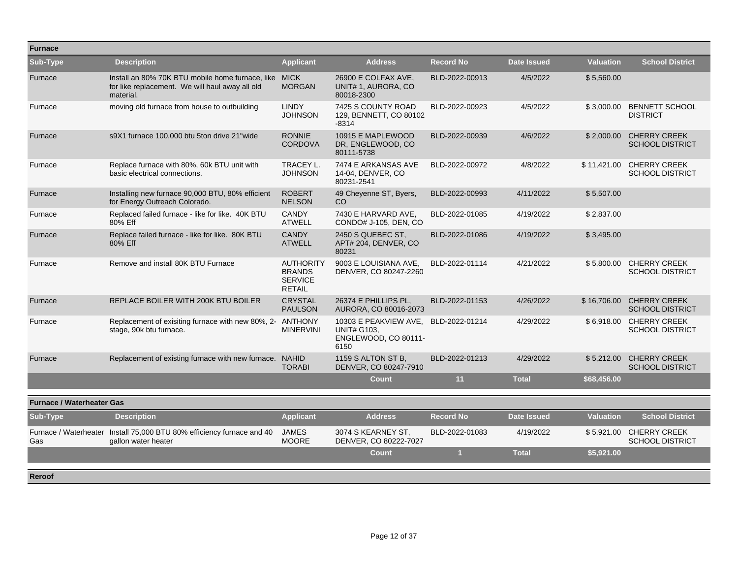| <b>Furnace</b>                   |                                                                                                                       |                                                                      |                                                                                            |                  |                    |                  |                                                    |
|----------------------------------|-----------------------------------------------------------------------------------------------------------------------|----------------------------------------------------------------------|--------------------------------------------------------------------------------------------|------------------|--------------------|------------------|----------------------------------------------------|
| Sub-Type                         | <b>Description</b>                                                                                                    | <b>Applicant</b>                                                     | <b>Address</b>                                                                             | <b>Record No</b> | <b>Date Issued</b> | <b>Valuation</b> | <b>School District</b>                             |
| Furnace                          | Install an 80% 70K BTU mobile home furnace, like MICK<br>for like replacement. We will haul away all old<br>material. | <b>MORGAN</b>                                                        | 26900 E COLFAX AVE.<br>UNIT# 1, AURORA, CO<br>80018-2300                                   | BLD-2022-00913   | 4/5/2022           | \$5,560.00       |                                                    |
| Furnace                          | moving old furnace from house to outbuilding                                                                          | <b>LINDY</b><br><b>JOHNSON</b>                                       | 7425 S COUNTY ROAD<br>129, BENNETT, CO 80102<br>$-8314$                                    | BLD-2022-00923   | 4/5/2022           |                  | \$3,000.00 BENNETT SCHOOL<br><b>DISTRICT</b>       |
| Furnace                          | s9X1 furnace 100,000 btu 5ton drive 21"wide                                                                           | <b>RONNIE</b><br><b>CORDOVA</b>                                      | 10915 E MAPLEWOOD<br>DR, ENGLEWOOD, CO<br>80111-5738                                       | BLD-2022-00939   | 4/6/2022           | \$2,000.00       | <b>CHERRY CREEK</b><br><b>SCHOOL DISTRICT</b>      |
| Furnace                          | Replace furnace with 80%, 60k BTU unit with<br>basic electrical connections.                                          | TRACEY L.<br><b>JOHNSON</b>                                          | 7474 E ARKANSAS AVE<br>14-04, DENVER, CO<br>80231-2541                                     | BLD-2022-00972   | 4/8/2022           |                  | \$11,421.00 CHERRY CREEK<br><b>SCHOOL DISTRICT</b> |
| Furnace                          | Installing new furnace 90,000 BTU, 80% efficient<br>for Energy Outreach Colorado.                                     | <b>ROBERT</b><br><b>NELSON</b>                                       | 49 Cheyenne ST, Byers,<br>CO.                                                              | BLD-2022-00993   | 4/11/2022          | \$5,507.00       |                                                    |
| Furnace                          | Replaced failed furnace - like for like. 40K BTU<br>80% Eff                                                           | <b>CANDY</b><br><b>ATWELL</b>                                        | 7430 E HARVARD AVE,<br>CONDO# J-105, DEN, CO                                               | BLD-2022-01085   | 4/19/2022          | \$2,837.00       |                                                    |
| Furnace                          | Replace failed furnace - like for like. 80K BTU<br>80% Eff                                                            | <b>CANDY</b><br><b>ATWELL</b>                                        | 2450 S QUEBEC ST,<br>APT# 204, DENVER, CO<br>80231                                         | BLD-2022-01086   | 4/19/2022          | \$3,495.00       |                                                    |
| Furnace                          | Remove and install 80K BTU Furnace                                                                                    | <b>AUTHORITY</b><br><b>BRANDS</b><br><b>SERVICE</b><br><b>RETAIL</b> | 9003 E LOUISIANA AVE.<br>DENVER, CO 80247-2260                                             | BLD-2022-01114   | 4/21/2022          | \$5.800.00       | <b>CHERRY CREEK</b><br><b>SCHOOL DISTRICT</b>      |
| Furnace                          | REPLACE BOILER WITH 200K BTU BOILER                                                                                   | <b>CRYSTAL</b><br><b>PAULSON</b>                                     | 26374 E PHILLIPS PL.<br>AURORA, CO 80016-2073                                              | BLD-2022-01153   | 4/26/2022          |                  | \$16,706.00 CHERRY CREEK<br><b>SCHOOL DISTRICT</b> |
| Furnace                          | Replacement of exisiting furnace with new 80%, 2- ANTHONY<br>stage, 90k btu furnace.                                  | <b>MINERVINI</b>                                                     | 10303 E PEAKVIEW AVE. BLD-2022-01214<br><b>UNIT# G103.</b><br>ENGLEWOOD, CO 80111-<br>6150 |                  | 4/29/2022          |                  | \$6.918.00 CHERRY CREEK<br><b>SCHOOL DISTRICT</b>  |
| Furnace                          | Replacement of existing furnace with new furnace. NAHID                                                               | <b>TORABI</b>                                                        | 1159 S ALTON ST B.<br>DENVER, CO 80247-7910                                                | BLD-2022-01213   | 4/29/2022          | \$5,212.00       | <b>CHERRY CREEK</b><br><b>SCHOOL DISTRICT</b>      |
|                                  |                                                                                                                       |                                                                      | Count                                                                                      | 11               | <b>Total</b>       | \$68,456.00      |                                                    |
| <b>Furnace / Waterheater Gas</b> |                                                                                                                       |                                                                      |                                                                                            |                  |                    |                  |                                                    |
| Sub-Type                         | <b>Description</b>                                                                                                    | <b>Applicant</b>                                                     | <b>Address</b>                                                                             | <b>Record No</b> | <b>Date Issued</b> | <b>Valuation</b> | <b>School District</b>                             |
| Gas                              | Furnace / Waterheater Install 75,000 BTU 80% efficiency furnace and 40<br>gallon water heater                         | <b>JAMES</b><br><b>MOORE</b>                                         | 3074 S KEARNEY ST.<br>DENVER, CO 80222-7027                                                | BLD-2022-01083   | 4/19/2022          |                  | \$5,921.00 CHERRY CREEK<br><b>SCHOOL DISTRICT</b>  |
|                                  |                                                                                                                       |                                                                      | <b>Count</b>                                                                               | $\overline{1}$   | <b>Total</b>       | \$5,921.00       |                                                    |
| Reroof                           |                                                                                                                       |                                                                      |                                                                                            |                  |                    |                  |                                                    |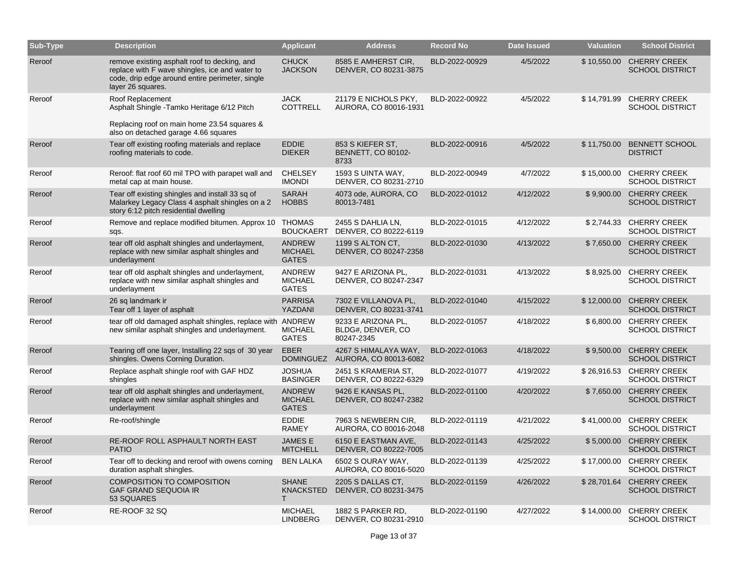| <b>Sub-Type</b> | <b>Description</b>                                                                                                                                                     | <b>Applicant</b>                                | <b>Address</b>                                        | <b>Record No</b> | <b>Date Issued</b> | Valuation   | <b>School District</b>                             |
|-----------------|------------------------------------------------------------------------------------------------------------------------------------------------------------------------|-------------------------------------------------|-------------------------------------------------------|------------------|--------------------|-------------|----------------------------------------------------|
| Reroof          | remove existing asphalt roof to decking, and<br>replace with F wave shingles, ice and water to<br>code, drip edge around entire perimeter, single<br>layer 26 squares. | <b>CHUCK</b><br><b>JACKSON</b>                  | 8585 E AMHERST CIR,<br>DENVER, CO 80231-3875          | BLD-2022-00929   | 4/5/2022           | \$10,550.00 | <b>CHERRY CREEK</b><br><b>SCHOOL DISTRICT</b>      |
| Reroof          | Roof Replacement<br>Asphalt Shingle - Tamko Heritage 6/12 Pitch<br>Replacing roof on main home 23.54 squares &<br>also on detached garage 4.66 squares                 | <b>JACK</b><br><b>COTTRELL</b>                  | 21179 E NICHOLS PKY,<br>AURORA, CO 80016-1931         | BLD-2022-00922   | 4/5/2022           | \$14,791.99 | <b>CHERRY CREEK</b><br><b>SCHOOL DISTRICT</b>      |
| Reroof          | Tear off existing roofing materials and replace<br>roofing materials to code.                                                                                          | <b>EDDIE</b><br><b>DIEKER</b>                   | 853 S KIEFER ST,<br><b>BENNETT, CO 80102-</b><br>8733 | BLD-2022-00916   | 4/5/2022           | \$11,750.00 | <b>BENNETT SCHOOL</b><br><b>DISTRICT</b>           |
| Reroof          | Reroof: flat roof 60 mil TPO with parapet wall and<br>metal cap at main house.                                                                                         | <b>CHELSEY</b><br><b>IMONDI</b>                 | 1593 S UINTA WAY,<br>DENVER, CO 80231-2710            | BLD-2022-00949   | 4/7/2022           | \$15,000.00 | <b>CHERRY CREEK</b><br><b>SCHOOL DISTRICT</b>      |
| Reroof          | Tear off existing shingles and install 33 sq of<br>Malarkey Legacy Class 4 asphalt shingles on a 2<br>story 6:12 pitch residential dwelling                            | <b>SARAH</b><br><b>HOBBS</b>                    | 4073 ode, AURORA, CO<br>80013-7481                    | BLD-2022-01012   | 4/12/2022          | \$9,900.00  | <b>CHERRY CREEK</b><br><b>SCHOOL DISTRICT</b>      |
| Reroof          | Remove and replace modified bitumen. Approx 10 THOMAS<br>sqs.                                                                                                          | <b>BOUCKAERT</b>                                | 2455 S DAHLIA LN,<br>DENVER, CO 80222-6119            | BLD-2022-01015   | 4/12/2022          | \$2,744.33  | <b>CHERRY CREEK</b><br><b>SCHOOL DISTRICT</b>      |
| Reroof          | tear off old asphalt shingles and underlayment,<br>replace with new similar asphalt shingles and<br>underlayment                                                       | ANDREW<br><b>MICHAEL</b><br><b>GATES</b>        | 1199 S ALTON CT.<br>DENVER, CO 80247-2358             | BLD-2022-01030   | 4/13/2022          | \$7,650.00  | <b>CHERRY CREEK</b><br><b>SCHOOL DISTRICT</b>      |
| Reroof          | tear off old asphalt shingles and underlayment,<br>replace with new similar asphalt shingles and<br>underlayment                                                       | ANDREW<br><b>MICHAEL</b><br><b>GATES</b>        | 9427 E ARIZONA PL,<br>DENVER, CO 80247-2347           | BLD-2022-01031   | 4/13/2022          | \$8,925.00  | <b>CHERRY CREEK</b><br><b>SCHOOL DISTRICT</b>      |
| Reroof          | 26 sq landmark ir<br>Tear off 1 layer of asphalt                                                                                                                       | <b>PARRISA</b><br>YAZDANI                       | 7302 E VILLANOVA PL,<br>DENVER, CO 80231-3741         | BLD-2022-01040   | 4/15/2022          | \$12,000.00 | <b>CHERRY CREEK</b><br><b>SCHOOL DISTRICT</b>      |
| Reroof          | tear off old damaged asphalt shingles, replace with ANDREW<br>new similar asphalt shingles and underlayment.                                                           | <b>MICHAEL</b><br><b>GATES</b>                  | 9233 E ARIZONA PL,<br>BLDG#, DENVER, CO<br>80247-2345 | BLD-2022-01057   | 4/18/2022          | \$6,800.00  | <b>CHERRY CREEK</b><br><b>SCHOOL DISTRICT</b>      |
| Reroof          | Tearing off one layer, Installing 22 sqs of 30 year<br>shingles. Owens Corning Duration.                                                                               | <b>EBER</b><br><b>DOMINGUEZ</b>                 | 4267 S HIMALAYA WAY,<br>AURORA, CO 80013-6082         | BLD-2022-01063   | 4/18/2022          | \$9,500.00  | <b>CHERRY CREEK</b><br><b>SCHOOL DISTRICT</b>      |
| Reroof          | Replace asphalt shingle roof with GAF HDZ<br>shingles                                                                                                                  | <b>JOSHUA</b><br><b>BASINGER</b>                | 2451 S KRAMERIA ST,<br>DENVER, CO 80222-6329          | BLD-2022-01077   | 4/19/2022          |             | \$26,916.53 CHERRY CREEK<br><b>SCHOOL DISTRICT</b> |
| Reroof          | tear off old asphalt shingles and underlayment,<br>replace with new similar asphalt shingles and<br>underlayment                                                       | <b>ANDREW</b><br><b>MICHAEL</b><br><b>GATES</b> | 9426 E KANSAS PL,<br>DENVER, CO 80247-2382            | BLD-2022-01100   | 4/20/2022          | \$7,650.00  | <b>CHERRY CREEK</b><br><b>SCHOOL DISTRICT</b>      |
| Reroof          | Re-roof/shingle                                                                                                                                                        | <b>EDDIE</b><br><b>RAMEY</b>                    | 7963 S NEWBERN CIR,<br>AURORA, CO 80016-2048          | BLD-2022-01119   | 4/21/2022          | \$41,000.00 | <b>CHERRY CREEK</b><br><b>SCHOOL DISTRICT</b>      |
| Reroof          | RE-ROOF ROLL ASPHAULT NORTH EAST<br><b>PATIO</b>                                                                                                                       | <b>JAMESE</b><br><b>MITCHELL</b>                | 6150 E EASTMAN AVE,<br>DENVER, CO 80222-7005          | BLD-2022-01143   | 4/25/2022          | \$5,000.00  | <b>CHERRY CREEK</b><br><b>SCHOOL DISTRICT</b>      |
| Reroof          | Tear off to decking and reroof with owens corning<br>duration asphalt shingles.                                                                                        | <b>BEN LALKA</b>                                | 6502 S OURAY WAY,<br>AURORA, CO 80016-5020            | BLD-2022-01139   | 4/25/2022          |             | \$17,000.00 CHERRY CREEK<br><b>SCHOOL DISTRICT</b> |
| Reroof          | <b>COMPOSITION TO COMPOSITION</b><br><b>GAF GRAND SEQUOIA IR</b><br>53 SQUARES                                                                                         | <b>SHANE</b><br><b>KNACKSTED</b><br>T           | 2205 S DALLAS CT.<br>DENVER, CO 80231-3475            | BLD-2022-01159   | 4/26/2022          | \$28,701.64 | <b>CHERRY CREEK</b><br><b>SCHOOL DISTRICT</b>      |
| Reroof          | RE-ROOF 32 SQ                                                                                                                                                          | <b>MICHAEL</b><br><b>LINDBERG</b>               | 1882 S PARKER RD,<br>DENVER, CO 80231-2910            | BLD-2022-01190   | 4/27/2022          | \$14,000.00 | <b>CHERRY CREEK</b><br><b>SCHOOL DISTRICT</b>      |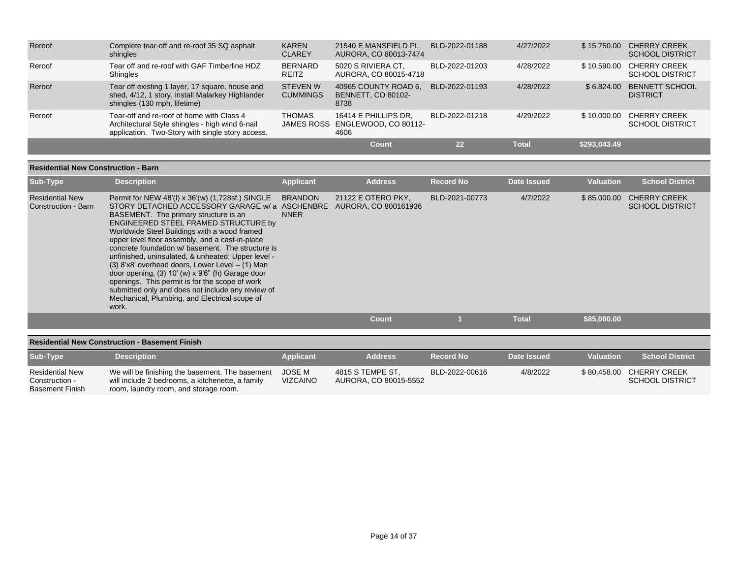| Reroof | Complete tear-off and re-roof 35 SQ asphalt<br>shingles                                                                                          | <b>KAREN</b><br><b>CLAREY</b>      | 21540 E MANSFIELD PL,<br>AURORA, CO 80013-7474                  | BLD-2022-01188 | 4/27/2022    | \$15,750.00  | <b>CHERRY CREEK</b><br><b>SCHOOL DISTRICT</b> |
|--------|--------------------------------------------------------------------------------------------------------------------------------------------------|------------------------------------|-----------------------------------------------------------------|----------------|--------------|--------------|-----------------------------------------------|
| Reroof | Tear off and re-roof with GAF Timberline HDZ<br>Shingles                                                                                         | <b>BERNARD</b><br><b>REITZ</b>     | 5020 S RIVIERA CT.<br>AURORA, CO 80015-4718                     | BLD-2022-01203 | 4/28/2022    | \$10.590.00  | <b>CHERRY CREEK</b><br><b>SCHOOL DISTRICT</b> |
| Reroof | Tear off existing 1 layer, 17 square, house and<br>shed, 4/12, 1 story, install Malarkey Highlander<br>shingles (130 mph, lifetime)              | <b>STEVEN W</b><br><b>CUMMINGS</b> | 40965 COUNTY ROAD 6,<br><b>BENNETT, CO 80102-</b><br>8738       | BLD-2022-01193 | 4/28/2022    | \$6.824.00   | <b>BENNETT SCHOOL</b><br><b>DISTRICT</b>      |
| Reroof | Tear-off and re-roof of home with Class 4<br>Architectural Style shingles - high wind 6-nail<br>application. Two-Story with single story access. | <b>THOMAS</b>                      | 16414 E PHILLIPS DR.<br>JAMES ROSS ENGLEWOOD, CO 80112-<br>4606 | BLD-2022-01218 | 4/29/2022    | \$10,000.00  | <b>CHERRY CREEK</b><br><b>SCHOOL DISTRICT</b> |
|        |                                                                                                                                                  |                                    | Count                                                           | 22             | <b>Total</b> | \$293,043.49 |                                               |

| <b>Residential New</b><br>Construction - Barn | Permit for NEW 48'(I) x 36'(w) (1,728sf.) SINGLE                                                                                                                                                                                                                                                                                                                                                                                                                                                                                                                                                                           | <b>BRANDON</b> |                                            |                |              |             |                                               |
|-----------------------------------------------|----------------------------------------------------------------------------------------------------------------------------------------------------------------------------------------------------------------------------------------------------------------------------------------------------------------------------------------------------------------------------------------------------------------------------------------------------------------------------------------------------------------------------------------------------------------------------------------------------------------------------|----------------|--------------------------------------------|----------------|--------------|-------------|-----------------------------------------------|
|                                               | STORY DETACHED ACCESSORY GARAGE w/a ASCHENBRE<br>BASEMENT. The primary structure is an<br>ENGINEERED STEEL FRAMED STRUCTURE by<br>Worldwide Steel Buildings with a wood framed<br>upper level floor assembly, and a cast-in-place<br>concrete foundation w/ basement. The structure is<br>unfinished, uninsulated, & unheated; Upper level -<br>$(3)$ 8'x8' overhead doors, Lower Level – $(1)$ Man<br>door opening, $(3)$ 10' (w) x 9'6" (h) Garage door<br>openings. This permit is for the scope of work<br>submitted only and does not include any review of<br>Mechanical, Plumbing, and Electrical scope of<br>work. | <b>NNER</b>    | 21122 E OTERO PKY,<br>AURORA, CO 800161936 | BLD-2021-00773 | 4/7/2022     | \$85,000.00 | <b>CHERRY CREEK</b><br><b>SCHOOL DISTRICT</b> |
|                                               |                                                                                                                                                                                                                                                                                                                                                                                                                                                                                                                                                                                                                            |                | <b>Count</b>                               |                | <b>Total</b> | \$85,000.00 |                                               |

|                                                                    | <u> RESIGENIAI NEW CONSUGENCII - DASENIENI I INSH</u>                                                                                        |                           |                                           |                  |             |                  |                                                    |
|--------------------------------------------------------------------|----------------------------------------------------------------------------------------------------------------------------------------------|---------------------------|-------------------------------------------|------------------|-------------|------------------|----------------------------------------------------|
| <b>Sub-Type</b>                                                    | <b>Description</b>                                                                                                                           | <b>Applicant</b>          | <b>Address</b>                            | <b>Record No</b> | Date Issued | <b>Valuation</b> | <b>School District</b>                             |
| <b>Residential New</b><br>Construction -<br><b>Basement Finish</b> | We will be finishing the basement. The basement<br>will include 2 bedrooms, a kitchenette, a family<br>room, laundry room, and storage room. | JOSE M<br><b>VIZCAINO</b> | 4815 S TEMPE ST,<br>AURORA, CO 80015-5552 | BLD-2022-00616   | 4/8/2022    |                  | \$80.458.00 CHERRY CREEK<br><b>SCHOOL DISTRICT</b> |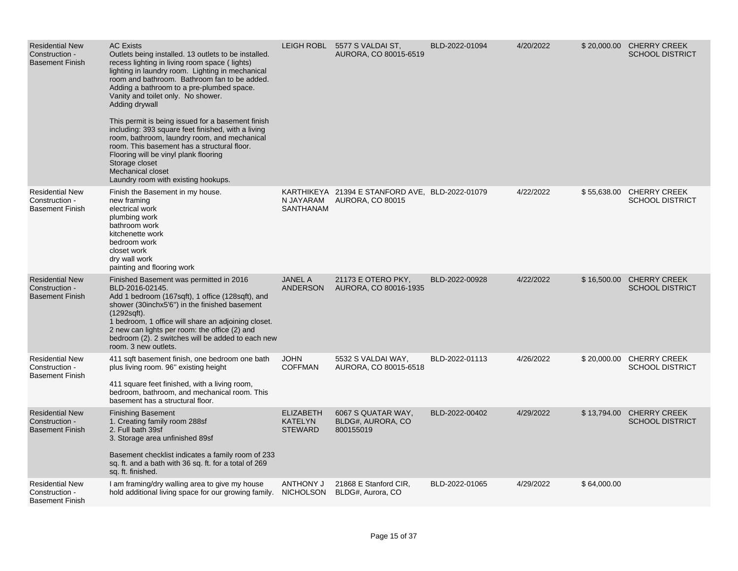| <b>Residential New</b><br>Construction -<br><b>Basement Finish</b> | <b>AC Exists</b><br>Outlets being installed. 13 outlets to be installed.<br>recess lighting in living room space (lights)<br>lighting in laundry room. Lighting in mechanical<br>room and bathroom. Bathroom fan to be added.<br>Adding a bathroom to a pre-plumbed space.<br>Vanity and toilet only. No shower.<br>Adding drywall<br>This permit is being issued for a basement finish<br>including: 393 square feet finished, with a living<br>room, bathroom, laundry room, and mechanical<br>room. This basement has a structural floor.<br>Flooring will be vinyl plank flooring<br>Storage closet<br>Mechanical closet<br>Laundry room with existing hookups. |                                                      | LEIGH ROBL 5577 S VALDAI ST,<br>AURORA, CO 80015-6519                      | BLD-2022-01094 | 4/20/2022 |             | \$20,000.00 CHERRY CREEK<br><b>SCHOOL DISTRICT</b> |
|--------------------------------------------------------------------|---------------------------------------------------------------------------------------------------------------------------------------------------------------------------------------------------------------------------------------------------------------------------------------------------------------------------------------------------------------------------------------------------------------------------------------------------------------------------------------------------------------------------------------------------------------------------------------------------------------------------------------------------------------------|------------------------------------------------------|----------------------------------------------------------------------------|----------------|-----------|-------------|----------------------------------------------------|
| <b>Residential New</b><br>Construction -<br><b>Basement Finish</b> | Finish the Basement in my house.<br>new framing<br>electrical work<br>plumbing work<br>bathroom work<br>kitchenette work<br>bedroom work<br>closet work<br>dry wall work<br>painting and flooring work                                                                                                                                                                                                                                                                                                                                                                                                                                                              | N JAYARAM<br>SANTHANAM                               | KARTHIKEYA 21394 E STANFORD AVE, BLD-2022-01079<br><b>AURORA, CO 80015</b> |                | 4/22/2022 |             | \$55,638.00 CHERRY CREEK<br><b>SCHOOL DISTRICT</b> |
| <b>Residential New</b><br>Construction -<br><b>Basement Finish</b> | Finished Basement was permitted in 2016<br>BLD-2016-02145.<br>Add 1 bedroom (167sqft), 1 office (128sqft), and<br>shower (30inchx5'6") in the finished basement<br>$(1292\text{sqft})$ .<br>1 bedroom, 1 office will share an adjoining closet.<br>2 new can lights per room: the office (2) and<br>bedroom (2). 2 switches will be added to each new<br>room. 3 new outlets.                                                                                                                                                                                                                                                                                       | <b>JANEL A</b><br><b>ANDERSON</b>                    | 21173 E OTERO PKY,<br>AURORA, CO 80016-1935                                | BLD-2022-00928 | 4/22/2022 |             | \$16,500.00 CHERRY CREEK<br><b>SCHOOL DISTRICT</b> |
| <b>Residential New</b><br>Construction -<br><b>Basement Finish</b> | 411 sqft basement finish, one bedroom one bath<br>plus living room. 96" existing height<br>411 square feet finished, with a living room,<br>bedroom, bathroom, and mechanical room. This<br>basement has a structural floor.                                                                                                                                                                                                                                                                                                                                                                                                                                        | <b>JOHN</b><br><b>COFFMAN</b>                        | 5532 S VALDAI WAY,<br>AURORA, CO 80015-6518                                | BLD-2022-01113 | 4/26/2022 |             | \$20,000.00 CHERRY CREEK<br><b>SCHOOL DISTRICT</b> |
| <b>Residential New</b><br>Construction -<br><b>Basement Finish</b> | <b>Finishing Basement</b><br>1. Creating family room 288sf<br>2. Full bath 39sf<br>3. Storage area unfinished 89sf<br>Basement checklist indicates a family room of 233<br>sq. ft. and a bath with 36 sq. ft. for a total of 269<br>sq. ft. finished.                                                                                                                                                                                                                                                                                                                                                                                                               | <b>ELIZABETH</b><br><b>KATELYN</b><br><b>STEWARD</b> | 6067 S QUATAR WAY,<br>BLDG#, AURORA, CO<br>800155019                       | BLD-2022-00402 | 4/29/2022 |             | \$13,794.00 CHERRY CREEK<br><b>SCHOOL DISTRICT</b> |
| <b>Residential New</b><br>Construction -<br><b>Basement Finish</b> | I am framing/dry walling area to give my house<br>hold additional living space for our growing family.                                                                                                                                                                                                                                                                                                                                                                                                                                                                                                                                                              | <b>ANTHONY J</b><br>NICHOLSON                        | 21868 E Stanford CIR,<br>BLDG#, Aurora, CO                                 | BLD-2022-01065 | 4/29/2022 | \$64,000.00 |                                                    |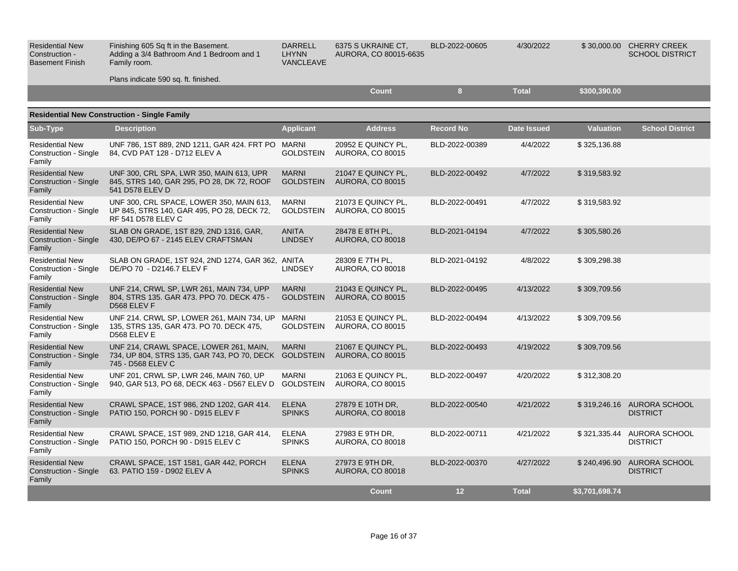| <b>Residential New</b><br>Construction -<br><b>Basement Finish</b> | Finishing 605 Sq ft in the Basement.<br>Adding a 3/4 Bathroom And 1 Bedroom and 1<br>Family room.<br>Plans indicate 590 sq. ft. finished. | <b>DARRELL</b><br><b>LHYNN</b><br>VANCLEAVE | 6375 S UKRAINE CT.<br>AURORA, CO 80015-6635   | BLD-2022-00605   | 4/30/2022          |                  | \$30,000.00 CHERRY CREEK<br><b>SCHOOL DISTRICT</b> |
|--------------------------------------------------------------------|-------------------------------------------------------------------------------------------------------------------------------------------|---------------------------------------------|-----------------------------------------------|------------------|--------------------|------------------|----------------------------------------------------|
|                                                                    |                                                                                                                                           |                                             | <b>Count</b>                                  | 8 <sup>2</sup>   | <b>Total</b>       | \$300,390.00     |                                                    |
|                                                                    | <b>Residential New Construction - Single Family</b>                                                                                       |                                             |                                               |                  |                    |                  |                                                    |
| Sub-Type                                                           | <b>Description</b>                                                                                                                        | <b>Applicant</b>                            | <b>Address</b>                                | <b>Record No</b> | <b>Date Issued</b> | <b>Valuation</b> | <b>School District</b>                             |
| <b>Residential New</b><br>Construction - Single<br>Family          | UNF 786, 1ST 889, 2ND 1211, GAR 424. FRT PO MARNI<br>84, CVD PAT 128 - D712 ELEV A                                                        | <b>GOLDSTEIN</b>                            | 20952 E QUINCY PL,<br><b>AURORA, CO 80015</b> | BLD-2022-00389   | 4/4/2022           | \$325,136.88     |                                                    |
| <b>Residential New</b><br>Construction - Single<br>Family          | UNF 300, CRL SPA, LWR 350, MAIN 613, UPR<br>845, STRS 140, GAR 295, PO 28, DK 72, ROOF<br>541 D578 ELEV D                                 | <b>MARNI</b><br><b>GOLDSTEIN</b>            | 21047 E QUINCY PL,<br><b>AURORA, CO 80015</b> | BLD-2022-00492   | 4/7/2022           | \$319,583.92     |                                                    |
| <b>Residential New</b><br><b>Construction - Single</b><br>Family   | UNF 300, CRL SPACE, LOWER 350, MAIN 613,<br>UP 845, STRS 140, GAR 495, PO 28, DECK 72,<br><b>RF 541 D578 ELEV C</b>                       | <b>MARNI</b><br><b>GOLDSTEIN</b>            | 21073 E QUINCY PL,<br>AURORA, CO 80015        | BLD-2022-00491   | 4/7/2022           | \$319,583.92     |                                                    |
| <b>Residential New</b><br><b>Construction - Single</b><br>Family   | SLAB ON GRADE, 1ST 829, 2ND 1316, GAR,<br>430, DE/PO 67 - 2145 ELEV CRAFTSMAN                                                             | <b>ANITA</b><br><b>LINDSEY</b>              | 28478 E 8TH PL,<br>AURORA, CO 80018           | BLD-2021-04194   | 4/7/2022           | \$305,580.26     |                                                    |
| <b>Residential New</b><br>Construction - Single<br>Family          | SLAB ON GRADE, 1ST 924, 2ND 1274, GAR 362, ANITA<br>DE/PO 70 - D2146.7 ELEV F                                                             | <b>LINDSEY</b>                              | 28309 E 7TH PL,<br>AURORA, CO 80018           | BLD-2021-04192   | 4/8/2022           | \$309,298.38     |                                                    |
| <b>Residential New</b><br><b>Construction - Single</b><br>Family   | UNF 214, CRWL SP, LWR 261, MAIN 734, UPP<br>804, STRS 135. GAR 473. PPO 70. DECK 475 -<br>D568 ELEV F                                     | <b>MARNI</b><br><b>GOLDSTEIN</b>            | 21043 E QUINCY PL,<br><b>AURORA, CO 80015</b> | BLD-2022-00495   | 4/13/2022          | \$309,709.56     |                                                    |
| <b>Residential New</b><br>Construction - Single<br>Family          | UNF 214. CRWL SP, LOWER 261, MAIN 734, UP MARNI<br>135, STRS 135, GAR 473. PO 70. DECK 475,<br>D568 ELEV E                                | <b>GOLDSTEIN</b>                            | 21053 E QUINCY PL,<br><b>AURORA, CO 80015</b> | BLD-2022-00494   | 4/13/2022          | \$309,709.56     |                                                    |
| <b>Residential New</b><br>Construction - Single<br>Family          | UNF 214, CRAWL SPACE, LOWER 261, MAIN,<br>734, UP 804, STRS 135, GAR 743, PO 70, DECK GOLDSTEIN<br>745 - D568 ELEV C                      | <b>MARNI</b>                                | 21067 E QUINCY PL,<br><b>AURORA, CO 80015</b> | BLD-2022-00493   | 4/19/2022          | \$309,709.56     |                                                    |
| <b>Residential New</b><br><b>Construction - Single</b><br>Family   | UNF 201, CRWL SP, LWR 246, MAIN 760, UP<br>940, GAR 513, PO 68, DECK 463 - D567 ELEV D                                                    | <b>MARNI</b><br><b>GOLDSTEIN</b>            | 21063 E QUINCY PL,<br><b>AURORA, CO 80015</b> | BLD-2022-00497   | 4/20/2022          | \$312,308.20     |                                                    |
| <b>Residential New</b><br><b>Construction - Single</b><br>Family   | CRAWL SPACE, 1ST 986, 2ND 1202, GAR 414.<br>PATIO 150, PORCH 90 - D915 ELEV F                                                             | <b>ELENA</b><br><b>SPINKS</b>               | 27879 E 10TH DR,<br>AURORA, CO 80018          | BLD-2022-00540   | 4/21/2022          |                  | \$319,246.16 AURORA SCHOOL<br><b>DISTRICT</b>      |
| <b>Residential New</b><br>Construction - Single<br>Family          | CRAWL SPACE, 1ST 989, 2ND 1218, GAR 414,<br>PATIO 150, PORCH 90 - D915 ELEV C                                                             | <b>ELENA</b><br><b>SPINKS</b>               | 27983 E 9TH DR,<br>AURORA, CO 80018           | BLD-2022-00711   | 4/21/2022          | \$321,335.44     | AURORA SCHOOL<br><b>DISTRICT</b>                   |
| <b>Residential New</b><br>Construction - Single<br>Family          | CRAWL SPACE, 1ST 1581, GAR 442, PORCH<br>63. PATIO 159 - D902 ELEV A                                                                      | <b>ELENA</b><br><b>SPINKS</b>               | 27973 E 9TH DR,<br><b>AURORA, CO 80018</b>    | BLD-2022-00370   | 4/27/2022          | \$240,496.90     | <b>AURORA SCHOOL</b><br><b>DISTRICT</b>            |
|                                                                    |                                                                                                                                           |                                             | <b>Count</b>                                  | 12               | <b>Total</b>       | \$3,701,698.74   |                                                    |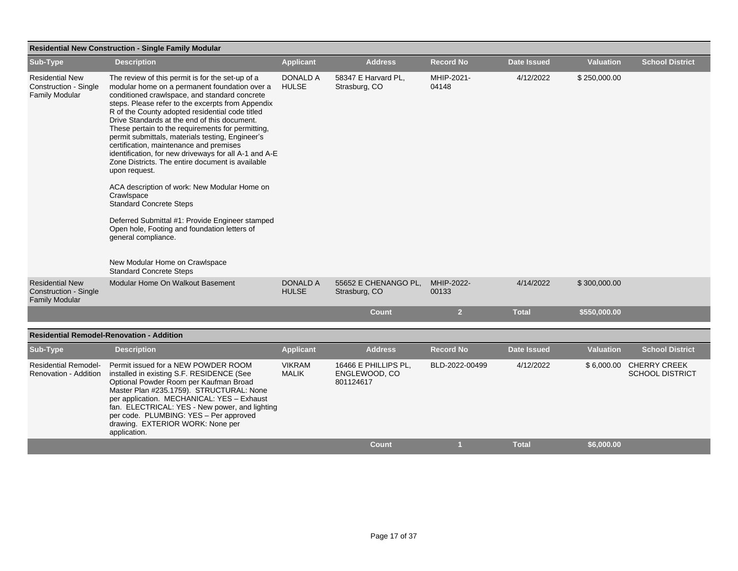| <b>Residential New Construction - Single Family Modular</b>                     |                                                                                                                                                                                                                                                                                                                                                                                                                                                                                                                                                                                                                                                                                                                                                                                                                        |                                 |                                                    |                     |                    |                  |                                                   |  |  |
|---------------------------------------------------------------------------------|------------------------------------------------------------------------------------------------------------------------------------------------------------------------------------------------------------------------------------------------------------------------------------------------------------------------------------------------------------------------------------------------------------------------------------------------------------------------------------------------------------------------------------------------------------------------------------------------------------------------------------------------------------------------------------------------------------------------------------------------------------------------------------------------------------------------|---------------------------------|----------------------------------------------------|---------------------|--------------------|------------------|---------------------------------------------------|--|--|
| Sub-Type                                                                        | <b>Description</b>                                                                                                                                                                                                                                                                                                                                                                                                                                                                                                                                                                                                                                                                                                                                                                                                     | <b>Applicant</b>                | <b>Address</b>                                     | <b>Record No</b>    | <b>Date Issued</b> | <b>Valuation</b> | <b>School District</b>                            |  |  |
| <b>Residential New</b><br><b>Construction - Single</b><br><b>Family Modular</b> | The review of this permit is for the set-up of a<br>modular home on a permanent foundation over a<br>conditioned crawlspace, and standard concrete<br>steps. Please refer to the excerpts from Appendix<br>R of the County adopted residential code titled<br>Drive Standards at the end of this document.<br>These pertain to the requirements for permitting,<br>permit submittals, materials testing, Engineer's<br>certification, maintenance and premises<br>identification, for new driveways for all A-1 and A-E<br>Zone Districts. The entire document is available<br>upon request.<br>ACA description of work: New Modular Home on<br>Crawlspace<br><b>Standard Concrete Steps</b><br>Deferred Submittal #1: Provide Engineer stamped<br>Open hole, Footing and foundation letters of<br>general compliance. | <b>DONALD A</b><br><b>HULSE</b> | 58347 E Harvard PL,<br>Strasburg, CO               | MHIP-2021-<br>04148 | 4/12/2022          | \$250,000.00     |                                                   |  |  |
|                                                                                 | New Modular Home on Crawlspace<br><b>Standard Concrete Steps</b>                                                                                                                                                                                                                                                                                                                                                                                                                                                                                                                                                                                                                                                                                                                                                       |                                 |                                                    |                     |                    |                  |                                                   |  |  |
| <b>Residential New</b><br>Construction - Single<br><b>Family Modular</b>        | Modular Home On Walkout Basement                                                                                                                                                                                                                                                                                                                                                                                                                                                                                                                                                                                                                                                                                                                                                                                       | DONALD A<br><b>HULSE</b>        | 55652 E CHENANGO PL,<br>Strasburg, CO              | MHIP-2022-<br>00133 | 4/14/2022          | \$300,000.00     |                                                   |  |  |
|                                                                                 |                                                                                                                                                                                                                                                                                                                                                                                                                                                                                                                                                                                                                                                                                                                                                                                                                        |                                 | <b>Count</b>                                       | $\overline{2}$      | <b>Total</b>       | \$550,000.00     |                                                   |  |  |
|                                                                                 | <b>Residential Remodel-Renovation - Addition</b>                                                                                                                                                                                                                                                                                                                                                                                                                                                                                                                                                                                                                                                                                                                                                                       |                                 |                                                    |                     |                    |                  |                                                   |  |  |
| Sub-Type                                                                        | <b>Description</b>                                                                                                                                                                                                                                                                                                                                                                                                                                                                                                                                                                                                                                                                                                                                                                                                     | <b>Applicant</b>                | <b>Address</b>                                     | <b>Record No</b>    | <b>Date Issued</b> | <b>Valuation</b> | <b>School District</b>                            |  |  |
| <b>Residential Remodel-</b><br>Renovation - Addition                            | Permit issued for a NEW POWDER ROOM<br>installed in existing S.F. RESIDENCE (See<br>Optional Powder Room per Kaufman Broad<br>Master Plan #235.1759). STRUCTURAL: None<br>per application. MECHANICAL: YES - Exhaust<br>fan. ELECTRICAL: YES - New power, and lighting<br>per code. PLUMBING: YES - Per approved<br>drawing. EXTERIOR WORK: None per<br>application.                                                                                                                                                                                                                                                                                                                                                                                                                                                   | <b>VIKRAM</b><br><b>MALIK</b>   | 16466 E PHILLIPS PL,<br>ENGLEWOOD, CO<br>801124617 | BLD-2022-00499      | 4/12/2022          |                  | \$6,000.00 CHERRY CREEK<br><b>SCHOOL DISTRICT</b> |  |  |
|                                                                                 |                                                                                                                                                                                                                                                                                                                                                                                                                                                                                                                                                                                                                                                                                                                                                                                                                        |                                 | <b>Count</b>                                       | $\mathbf{1}$        | <b>Total</b>       | \$6,000.00       |                                                   |  |  |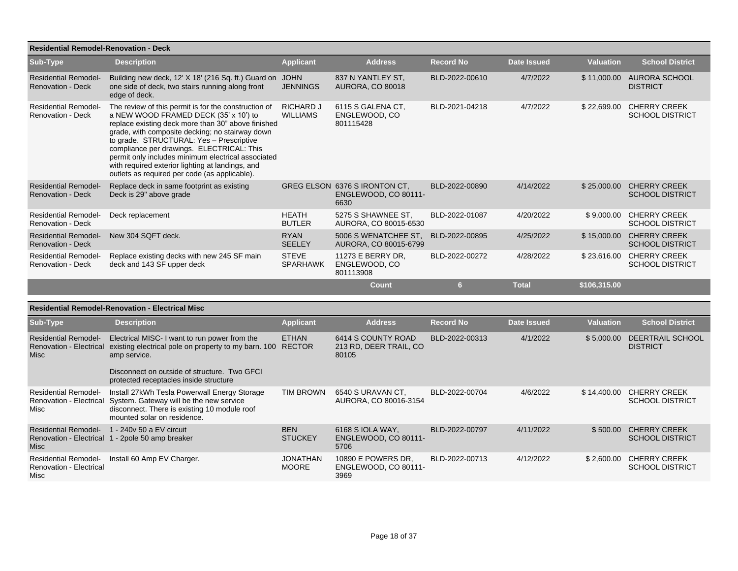| <b>Residential Remodel-Renovation - Deck</b>                          |                                                                                                                                                                                                                                                                                                                                                                                                                                                            |                                     |                                                               |                  |                    |                  |                                                    |
|-----------------------------------------------------------------------|------------------------------------------------------------------------------------------------------------------------------------------------------------------------------------------------------------------------------------------------------------------------------------------------------------------------------------------------------------------------------------------------------------------------------------------------------------|-------------------------------------|---------------------------------------------------------------|------------------|--------------------|------------------|----------------------------------------------------|
| Sub-Type                                                              | <b>Description</b>                                                                                                                                                                                                                                                                                                                                                                                                                                         | <b>Applicant</b>                    | <b>Address</b>                                                | <b>Record No</b> | Date Issued        | <b>Valuation</b> | <b>School District</b>                             |
| <b>Residential Remodel-</b><br><b>Renovation - Deck</b>               | Building new deck, 12' X 18' (216 Sq. ft.) Guard on JOHN<br>one side of deck, two stairs running along front<br>edge of deck.                                                                                                                                                                                                                                                                                                                              | <b>JENNINGS</b>                     | 837 N YANTLEY ST.<br><b>AURORA, CO 80018</b>                  | BLD-2022-00610   | 4/7/2022           |                  | \$11,000.00 AURORA SCHOOL<br><b>DISTRICT</b>       |
| <b>Residential Remodel-</b><br><b>Renovation - Deck</b>               | The review of this permit is for the construction of<br>a NEW WOOD FRAMED DECK (35' x 10') to<br>replace existing deck more than 30" above finished<br>grade, with composite decking; no stairway down<br>to grade. STRUCTURAL: Yes - Prescriptive<br>compliance per drawings. ELECTRICAL: This<br>permit only includes minimum electrical associated<br>with required exterior lighting at landings, and<br>outlets as required per code (as applicable). | <b>RICHARD J</b><br><b>WILLIAMS</b> | 6115 S GALENA CT,<br>ENGLEWOOD, CO<br>801115428               | BLD-2021-04218   | 4/7/2022           |                  | \$22,699.00 CHERRY CREEK<br><b>SCHOOL DISTRICT</b> |
| <b>Residential Remodel-</b><br><b>Renovation - Deck</b>               | Replace deck in same footprint as existing<br>Deck is 29" above grade                                                                                                                                                                                                                                                                                                                                                                                      |                                     | GREG ELSON 6376 S IRONTON CT,<br>ENGLEWOOD, CO 80111-<br>6630 | BLD-2022-00890   | 4/14/2022          |                  | \$25,000.00 CHERRY CREEK<br><b>SCHOOL DISTRICT</b> |
| <b>Residential Remodel-</b><br><b>Renovation - Deck</b>               | Deck replacement                                                                                                                                                                                                                                                                                                                                                                                                                                           | <b>HEATH</b><br><b>BUTLER</b>       | 5275 S SHAWNEE ST.<br>AURORA, CO 80015-6530                   | BLD-2022-01087   | 4/20/2022          |                  | \$9,000.00 CHERRY CREEK<br><b>SCHOOL DISTRICT</b>  |
| <b>Residential Remodel-</b><br><b>Renovation - Deck</b>               | New 304 SQFT deck.                                                                                                                                                                                                                                                                                                                                                                                                                                         | <b>RYAN</b><br>SEELEY               | 5006 S WENATCHEE ST.<br>AURORA, CO 80015-6799                 | BLD-2022-00895   | 4/25/2022          |                  | \$15,000.00 CHERRY CREEK<br><b>SCHOOL DISTRICT</b> |
| <b>Residential Remodel-</b><br><b>Renovation - Deck</b>               | Replace existing decks with new 245 SF main<br>deck and 143 SF upper deck                                                                                                                                                                                                                                                                                                                                                                                  | <b>STEVE</b><br><b>SPARHAWK</b>     | 11273 E BERRY DR,<br>ENGLEWOOD, CO<br>801113908               | BLD-2022-00272   | 4/28/2022          |                  | \$23,616.00 CHERRY CREEK<br><b>SCHOOL DISTRICT</b> |
|                                                                       |                                                                                                                                                                                                                                                                                                                                                                                                                                                            |                                     | <b>Count</b>                                                  | 6 <sup>1</sup>   | <b>Total</b>       | \$106,315.00     |                                                    |
|                                                                       | <b>Residential Remodel-Renovation - Electrical Misc</b>                                                                                                                                                                                                                                                                                                                                                                                                    |                                     |                                                               |                  |                    |                  |                                                    |
| Sub-Type                                                              | <b>Description</b>                                                                                                                                                                                                                                                                                                                                                                                                                                         | <b>Applicant</b>                    | <b>Address</b>                                                | <b>Record No</b> | <b>Date Issued</b> | <b>Valuation</b> | <b>School District</b>                             |
| <b>Residential Remodel-</b><br><b>Renovation - Electrical</b><br>Misc | Electrical MISC-I want to run power from the<br>existing electrical pole on property to my barn. 100 RECTOR<br>amp service.<br>Disconnect on outside of structure. Two GFCI<br>protected receptacles inside structure                                                                                                                                                                                                                                      | <b>ETHAN</b>                        | 6414 S COUNTY ROAD<br>213 RD, DEER TRAIL, CO<br>80105         | BLD-2022-00313   | 4/1/2022           |                  | \$5,000.00 DEERTRAIL SCHOOL<br><b>DISTRICT</b>     |
| <b>Residential Remodel-</b><br>Misc                                   | Install 27kWh Tesla Powerwall Energy Storage<br>Renovation - Electrical System. Gateway will be the new service<br>disconnect. There is existing 10 module roof<br>mounted solar on residence.                                                                                                                                                                                                                                                             | <b>TIM BROWN</b>                    | 6540 S URAVAN CT.<br>AURORA, CO 80016-3154                    | BLD-2022-00704   | 4/6/2022           |                  | \$14,400.00 CHERRY CREEK<br><b>SCHOOL DISTRICT</b> |
| Misc                                                                  | Residential Remodel- 1 - 240 v 50 a EV circuit<br>Renovation - Electrical 1 - 2pole 50 amp breaker                                                                                                                                                                                                                                                                                                                                                         | <b>BEN</b><br><b>STUCKEY</b>        | 6168 S IOLA WAY,<br>ENGLEWOOD, CO 80111-<br>5706              | BLD-2022-00797   | 4/11/2022          | \$500.00         | <b>CHERRY CREEK</b><br><b>SCHOOL DISTRICT</b>      |
| <b>Residential Remodel-</b><br><b>Renovation - Electrical</b><br>Misc | Install 60 Amp EV Charger.                                                                                                                                                                                                                                                                                                                                                                                                                                 | <b>JONATHAN</b><br><b>MOORE</b>     | 10890 E POWERS DR.<br>ENGLEWOOD, CO 80111-<br>3969            | BLD-2022-00713   | 4/12/2022          |                  | \$2,600.00 CHERRY CREEK<br><b>SCHOOL DISTRICT</b>  |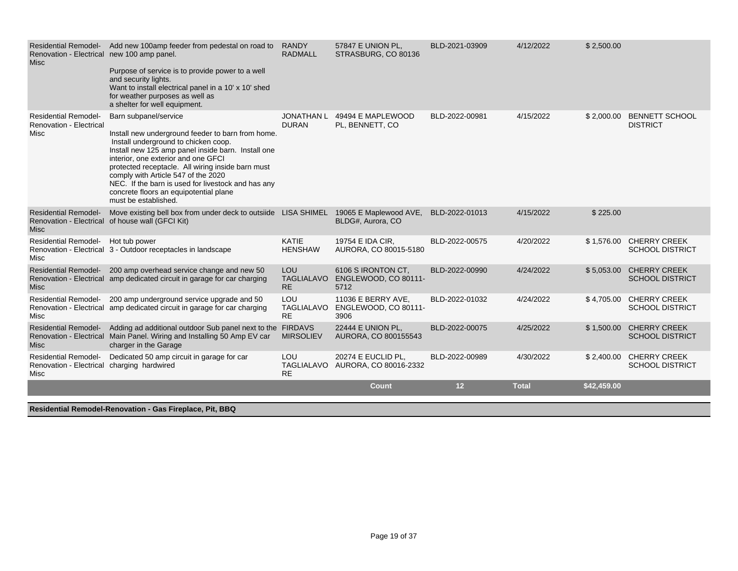| Renovation - Electrical new 100 amp panel.<br><b>Misc</b>                                | Residential Remodel- Add new 100amp feeder from pedestal on road to<br>Purpose of service is to provide power to a well<br>and security lights.<br>Want to install electrical panel in a 10' x 10' shed<br>for weather purposes as well as<br>a shelter for well equipment.                                                                                                                                                         | <b>RANDY</b><br><b>RADMALL</b>               | 57847 E UNION PL,<br>STRASBURG, CO 80136           | BLD-2021-03909 | 4/12/2022    | \$2,500.00  |                                                   |
|------------------------------------------------------------------------------------------|-------------------------------------------------------------------------------------------------------------------------------------------------------------------------------------------------------------------------------------------------------------------------------------------------------------------------------------------------------------------------------------------------------------------------------------|----------------------------------------------|----------------------------------------------------|----------------|--------------|-------------|---------------------------------------------------|
| <b>Residential Remodel-</b><br><b>Renovation - Electrical</b><br><b>Misc</b>             | Barn subpanel/service<br>Install new underground feeder to barn from home.<br>Install underground to chicken coop.<br>Install new 125 amp panel inside barn. Install one<br>interior, one exterior and one GFCI<br>protected receptacle. All wiring inside barn must<br>comply with Article 547 of the 2020<br>NEC. If the barn is used for livestock and has any<br>concrete floors an equipotential plane<br>must be established. | <b>JONATHAN L</b><br><b>DURAN</b>            | 49494 E MAPLEWOOD<br>PL, BENNETT, CO               | BLD-2022-00981 | 4/15/2022    |             | \$2,000.00 BENNETT SCHOOL<br><b>DISTRICT</b>      |
| <b>Residential Remodel-</b><br>Misc                                                      | Move existing bell box from under deck to outsiide LISA SHIMEL 19065 E Maplewood AVE,<br>Renovation - Electrical of house wall (GFCI Kit)                                                                                                                                                                                                                                                                                           |                                              | BLDG#, Aurora, CO                                  | BLD-2022-01013 | 4/15/2022    | \$225.00    |                                                   |
| <b>Residential Remodel-</b><br><b>Misc</b>                                               | Hot tub power<br>Renovation - Electrical 3 - Outdoor receptacles in landscape                                                                                                                                                                                                                                                                                                                                                       | <b>KATIE</b><br><b>HENSHAW</b>               | 19754 E IDA CIR,<br>AURORA, CO 80015-5180          | BLD-2022-00575 | 4/20/2022    |             | \$1,576.00 CHERRY CREEK<br><b>SCHOOL DISTRICT</b> |
| <b>Misc</b>                                                                              | Residential Remodel- 200 amp overhead service change and new 50<br>Renovation - Electrical amp dedicated circuit in garage for car charging                                                                                                                                                                                                                                                                                         | <b>LOU</b><br><b>TAGLIALAVO</b><br><b>RE</b> | 6106 S IRONTON CT.<br>ENGLEWOOD, CO 80111-<br>5712 | BLD-2022-00990 | 4/24/2022    |             | \$5,053.00 CHERRY CREEK<br><b>SCHOOL DISTRICT</b> |
| <b>Residential Remodel-</b><br><b>Misc</b>                                               | 200 amp underground service upgrade and 50<br>Renovation - Electrical amp dedicated circuit in garage for car charging                                                                                                                                                                                                                                                                                                              | LOU<br><b>TAGLIALAVO</b><br><b>RE</b>        | 11036 E BERRY AVE.<br>ENGLEWOOD, CO 80111-<br>3906 | BLD-2022-01032 | 4/24/2022    |             | \$4,705.00 CHERRY CREEK<br><b>SCHOOL DISTRICT</b> |
| <b>Misc</b>                                                                              | Residential Remodel- Adding ad additional outdoor Sub panel next to the FIRDAVS<br>Renovation - Electrical Main Panel. Wiring and Installing 50 Amp EV car<br>charger in the Garage                                                                                                                                                                                                                                                 | <b>MIRSOLIEV</b>                             | 22444 E UNION PL,<br>AURORA, CO 800155543          | BLD-2022-00075 | 4/25/2022    |             | \$1,500.00 CHERRY CREEK<br><b>SCHOOL DISTRICT</b> |
| <b>Residential Remodel-</b><br>Renovation - Electrical charging hardwired<br><b>Misc</b> | Dedicated 50 amp circuit in garage for car                                                                                                                                                                                                                                                                                                                                                                                          | LOU<br><b>TAGLIALAVO</b><br><b>RE</b>        | 20274 E EUCLID PL,<br>AURORA, CO 80016-2332        | BLD-2022-00989 | 4/30/2022    |             | \$2,400.00 CHERRY CREEK<br><b>SCHOOL DISTRICT</b> |
|                                                                                          |                                                                                                                                                                                                                                                                                                                                                                                                                                     |                                              | <b>Count</b>                                       | 12             | <b>Total</b> | \$42,459.00 |                                                   |

**Residential Remodel-Renovation - Gas Fireplace, Pit, BBQ**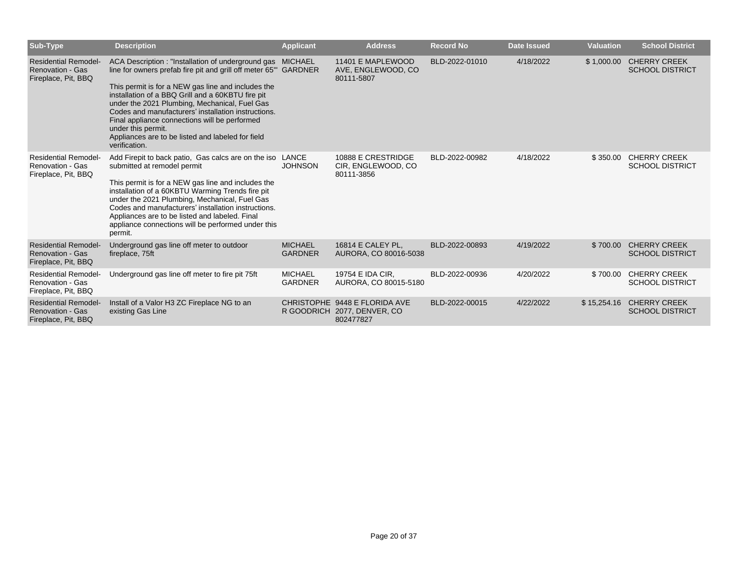| Sub-Type                                                                      | <b>Description</b>                                                                                                                                                                                                                                                                                                                                                                                                                                                                            | <b>Applicant</b>                 | <b>Address</b>                                                             | <b>Record No</b> | <b>Date Issued</b> | <b>Valuation</b> | <b>School District</b>                        |
|-------------------------------------------------------------------------------|-----------------------------------------------------------------------------------------------------------------------------------------------------------------------------------------------------------------------------------------------------------------------------------------------------------------------------------------------------------------------------------------------------------------------------------------------------------------------------------------------|----------------------------------|----------------------------------------------------------------------------|------------------|--------------------|------------------|-----------------------------------------------|
| <b>Residential Remodel-</b><br><b>Renovation - Gas</b><br>Fireplace, Pit, BBQ | ACA Description : "Installation of underground gas MICHAEL<br>line for owners prefab fire pit and grill off meter 65" GARDNER<br>This permit is for a NEW gas line and includes the<br>installation of a BBQ Grill and a 60KBTU fire pit<br>under the 2021 Plumbing, Mechanical, Fuel Gas<br>Codes and manufacturers' installation instructions.<br>Final appliance connections will be performed<br>under this permit.<br>Appliances are to be listed and labeled for field<br>verification. |                                  | 11401 E MAPLEWOOD<br>AVE, ENGLEWOOD, CO<br>80111-5807                      | BLD-2022-01010   | 4/18/2022          | \$1,000.00       | <b>CHERRY CREEK</b><br><b>SCHOOL DISTRICT</b> |
| <b>Residential Remodel-</b><br>Renovation - Gas<br>Fireplace, Pit, BBQ        | Add Firepit to back patio, Gas calcs are on the iso LANCE<br>submitted at remodel permit<br>This permit is for a NEW gas line and includes the<br>installation of a 60KBTU Warming Trends fire pit<br>under the 2021 Plumbing, Mechanical, Fuel Gas<br>Codes and manufacturers' installation instructions.<br>Appliances are to be listed and labeled. Final<br>appliance connections will be performed under this<br>permit.                                                                 | <b>JOHNSON</b>                   | 10888 E CRESTRIDGE<br>CIR, ENGLEWOOD, CO<br>80111-3856                     | BLD-2022-00982   | 4/18/2022          | \$350.00         | <b>CHERRY CREEK</b><br><b>SCHOOL DISTRICT</b> |
| <b>Residential Remodel-</b><br>Renovation - Gas<br>Fireplace, Pit, BBQ        | Underground gas line off meter to outdoor<br>fireplace, 75ft                                                                                                                                                                                                                                                                                                                                                                                                                                  | <b>MICHAEL</b><br><b>GARDNER</b> | 16814 E CALEY PL.<br>AURORA, CO 80016-5038                                 | BLD-2022-00893   | 4/19/2022          | \$700.00         | <b>CHERRY CREEK</b><br><b>SCHOOL DISTRICT</b> |
| <b>Residential Remodel-</b><br><b>Renovation - Gas</b><br>Fireplace, Pit, BBQ | Underground gas line off meter to fire pit 75ft                                                                                                                                                                                                                                                                                                                                                                                                                                               | <b>MICHAEL</b><br>GARDNER        | 19754 E IDA CIR,<br>AURORA, CO 80015-5180                                  | BLD-2022-00936   | 4/20/2022          | \$700.00         | <b>CHERRY CREEK</b><br><b>SCHOOL DISTRICT</b> |
| <b>Residential Remodel-</b><br><b>Renovation - Gas</b><br>Fireplace, Pit, BBQ | Install of a Valor H3 ZC Fireplace NG to an<br>existing Gas Line                                                                                                                                                                                                                                                                                                                                                                                                                              |                                  | CHRISTOPHE 9448 E FLORIDA AVE<br>R GOODRICH 2077, DENVER, CO.<br>802477827 | BLD-2022-00015   | 4/22/2022          | \$15,254.16      | <b>CHERRY CREEK</b><br><b>SCHOOL DISTRICT</b> |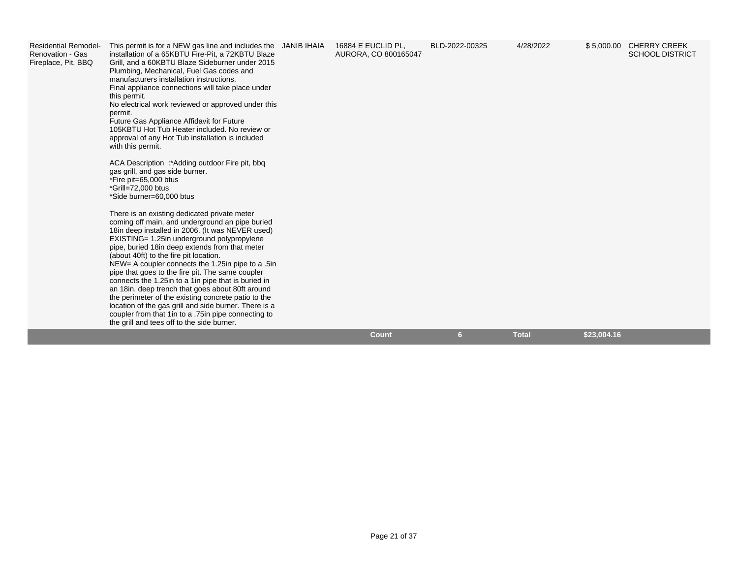| <b>Residential Remodel-</b><br>Renovation - Gas<br>Fireplace, Pit, BBQ | This permit is for a NEW gas line and includes the JANIB IHAIA<br>installation of a 65KBTU Fire-Pit, a 72KBTU Blaze<br>Grill, and a 60KBTU Blaze Sideburner under 2015<br>Plumbing, Mechanical, Fuel Gas codes and<br>manufacturers installation instructions.<br>Final appliance connections will take place under<br>this permit.<br>No electrical work reviewed or approved under this<br>permit.<br>Future Gas Appliance Affidavit for Future<br>105KBTU Hot Tub Heater included. No review or<br>approval of any Hot Tub installation is included<br>with this permit.<br>ACA Description :*Adding outdoor Fire pit, bbq<br>gas grill, and gas side burner.<br>*Fire pit=65,000 btus<br>*Grill=72,000 btus<br>*Side burner=60,000 btus<br>There is an existing dedicated private meter<br>coming off main, and underground an pipe buried<br>18 in deep installed in 2006. (It was NEVER used)<br>EXISTING= 1.25in underground polypropylene<br>pipe, buried 18 in deep extends from that meter<br>(about 40ft) to the fire pit location.<br>NEW= A coupler connects the 1.25 in pipe to a .5 in<br>pipe that goes to the fire pit. The same coupler<br>connects the 1.25 in to a 1 in pipe that is buried in<br>an 18in. deep trench that goes about 80ft around<br>the perimeter of the existing concrete patio to the<br>location of the gas grill and side burner. There is a<br>coupler from that 1 in to a .75 in pipe connecting to<br>the grill and tees off to the side burner. | 16884 E EUCLID PL.<br>AURORA, CO 800165047 | BLD-2022-00325 | 4/28/2022    | \$5,000.00 CHERRY CREEK<br><b>SCHOOL DISTRICT</b> |
|------------------------------------------------------------------------|-----------------------------------------------------------------------------------------------------------------------------------------------------------------------------------------------------------------------------------------------------------------------------------------------------------------------------------------------------------------------------------------------------------------------------------------------------------------------------------------------------------------------------------------------------------------------------------------------------------------------------------------------------------------------------------------------------------------------------------------------------------------------------------------------------------------------------------------------------------------------------------------------------------------------------------------------------------------------------------------------------------------------------------------------------------------------------------------------------------------------------------------------------------------------------------------------------------------------------------------------------------------------------------------------------------------------------------------------------------------------------------------------------------------------------------------------------------------------------------------------|--------------------------------------------|----------------|--------------|---------------------------------------------------|
|                                                                        |                                                                                                                                                                                                                                                                                                                                                                                                                                                                                                                                                                                                                                                                                                                                                                                                                                                                                                                                                                                                                                                                                                                                                                                                                                                                                                                                                                                                                                                                                               | Count                                      | 6 <sup>1</sup> | <b>Total</b> | \$23,004.16                                       |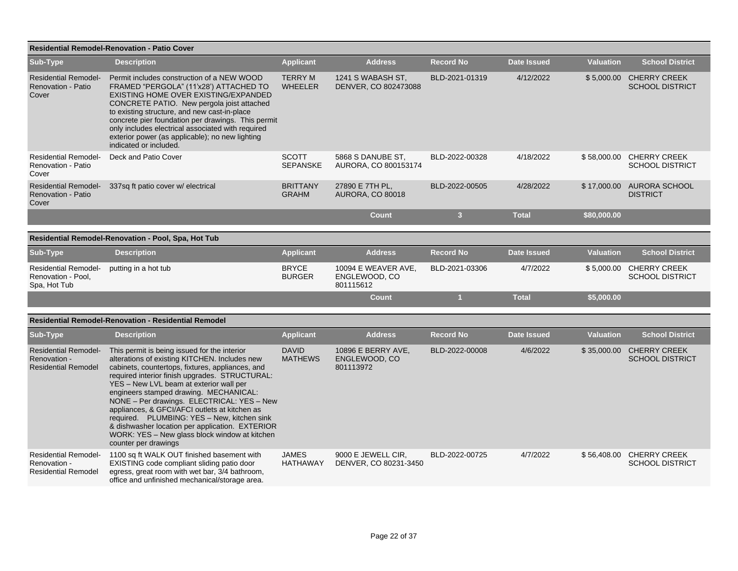|                                                                           | <b>Residential Remodel-Renovation - Patio Cover</b>                                                                                                                                                                                                                                                                                                                                                                                                                                                                                                                |                                  |                                                   |                  |                    |                  |                                                    |
|---------------------------------------------------------------------------|--------------------------------------------------------------------------------------------------------------------------------------------------------------------------------------------------------------------------------------------------------------------------------------------------------------------------------------------------------------------------------------------------------------------------------------------------------------------------------------------------------------------------------------------------------------------|----------------------------------|---------------------------------------------------|------------------|--------------------|------------------|----------------------------------------------------|
| Sub-Type                                                                  | <b>Description</b>                                                                                                                                                                                                                                                                                                                                                                                                                                                                                                                                                 | <b>Applicant</b>                 | <b>Address</b>                                    | <b>Record No</b> | <b>Date Issued</b> | <b>Valuation</b> | <b>School District</b>                             |
| <b>Residential Remodel-</b><br><b>Renovation - Patio</b><br>Cover         | Permit includes construction of a NEW WOOD<br>FRAMED "PERGOLA" (11'x28') ATTACHED TO<br>EXISTING HOME OVER EXISTING/EXPANDED<br>CONCRETE PATIO. New pergola joist attached<br>to existing structure, and new cast-in-place<br>concrete pier foundation per drawings. This permit<br>only includes electrical associated with required<br>exterior power (as applicable); no new lighting<br>indicated or included.                                                                                                                                                 | <b>TERRY M</b><br><b>WHEELER</b> | 1241 S WABASH ST,<br>DENVER, CO 802473088         | BLD-2021-01319   | 4/12/2022          |                  | \$5,000.00 CHERRY CREEK<br><b>SCHOOL DISTRICT</b>  |
| <b>Residential Remodel-</b><br>Renovation - Patio<br>Cover                | Deck and Patio Cover                                                                                                                                                                                                                                                                                                                                                                                                                                                                                                                                               | <b>SCOTT</b><br><b>SEPANSKE</b>  | 5868 S DANUBE ST.<br>AURORA, CO 800153174         | BLD-2022-00328   | 4/18/2022          |                  | \$58,000.00 CHERRY CREEK<br><b>SCHOOL DISTRICT</b> |
| <b>Residential Remodel-</b><br><b>Renovation - Patio</b><br>Cover         | 337sq ft patio cover w/ electrical                                                                                                                                                                                                                                                                                                                                                                                                                                                                                                                                 | <b>BRITTANY</b><br><b>GRAHM</b>  | 27890 E 7TH PL,<br><b>AURORA, CO 80018</b>        | BLD-2022-00505   | 4/28/2022          | \$17,000.00      | <b>AURORA SCHOOL</b><br><b>DISTRICT</b>            |
|                                                                           |                                                                                                                                                                                                                                                                                                                                                                                                                                                                                                                                                                    |                                  | <b>Count</b>                                      | $\mathbf{3}$     | <b>Total</b>       | \$80,000.00      |                                                    |
|                                                                           | Residential Remodel-Renovation - Pool, Spa, Hot Tub                                                                                                                                                                                                                                                                                                                                                                                                                                                                                                                |                                  |                                                   |                  |                    |                  |                                                    |
| Sub-Type                                                                  | <b>Description</b>                                                                                                                                                                                                                                                                                                                                                                                                                                                                                                                                                 | <b>Applicant</b>                 | <b>Address</b>                                    | <b>Record No</b> | <b>Date Issued</b> | <b>Valuation</b> | <b>School District</b>                             |
| <b>Residential Remodel-</b><br>Renovation - Pool,<br>Spa, Hot Tub         | putting in a hot tub                                                                                                                                                                                                                                                                                                                                                                                                                                                                                                                                               | <b>BRYCE</b><br>BURGER           | 10094 E WEAVER AVE.<br>ENGLEWOOD, CO<br>801115612 | BLD-2021-03306   | 4/7/2022           |                  | \$5,000.00 CHERRY CREEK<br><b>SCHOOL DISTRICT</b>  |
|                                                                           |                                                                                                                                                                                                                                                                                                                                                                                                                                                                                                                                                                    |                                  | <b>Count</b>                                      | 1                | <b>Total</b>       | \$5,000.00       |                                                    |
|                                                                           | <b>Residential Remodel-Renovation - Residential Remodel</b>                                                                                                                                                                                                                                                                                                                                                                                                                                                                                                        |                                  |                                                   |                  |                    |                  |                                                    |
| Sub-Type                                                                  | <b>Description</b>                                                                                                                                                                                                                                                                                                                                                                                                                                                                                                                                                 | <b>Applicant</b>                 | <b>Address</b>                                    | <b>Record No</b> | <b>Date Issued</b> | <b>Valuation</b> | <b>School District</b>                             |
| <b>Residential Remodel-</b><br>Renovation -<br><b>Residential Remodel</b> | This permit is being issued for the interior<br>alterations of existing KITCHEN. Includes new<br>cabinets, countertops, fixtures, appliances, and<br>required interior finish upgrades. STRUCTURAL:<br>YES - New LVL beam at exterior wall per<br>engineers stamped drawing. MECHANICAL:<br>NONE - Per drawings. ELECTRICAL: YES - New<br>appliances, & GFCI/AFCI outlets at kitchen as<br>required. PLUMBING: YES - New, kitchen sink<br>& dishwasher location per application. EXTERIOR<br>WORK: YES - New glass block window at kitchen<br>counter per drawings | <b>DAVID</b><br><b>MATHEWS</b>   | 10896 E BERRY AVE,<br>ENGLEWOOD, CO<br>801113972  | BLD-2022-00008   | 4/6/2022           |                  | \$35,000.00 CHERRY CREEK<br><b>SCHOOL DISTRICT</b> |
| <b>Residential Remodel-</b><br>Renovation -<br><b>Residential Remodel</b> | 1100 sq ft WALK OUT finished basement with<br>EXISTING code compliant sliding patio door<br>egress, great room with wet bar, 3/4 bathroom,<br>office and unfinished mechanical/storage area.                                                                                                                                                                                                                                                                                                                                                                       | <b>JAMES</b><br><b>HATHAWAY</b>  | 9000 E JEWELL CIR,<br>DENVER, CO 80231-3450       | BLD-2022-00725   | 4/7/2022           |                  | \$56,408.00 CHERRY CREEK<br><b>SCHOOL DISTRICT</b> |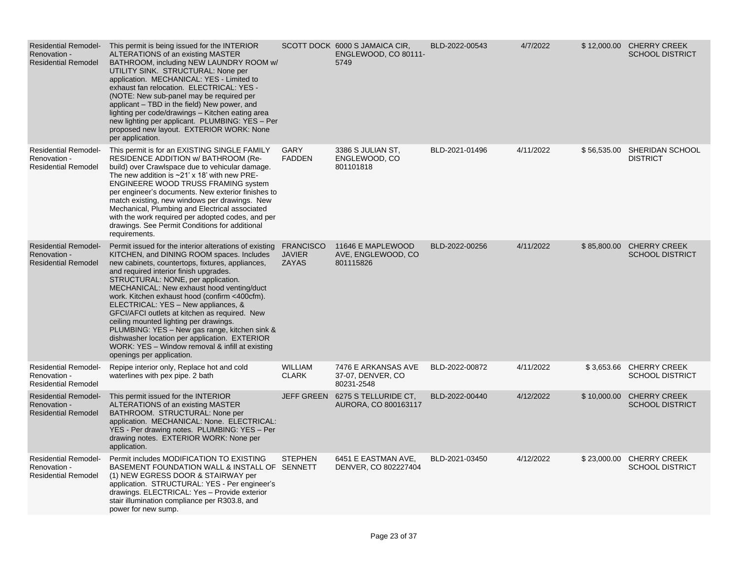| <b>Residential Remodel-</b><br>Renovation -<br><b>Residential Remodel</b> | This permit is being issued for the INTERIOR<br>ALTERATIONS of an existing MASTER<br>BATHROOM, including NEW LAUNDRY ROOM w/<br>UTILITY SINK. STRUCTURAL: None per<br>application. MECHANICAL: YES - Limited to<br>exhaust fan relocation. ELECTRICAL: YES -<br>(NOTE: New sub-panel may be required per<br>applicant – TBD in the field) New power, and<br>lighting per code/drawings - Kitchen eating area<br>new lighting per applicant. PLUMBING: YES - Per<br>proposed new layout. EXTERIOR WORK: None<br>per application.                                                                                                                           |                                                   | SCOTT DOCK 6000 S JAMAICA CIR,<br>ENGLEWOOD, CO 80111-<br>5749 | BLD-2022-00543 | 4/7/2022  |             | \$12,000.00 CHERRY CREEK<br><b>SCHOOL DISTRICT</b> |
|---------------------------------------------------------------------------|-----------------------------------------------------------------------------------------------------------------------------------------------------------------------------------------------------------------------------------------------------------------------------------------------------------------------------------------------------------------------------------------------------------------------------------------------------------------------------------------------------------------------------------------------------------------------------------------------------------------------------------------------------------|---------------------------------------------------|----------------------------------------------------------------|----------------|-----------|-------------|----------------------------------------------------|
| <b>Residential Remodel-</b><br>Renovation -<br><b>Residential Remodel</b> | This permit is for an EXISTING SINGLE FAMILY<br>RESIDENCE ADDITION w/ BATHROOM (Re-<br>build) over Crawlspace due to vehicular damage.<br>The new addition is $\sim$ 21' x 18' with new PRE-<br><b>ENGINEERE WOOD TRUSS FRAMING system</b><br>per engineer's documents. New exterior finishes to<br>match existing, new windows per drawings. New<br>Mechanical, Plumbing and Electrical associated<br>with the work required per adopted codes, and per<br>drawings. See Permit Conditions for additional<br>requirements.                                                                                                                               | GARY<br><b>FADDEN</b>                             | 3386 S JULIAN ST,<br>ENGLEWOOD, CO<br>801101818                | BLD-2021-01496 | 4/11/2022 |             | \$56,535.00 SHERIDAN SCHOOL<br><b>DISTRICT</b>     |
| <b>Residential Remodel-</b><br>Renovation -<br><b>Residential Remodel</b> | Permit issued for the interior alterations of existing<br>KITCHEN, and DINING ROOM spaces. Includes<br>new cabinets, countertops, fixtures, appliances,<br>and required interior finish upgrades.<br>STRUCTURAL: NONE, per application.<br>MECHANICAL: New exhaust hood venting/duct<br>work. Kitchen exhaust hood (confirm <400cfm).<br>ELECTRICAL: YES - New appliances, &<br>GFCI/AFCI outlets at kitchen as required. New<br>ceiling mounted lighting per drawings.<br>PLUMBING: YES - New gas range, kitchen sink &<br>dishwasher location per application. EXTERIOR<br>WORK: YES - Window removal & infill at existing<br>openings per application. | <b>FRANCISCO</b><br><b>JAVIER</b><br><b>ZAYAS</b> | 11646 E MAPLEWOOD<br>AVE, ENGLEWOOD, CO<br>801115826           | BLD-2022-00256 | 4/11/2022 | \$85,800.00 | <b>CHERRY CREEK</b><br><b>SCHOOL DISTRICT</b>      |
| <b>Residential Remodel-</b><br>Renovation -<br><b>Residential Remodel</b> | Repipe interior only, Replace hot and cold<br>waterlines with pex pipe. 2 bath                                                                                                                                                                                                                                                                                                                                                                                                                                                                                                                                                                            | <b>WILLIAM</b><br><b>CLARK</b>                    | 7476 E ARKANSAS AVE<br>37-07, DENVER, CO<br>80231-2548         | BLD-2022-00872 | 4/11/2022 |             | \$3,653.66 CHERRY CREEK<br><b>SCHOOL DISTRICT</b>  |
| <b>Residential Remodel-</b><br>Renovation -<br><b>Residential Remodel</b> | This permit issued for the INTERIOR<br>ALTERATIONS of an existing MASTER<br>BATHROOM. STRUCTURAL: None per<br>application. MECHANICAL: None. ELECTRICAL:<br>YES - Per drawing notes. PLUMBING: YES - Per<br>drawing notes. EXTERIOR WORK: None per<br>application.                                                                                                                                                                                                                                                                                                                                                                                        | <b>JEFF GREEN</b>                                 | 6275 S TELLURIDE CT,<br>AURORA, CO 800163117                   | BLD-2022-00440 | 4/12/2022 | \$10,000.00 | <b>CHERRY CREEK</b><br><b>SCHOOL DISTRICT</b>      |
| <b>Residential Remodel-</b><br>Renovation -<br><b>Residential Remodel</b> | Permit includes MODIFICATION TO EXISTING<br>BASEMENT FOUNDATION WALL & INSTALL OF SENNETT<br>(1) NEW EGRESS DOOR & STAIRWAY per<br>application. STRUCTURAL: YES - Per engineer's<br>drawings. ELECTRICAL: Yes - Provide exterior<br>stair illumination compliance per R303.8, and<br>power for new sump.                                                                                                                                                                                                                                                                                                                                                  | <b>STEPHEN</b>                                    | 6451 E EASTMAN AVE,<br>DENVER, CO 802227404                    | BLD-2021-03450 | 4/12/2022 |             | \$23,000.00 CHERRY CREEK<br><b>SCHOOL DISTRICT</b> |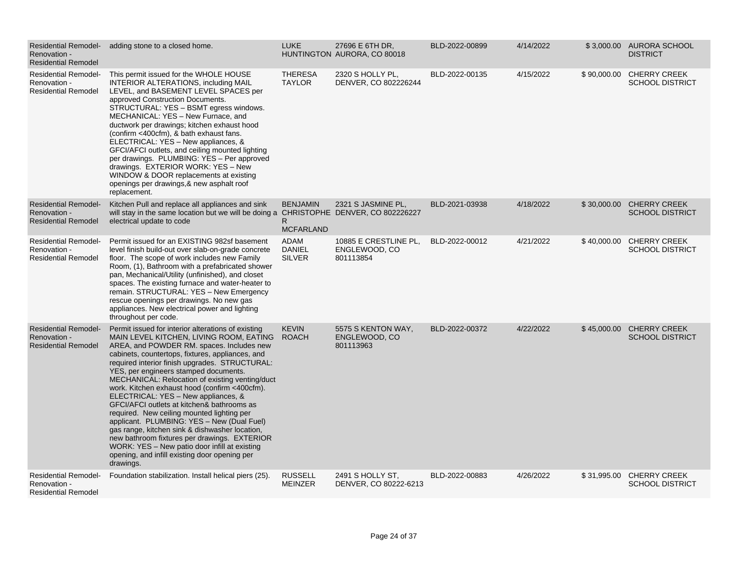| <b>Residential Remodel-</b><br>Renovation -<br><b>Residential Remodel</b> | adding stone to a closed home.                                                                                                                                                                                                                                                                                                                                                                                                                                                                                                                                                                                                                                                                                                                                                                  | <b>LUKE</b>                                   | 27696 E 6TH DR.<br>HUNTINGTON AURORA, CO 80018      | BLD-2022-00899 | 4/14/2022 |             | \$3,000.00 AURORA SCHOOL<br><b>DISTRICT</b>        |
|---------------------------------------------------------------------------|-------------------------------------------------------------------------------------------------------------------------------------------------------------------------------------------------------------------------------------------------------------------------------------------------------------------------------------------------------------------------------------------------------------------------------------------------------------------------------------------------------------------------------------------------------------------------------------------------------------------------------------------------------------------------------------------------------------------------------------------------------------------------------------------------|-----------------------------------------------|-----------------------------------------------------|----------------|-----------|-------------|----------------------------------------------------|
| <b>Residential Remodel-</b><br>Renovation -<br><b>Residential Remodel</b> | This permit issued for the WHOLE HOUSE<br><b>INTERIOR ALTERATIONS, including MAIL</b><br>LEVEL, and BASEMENT LEVEL SPACES per<br>approved Construction Documents.<br>STRUCTURAL: YES - BSMT egress windows.<br>MECHANICAL: YES - New Furnace, and<br>ductwork per drawings; kitchen exhaust hood<br>(confirm <400cfm), & bath exhaust fans.<br>ELECTRICAL: YES - New appliances, &<br>GFCI/AFCI outlets, and ceiling mounted lighting<br>per drawings. PLUMBING: YES - Per approved<br>drawings. EXTERIOR WORK: YES - New<br>WINDOW & DOOR replacements at existing<br>openings per drawings, & new asphalt roof<br>replacement.                                                                                                                                                                | <b>THERESA</b><br><b>TAYLOR</b>               | 2320 S HOLLY PL.<br>DENVER, CO 802226244            | BLD-2022-00135 | 4/15/2022 | \$90,000.00 | <b>CHERRY CREEK</b><br><b>SCHOOL DISTRICT</b>      |
| <b>Residential Remodel-</b><br>Renovation -<br><b>Residential Remodel</b> | Kitchen Pull and replace all appliances and sink<br>will stay in the same location but we will be doing a CHRISTOPHE DENVER, CO 802226227<br>electrical update to code                                                                                                                                                                                                                                                                                                                                                                                                                                                                                                                                                                                                                          | <b>BENJAMIN</b><br>R.<br><b>MCFARLAND</b>     | 2321 S JASMINE PL,                                  | BLD-2021-03938 | 4/18/2022 | \$30,000.00 | <b>CHERRY CREEK</b><br><b>SCHOOL DISTRICT</b>      |
| <b>Residential Remodel-</b><br>Renovation -<br><b>Residential Remodel</b> | Permit issued for an EXISTING 982sf basement<br>level finish build-out over slab-on-grade concrete<br>floor. The scope of work includes new Family<br>Room, (1), Bathroom with a prefabricated shower<br>pan, Mechanical/Utility (unfinished), and closet<br>spaces. The existing furnace and water-heater to<br>remain. STRUCTURAL: YES - New Emergency<br>rescue openings per drawings. No new gas<br>appliances. New electrical power and lighting<br>throughout per code.                                                                                                                                                                                                                                                                                                                   | <b>ADAM</b><br><b>DANIEL</b><br><b>SILVER</b> | 10885 E CRESTLINE PL,<br>ENGLEWOOD, CO<br>801113854 | BLD-2022-00012 | 4/21/2022 | \$40,000.00 | <b>CHERRY CREEK</b><br><b>SCHOOL DISTRICT</b>      |
| <b>Residential Remodel-</b><br>Renovation -<br><b>Residential Remodel</b> | Permit issued for interior alterations of existing<br>MAIN LEVEL KITCHEN, LIVING ROOM, EATING<br>AREA, and POWDER RM. spaces. Includes new<br>cabinets, countertops, fixtures, appliances, and<br>required interior finish upgrades. STRUCTURAL:<br>YES, per engineers stamped documents.<br>MECHANICAL: Relocation of existing venting/duct<br>work. Kitchen exhaust hood (confirm <400cfm).<br>ELECTRICAL: YES - New appliances, &<br>GFCI/AFCI outlets at kitchen& bathrooms as<br>required. New ceiling mounted lighting per<br>applicant. PLUMBING: YES - New (Dual Fuel)<br>gas range, kitchen sink & dishwasher location,<br>new bathroom fixtures per drawings. EXTERIOR<br>WORK: YES - New patio door infill at existing<br>opening, and infill existing door opening per<br>drawings. | <b>KEVIN</b><br><b>ROACH</b>                  | 5575 S KENTON WAY,<br>ENGLEWOOD, CO<br>801113963    | BLD-2022-00372 | 4/22/2022 | \$45,000.00 | <b>CHERRY CREEK</b><br><b>SCHOOL DISTRICT</b>      |
| <b>Residential Remodel-</b><br>Renovation -<br><b>Residential Remodel</b> | Foundation stabilization. Install helical piers (25).                                                                                                                                                                                                                                                                                                                                                                                                                                                                                                                                                                                                                                                                                                                                           | <b>RUSSELL</b><br><b>MEINZER</b>              | 2491 S HOLLY ST,<br>DENVER, CO 80222-6213           | BLD-2022-00883 | 4/26/2022 |             | \$31,995.00 CHERRY CREEK<br><b>SCHOOL DISTRICT</b> |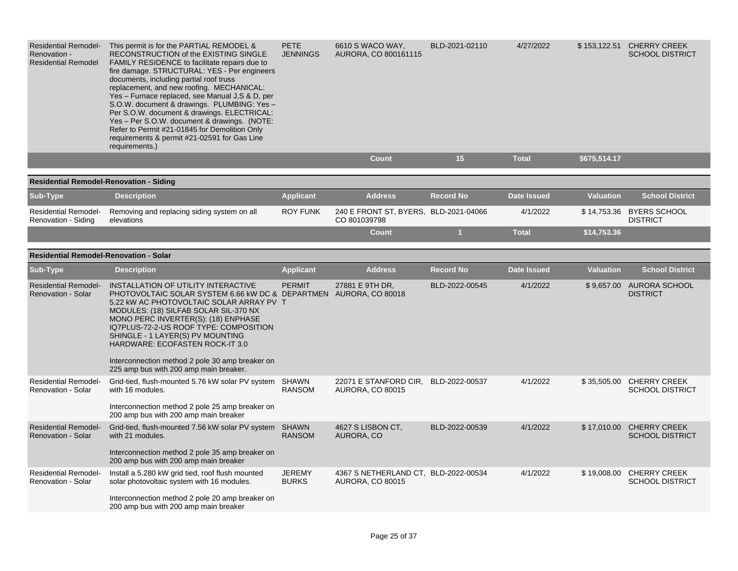| <b>Residential Remodel-</b><br>Renovation -<br><b>Residential Remodel</b> | This permit is for the PARTIAL REMODEL &<br>RECONSTRUCTION of the EXISTING SINGLE<br>FAMILY RESIDENCE to facilitate repairs due to<br>fire damage. STRUCTURAL: YES - Per engineers<br>documents, including partial roof truss<br>replacement, and new roofing. MECHANICAL:<br>Yes - Furnace replaced, see Manual J, S & D, per<br>S.O.W. document & drawings. PLUMBING: Yes -<br>Per S.O.W. document & drawings. ELECTRICAL:<br>Yes - Per S.O.W. document & drawings. (NOTE:<br>Refer to Permit #21-01845 for Demolition Only<br>requirements & permit #21-02591 for Gas Line<br>requirements.) | <b>PETE</b><br><b>JENNINGS</b> | 6610 S WACO WAY,<br>AURORA, CO 800161115                        | BLD-2021-02110   | 4/27/2022          |                  | \$153,122.51 CHERRY CREEK<br><b>SCHOOL DISTRICT</b> |
|---------------------------------------------------------------------------|-------------------------------------------------------------------------------------------------------------------------------------------------------------------------------------------------------------------------------------------------------------------------------------------------------------------------------------------------------------------------------------------------------------------------------------------------------------------------------------------------------------------------------------------------------------------------------------------------|--------------------------------|-----------------------------------------------------------------|------------------|--------------------|------------------|-----------------------------------------------------|
|                                                                           |                                                                                                                                                                                                                                                                                                                                                                                                                                                                                                                                                                                                 |                                | <b>Count</b>                                                    | 15               | <b>Total</b>       | \$675,514.17     |                                                     |
| <b>Residential Remodel-Renovation - Siding</b>                            |                                                                                                                                                                                                                                                                                                                                                                                                                                                                                                                                                                                                 |                                |                                                                 |                  |                    |                  |                                                     |
| Sub-Type                                                                  | <b>Description</b>                                                                                                                                                                                                                                                                                                                                                                                                                                                                                                                                                                              | <b>Applicant</b>               | <b>Address</b>                                                  | <b>Record No</b> | <b>Date Issued</b> | <b>Valuation</b> | <b>School District</b>                              |
| <b>Residential Remodel-</b><br>Renovation - Siding                        | Removing and replacing siding system on all<br>elevations                                                                                                                                                                                                                                                                                                                                                                                                                                                                                                                                       | <b>ROY FUNK</b>                | 240 E FRONT ST, BYERS, BLD-2021-04066<br>CO 801039798           |                  | 4/1/2022           |                  | \$14,753.36 BYERS SCHOOL<br><b>DISTRICT</b>         |
|                                                                           |                                                                                                                                                                                                                                                                                                                                                                                                                                                                                                                                                                                                 |                                | <b>Count</b>                                                    | $\mathbf{1}$     | <b>Total</b>       | \$14,753.36      |                                                     |
| <b>Residential Remodel-Renovation - Solar</b>                             |                                                                                                                                                                                                                                                                                                                                                                                                                                                                                                                                                                                                 |                                |                                                                 |                  |                    |                  |                                                     |
| Sub-Type                                                                  | <b>Description</b>                                                                                                                                                                                                                                                                                                                                                                                                                                                                                                                                                                              | <b>Applicant</b>               | <b>Address</b>                                                  | <b>Record No</b> | <b>Date Issued</b> | <b>Valuation</b> | <b>School District</b>                              |
| <b>Residential Remodel-</b><br><b>Renovation - Solar</b>                  | INSTALLATION OF UTILITY INTERACTIVE<br>PHOTOVOLTAIC SOLAR SYSTEM 6.66 kW DC & DEPARTMEN AURORA, CO 80018<br>5.22 kW AC PHOTOVOLTAIC SOLAR ARRAY PV T<br>MODULES: (18) SILFAB SOLAR SIL-370 NX<br>MONO PERC INVERTER(S): (18) ENPHASE<br>IQ7PLUS-72-2-US ROOF TYPE: COMPOSITION<br>SHINGLE - 1 LAYER(S) PV MOUNTING<br>HARDWARE: ECOFASTEN ROCK-IT 3.0<br>Interconnection method 2 pole 30 amp breaker on<br>225 amp bus with 200 amp main breaker.                                                                                                                                              | <b>PERMIT</b>                  | 27881 E 9TH DR,                                                 | BLD-2022-00545   | 4/1/2022           |                  | \$9,657.00 AURORA SCHOOL<br><b>DISTRICT</b>         |
| <b>Residential Remodel-</b><br>Renovation - Solar                         | Grid-tied, flush-mounted 5.76 kW solar PV system SHAWN<br>with 16 modules.<br>Interconnection method 2 pole 25 amp breaker on<br>200 amp bus with 200 amp main breaker                                                                                                                                                                                                                                                                                                                                                                                                                          | <b>RANSOM</b>                  | 22071 E STANFORD CIR,<br><b>AURORA, CO 80015</b>                | BLD-2022-00537   | 4/1/2022           |                  | \$35,505.00 CHERRY CREEK<br><b>SCHOOL DISTRICT</b>  |
| <b>Residential Remodel-</b><br><b>Renovation - Solar</b>                  | Grid-tied, flush-mounted 7.56 kW solar PV system SHAWN<br>with 21 modules.<br>Interconnection method 2 pole 35 amp breaker on<br>200 amp bus with 200 amp main breaker                                                                                                                                                                                                                                                                                                                                                                                                                          | <b>RANSOM</b>                  | 4627 S LISBON CT,<br>AURORA, CO                                 | BLD-2022-00539   | 4/1/2022           |                  | \$17,010.00 CHERRY CREEK<br><b>SCHOOL DISTRICT</b>  |
| <b>Residential Remodel-</b><br><b>Renovation - Solar</b>                  | Install a 5.280 kW grid tied, roof flush mounted<br>solar photovoltaic system with 16 modules.<br>Interconnection method 2 pole 20 amp breaker on<br>200 amp bus with 200 amp main breaker                                                                                                                                                                                                                                                                                                                                                                                                      | <b>JEREMY</b><br><b>BURKS</b>  | 4367 S NETHERLAND CT, BLD-2022-00534<br><b>AURORA, CO 80015</b> |                  | 4/1/2022           |                  | \$19,008.00 CHERRY CREEK<br><b>SCHOOL DISTRICT</b>  |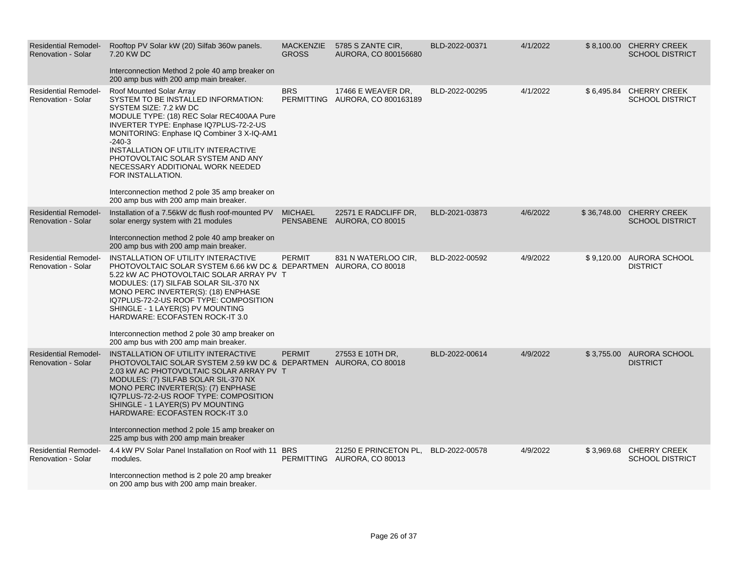| <b>Residential Remodel-</b><br><b>Renovation - Solar</b> | Rooftop PV Solar kW (20) Silfab 360w panels.<br>7.20 KW DC<br>Interconnection Method 2 pole 40 amp breaker on<br>200 amp bus with 200 amp main breaker.                                                                                                                                                                                                                                                                                                                      | <b>MACKENZIE</b><br><b>GROSS</b> | 5785 S ZANTE CIR,<br>AURORA, CO 800156680             | BLD-2022-00371 | 4/1/2022 |             | \$8,100.00 CHERRY CREEK<br><b>SCHOOL DISTRICT</b> |
|----------------------------------------------------------|------------------------------------------------------------------------------------------------------------------------------------------------------------------------------------------------------------------------------------------------------------------------------------------------------------------------------------------------------------------------------------------------------------------------------------------------------------------------------|----------------------------------|-------------------------------------------------------|----------------|----------|-------------|---------------------------------------------------|
| <b>Residential Remodel-</b><br><b>Renovation - Solar</b> | Roof Mounted Solar Array<br>SYSTEM TO BE INSTALLED INFORMATION:<br>SYSTEM SIZE: 7.2 kW DC<br>MODULE TYPE: (18) REC Solar REC400AA Pure<br>INVERTER TYPE: Enphase IQ7PLUS-72-2-US<br>MONITORING: Enphase IQ Combiner 3 X-IQ-AM1<br>$-240-3$<br>INSTALLATION OF UTILITY INTERACTIVE<br>PHOTOVOLTAIC SOLAR SYSTEM AND ANY<br>NECESSARY ADDITIONAL WORK NEEDED<br>FOR INSTALLATION.<br>Interconnection method 2 pole 35 amp breaker on<br>200 amp bus with 200 amp main breaker. | <b>BRS</b>                       | 17466 E WEAVER DR,<br>PERMITTING AURORA, CO 800163189 | BLD-2022-00295 | 4/1/2022 | \$6,495.84  | <b>CHERRY CREEK</b><br><b>SCHOOL DISTRICT</b>     |
| <b>Residential Remodel-</b><br>Renovation - Solar        | Installation of a 7.56kW dc flush roof-mounted PV<br>solar energy system with 21 modules<br>Interconnection method 2 pole 40 amp breaker on<br>200 amp bus with 200 amp main breaker.                                                                                                                                                                                                                                                                                        | <b>MICHAEL</b>                   | 22571 E RADCLIFF DR,<br>PENSABENE AURORA, CO 80015    | BLD-2021-03873 | 4/6/2022 | \$36,748.00 | <b>CHERRY CREEK</b><br><b>SCHOOL DISTRICT</b>     |
| <b>Residential Remodel-</b><br><b>Renovation - Solar</b> | INSTALLATION OF UTILITY INTERACTIVE<br>PHOTOVOLTAIC SOLAR SYSTEM 6.66 kW DC & DEPARTMEN AURORA, CO 80018<br>5.22 KW AC PHOTOVOLTAIC SOLAR ARRAY PV T<br>MODULES: (17) SILFAB SOLAR SIL-370 NX<br>MONO PERC INVERTER(S): (18) ENPHASE<br>IQ7PLUS-72-2-US ROOF TYPE: COMPOSITION<br>SHINGLE - 1 LAYER(S) PV MOUNTING<br>HARDWARE: ECOFASTEN ROCK-IT 3.0<br>Interconnection method 2 pole 30 amp breaker on<br>200 amp bus with 200 amp main breaker.                           | <b>PERMIT</b>                    | 831 N WATERLOO CIR,                                   | BLD-2022-00592 | 4/9/2022 |             | \$9,120.00 AURORA SCHOOL<br><b>DISTRICT</b>       |
| <b>Residential Remodel-</b><br><b>Renovation - Solar</b> | INSTALLATION OF UTILITY INTERACTIVE<br>PHOTOVOLTAIC SOLAR SYSTEM 2.59 kW DC & DEPARTMEN AURORA, CO 80018<br>2.03 kW AC PHOTOVOLTAIC SOLAR ARRAY PV T<br>MODULES: (7) SILFAB SOLAR SIL-370 NX<br>MONO PERC INVERTER(S): (7) ENPHASE<br>IQ7PLUS-72-2-US ROOF TYPE: COMPOSITION<br>SHINGLE - 1 LAYER(S) PV MOUNTING<br><b>HARDWARE: ECOFASTEN ROCK-IT 3.0</b><br>Interconnection method 2 pole 15 amp breaker on<br>225 amp bus with 200 amp main breaker                       | <b>PERMIT</b>                    | 27553 E 10TH DR.                                      | BLD-2022-00614 | 4/9/2022 |             | \$3,755.00 AURORA SCHOOL<br><b>DISTRICT</b>       |
| <b>Residential Remodel-</b><br><b>Renovation - Solar</b> | 4.4 kW PV Solar Panel Installation on Roof with 11 BRS<br>modules.<br>Interconnection method is 2 pole 20 amp breaker<br>on 200 amp bus with 200 amp main breaker.                                                                                                                                                                                                                                                                                                           |                                  | 21250 E PRINCETON PL,<br>PERMITTING AURORA, CO 80013  | BLD-2022-00578 | 4/9/2022 | \$3,969.68  | <b>CHERRY CREEK</b><br><b>SCHOOL DISTRICT</b>     |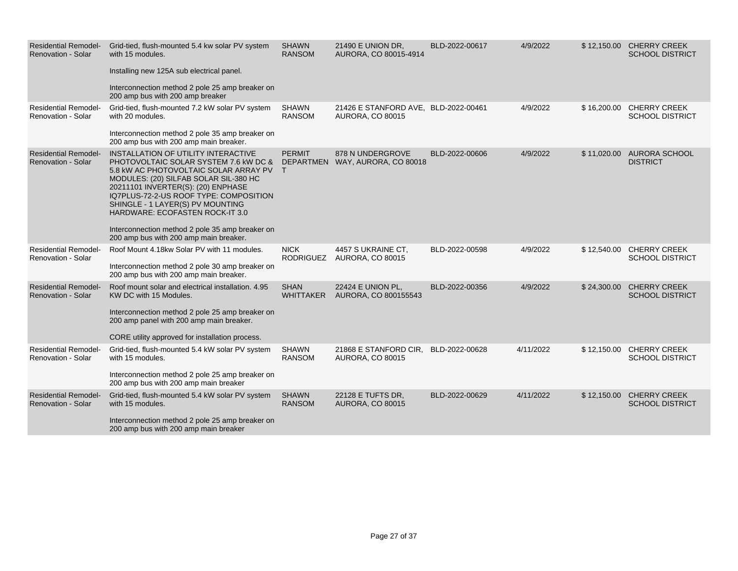| <b>Residential Remodel-</b><br><b>Renovation - Solar</b> | Grid-tied, flush-mounted 5.4 kw solar PV system<br>with 15 modules.<br>Installing new 125A sub electrical panel.<br>Interconnection method 2 pole 25 amp breaker on<br>200 amp bus with 200 amp breaker                                                                                                                                                                                                            | <b>SHAWN</b><br><b>RANSOM</b>   | 21490 E UNION DR,<br>AURORA, CO 80015-4914                      | BLD-2022-00617 | 4/9/2022  | \$12,150.00 CHERRY CREEK<br><b>SCHOOL DISTRICT</b> |
|----------------------------------------------------------|--------------------------------------------------------------------------------------------------------------------------------------------------------------------------------------------------------------------------------------------------------------------------------------------------------------------------------------------------------------------------------------------------------------------|---------------------------------|-----------------------------------------------------------------|----------------|-----------|----------------------------------------------------|
| <b>Residential Remodel-</b><br><b>Renovation - Solar</b> | Grid-tied, flush-mounted 7.2 kW solar PV system<br>with 20 modules.<br>Interconnection method 2 pole 35 amp breaker on<br>200 amp bus with 200 amp main breaker.                                                                                                                                                                                                                                                   | SHAWN<br><b>RANSOM</b>          | 21426 E STANFORD AVE, BLD-2022-00461<br><b>AURORA, CO 80015</b> |                | 4/9/2022  | \$16,200.00 CHERRY CREEK<br><b>SCHOOL DISTRICT</b> |
| <b>Residential Remodel-</b><br><b>Renovation - Solar</b> | INSTALLATION OF UTILITY INTERACTIVE<br>PHOTOVOLTAIC SOLAR SYSTEM 7.6 KW DC &<br>5.8 kW AC PHOTOVOLTAIC SOLAR ARRAY PV<br>MODULES: (20) SILFAB SOLAR SIL-380 HC<br>20211101 INVERTER(S): (20) ENPHASE<br>IQ7PLUS-72-2-US ROOF TYPE: COMPOSITION<br>SHINGLE - 1 LAYER(S) PV MOUNTING<br>HARDWARE: ECOFASTEN ROCK-IT 3.0<br>Interconnection method 2 pole 35 amp breaker on<br>200 amp bus with 200 amp main breaker. | <b>PERMIT</b>                   | 878 N UNDERGROVE<br>DEPARTMEN WAY, AURORA, CO 80018             | BLD-2022-00606 | 4/9/2022  | \$11,020.00 AURORA SCHOOL<br><b>DISTRICT</b>       |
| <b>Residential Remodel-</b><br>Renovation - Solar        | Roof Mount 4.18kw Solar PV with 11 modules.<br>Interconnection method 2 pole 30 amp breaker on<br>200 amp bus with 200 amp main breaker.                                                                                                                                                                                                                                                                           | <b>NICK</b><br>RODRIGUEZ        | 4457 S UKRAINE CT.<br>AURORA, CO 80015                          | BLD-2022-00598 | 4/9/2022  | \$12,540.00 CHERRY CREEK<br><b>SCHOOL DISTRICT</b> |
| <b>Residential Remodel-</b><br><b>Renovation - Solar</b> | Roof mount solar and electrical installation. 4.95<br>KW DC with 15 Modules.<br>Interconnection method 2 pole 25 amp breaker on<br>200 amp panel with 200 amp main breaker.<br>CORE utility approved for installation process.                                                                                                                                                                                     | <b>SHAN</b><br><b>WHITTAKER</b> | 22424 E UNION PL,<br>AURORA, CO 800155543                       | BLD-2022-00356 | 4/9/2022  | \$24,300.00 CHERRY CREEK<br><b>SCHOOL DISTRICT</b> |
| <b>Residential Remodel-</b><br><b>Renovation - Solar</b> | Grid-tied, flush-mounted 5.4 kW solar PV system<br>with 15 modules.<br>Interconnection method 2 pole 25 amp breaker on<br>200 amp bus with 200 amp main breaker                                                                                                                                                                                                                                                    | <b>SHAWN</b><br><b>RANSOM</b>   | 21868 E STANFORD CIR.<br><b>AURORA, CO 80015</b>                | BLD-2022-00628 | 4/11/2022 | \$12,150.00 CHERRY CREEK<br><b>SCHOOL DISTRICT</b> |
| <b>Residential Remodel-</b><br>Renovation - Solar        | Grid-tied, flush-mounted 5.4 kW solar PV system<br>with 15 modules.<br>Interconnection method 2 pole 25 amp breaker on<br>200 amp bus with 200 amp main breaker                                                                                                                                                                                                                                                    | <b>SHAWN</b><br><b>RANSOM</b>   | 22128 E TUFTS DR,<br><b>AURORA, CO 80015</b>                    | BLD-2022-00629 | 4/11/2022 | \$12,150.00 CHERRY CREEK<br><b>SCHOOL DISTRICT</b> |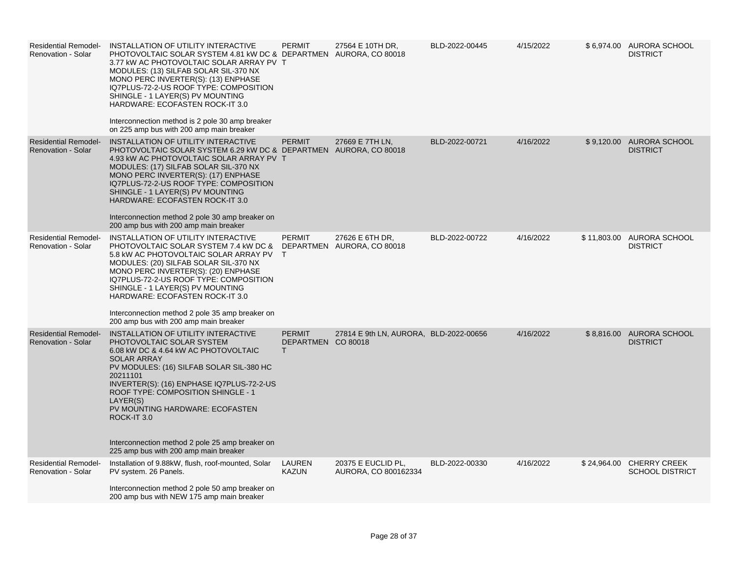| <b>Residential Remodel-</b><br>Renovation - Solar        | INSTALLATION OF UTILITY INTERACTIVE<br>PHOTOVOLTAIC SOLAR SYSTEM 4.81 kW DC & DEPARTMEN AURORA, CO 80018<br>3.77 KW AC PHOTOVOLTAIC SOLAR ARRAY PV T<br>MODULES: (13) SILFAB SOLAR SIL-370 NX<br>MONO PERC INVERTER(S): (13) ENPHASE<br>IQ7PLUS-72-2-US ROOF TYPE: COMPOSITION<br>SHINGLE - 1 LAYER(S) PV MOUNTING<br>HARDWARE: ECOFASTEN ROCK-IT 3.0<br>Interconnection method is 2 pole 30 amp breaker<br>on 225 amp bus with 200 amp main breaker | <b>PERMIT</b>                                       | 27564 E 10TH DR,                              | BLD-2022-00445 | 4/15/2022 |            | \$6,974.00 AURORA SCHOOL<br><b>DISTRICT</b>        |
|----------------------------------------------------------|------------------------------------------------------------------------------------------------------------------------------------------------------------------------------------------------------------------------------------------------------------------------------------------------------------------------------------------------------------------------------------------------------------------------------------------------------|-----------------------------------------------------|-----------------------------------------------|----------------|-----------|------------|----------------------------------------------------|
| <b>Residential Remodel-</b><br><b>Renovation - Solar</b> | INSTALLATION OF UTILITY INTERACTIVE<br>PHOTOVOLTAIC SOLAR SYSTEM 6.29 kW DC & DEPARTMEN AURORA, CO 80018<br>4.93 kW AC PHOTOVOLTAIC SOLAR ARRAY PV T<br>MODULES: (17) SILFAB SOLAR SIL-370 NX<br>MONO PERC INVERTER(S): (17) ENPHASE<br>IQ7PLUS-72-2-US ROOF TYPE: COMPOSITION<br>SHINGLE - 1 LAYER(S) PV MOUNTING<br>HARDWARE: ECOFASTEN ROCK-IT 3.0<br>Interconnection method 2 pole 30 amp breaker on<br>200 amp bus with 200 amp main breaker    | <b>PERMIT</b>                                       | 27669 E 7TH LN,                               | BLD-2022-00721 | 4/16/2022 |            | \$9,120.00 AURORA SCHOOL<br><b>DISTRICT</b>        |
| <b>Residential Remodel-</b><br>Renovation - Solar        | INSTALLATION OF UTILITY INTERACTIVE<br>PHOTOVOLTAIC SOLAR SYSTEM 7.4 KW DC &<br>5.8 kW AC PHOTOVOLTAIC SOLAR ARRAY PV T<br>MODULES: (20) SILFAB SOLAR SIL-370 NX<br>MONO PERC INVERTER(S): (20) ENPHASE<br>IQ7PLUS-72-2-US ROOF TYPE: COMPOSITION<br>SHINGLE - 1 LAYER(S) PV MOUNTING<br>HARDWARE: ECOFASTEN ROCK-IT 3.0<br>Interconnection method 2 pole 35 amp breaker on<br>200 amp bus with 200 amp main breaker                                 | <b>PERMIT</b>                                       | 27626 E 6TH DR,<br>DEPARTMEN AURORA, CO 80018 | BLD-2022-00722 | 4/16/2022 |            | \$11,803.00 AURORA SCHOOL<br><b>DISTRICT</b>       |
| <b>Residential Remodel-</b><br><b>Renovation - Solar</b> | INSTALLATION OF UTILITY INTERACTIVE<br>PHOTOVOLTAIC SOLAR SYSTEM<br>6.08 kW DC & 4.64 kW AC PHOTOVOLTAIC<br><b>SOLAR ARRAY</b><br>PV MODULES: (16) SILFAB SOLAR SIL-380 HC<br>20211101<br>INVERTER(S): (16) ENPHASE IQ7PLUS-72-2-US<br>ROOF TYPE: COMPOSITION SHINGLE - 1<br>LAYER(S)<br>PV MOUNTING HARDWARE: ECOFASTEN<br>ROCK-IT 3.0<br>Interconnection method 2 pole 25 amp breaker on<br>225 amp bus with 200 amp main breaker                  | <b>PERMIT</b><br>DEPARTMEN CO 80018<br>$\mathsf{T}$ | 27814 E 9th LN, AURORA, BLD-2022-00656        |                | 4/16/2022 | \$8,816.00 | <b>AURORA SCHOOL</b><br><b>DISTRICT</b>            |
| <b>Residential Remodel-</b><br><b>Renovation - Solar</b> | Installation of 9.88kW, flush, roof-mounted, Solar<br>PV system. 26 Panels.<br>Interconnection method 2 pole 50 amp breaker on<br>200 amp bus with NEW 175 amp main breaker                                                                                                                                                                                                                                                                          | LAUREN<br><b>KAZUN</b>                              | 20375 E EUCLID PL.<br>AURORA, CO 800162334    | BLD-2022-00330 | 4/16/2022 |            | \$24,964.00 CHERRY CREEK<br><b>SCHOOL DISTRICT</b> |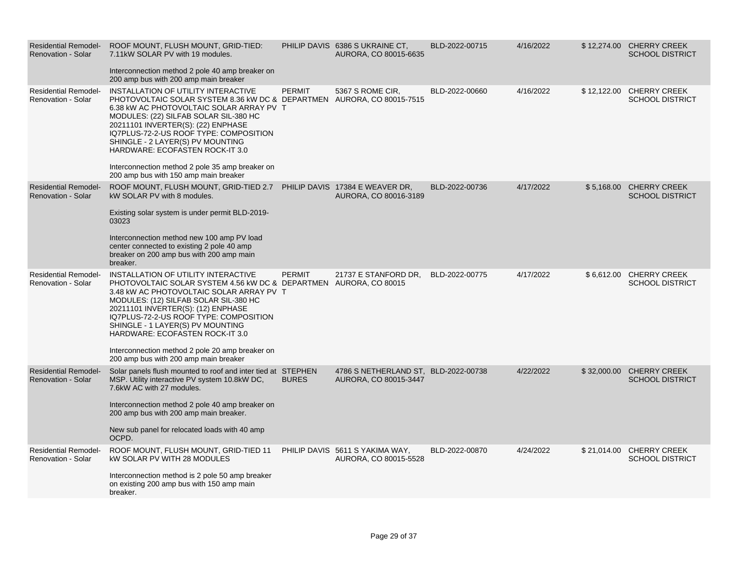| <b>Residential Remodel-</b><br><b>Renovation - Solar</b> | ROOF MOUNT, FLUSH MOUNT, GRID-TIED:<br>7.11 kW SOLAR PV with 19 modules.<br>Interconnection method 2 pole 40 amp breaker on<br>200 amp bus with 200 amp main breaker                                                                                                                                                                                                                                                                                  |               | PHILIP DAVIS 6386 SUKRAINE CT.<br>AURORA, CO 80015-6635       | BLD-2022-00715 | 4/16/2022 |             | \$12,274.00 CHERRY CREEK<br><b>SCHOOL DISTRICT</b> |
|----------------------------------------------------------|-------------------------------------------------------------------------------------------------------------------------------------------------------------------------------------------------------------------------------------------------------------------------------------------------------------------------------------------------------------------------------------------------------------------------------------------------------|---------------|---------------------------------------------------------------|----------------|-----------|-------------|----------------------------------------------------|
| <b>Residential Remodel-</b><br><b>Renovation - Solar</b> | INSTALLATION OF UTILITY INTERACTIVE<br>PHOTOVOLTAIC SOLAR SYSTEM 8.36 kW DC & DEPARTMEN AURORA, CO 80015-7515<br>6.38 kW AC PHOTOVOLTAIC SOLAR ARRAY PV T<br>MODULES: (22) SILFAB SOLAR SIL-380 HC<br>20211101 INVERTER(S): (22) ENPHASE<br>IQ7PLUS-72-2-US ROOF TYPE: COMPOSITION<br>SHINGLE - 2 LAYER(S) PV MOUNTING<br>HARDWARE: ECOFASTEN ROCK-IT 3.0<br>Interconnection method 2 pole 35 amp breaker on<br>200 amp bus with 150 amp main breaker | <b>PERMIT</b> | 5367 S ROME CIR,                                              | BLD-2022-00660 | 4/16/2022 | \$12,122.00 | <b>CHERRY CREEK</b><br><b>SCHOOL DISTRICT</b>      |
| <b>Residential Remodel-</b><br><b>Renovation - Solar</b> | ROOF MOUNT, FLUSH MOUNT, GRID-TIED 2.7 PHILIP DAVIS 17384 E WEAVER DR,<br>kW SOLAR PV with 8 modules.<br>Existing solar system is under permit BLD-2019-<br>03023<br>Interconnection method new 100 amp PV load<br>center connected to existing 2 pole 40 amp<br>breaker on 200 amp bus with 200 amp main<br>breaker.                                                                                                                                 |               | AURORA, CO 80016-3189                                         | BLD-2022-00736 | 4/17/2022 |             | \$5,168.00 CHERRY CREEK<br><b>SCHOOL DISTRICT</b>  |
| <b>Residential Remodel-</b><br><b>Renovation - Solar</b> | INSTALLATION OF UTILITY INTERACTIVE<br>PHOTOVOLTAIC SOLAR SYSTEM 4.56 kW DC & DEPARTMEN AURORA, CO 80015<br>3.48 kW AC PHOTOVOLTAIC SOLAR ARRAY PV T<br>MODULES: (12) SILFAB SOLAR SIL-380 HC<br>20211101 INVERTER(S): (12) ENPHASE<br>IQ7PLUS-72-2-US ROOF TYPE: COMPOSITION<br>SHINGLE - 1 LAYER(S) PV MOUNTING<br>HARDWARE: ECOFASTEN ROCK-IT 3.0<br>Interconnection method 2 pole 20 amp breaker on<br>200 amp bus with 200 amp main breaker      | <b>PERMIT</b> | 21737 E STANFORD DR.                                          | BLD-2022-00775 | 4/17/2022 |             | \$6,612.00 CHERRY CREEK<br><b>SCHOOL DISTRICT</b>  |
| <b>Residential Remodel-</b><br><b>Renovation - Solar</b> | Solar panels flush mounted to roof and inter tied at STEPHEN<br>MSP. Utility interactive PV system 10.8kW DC,<br>7.6kW AC with 27 modules.<br>Interconnection method 2 pole 40 amp breaker on<br>200 amp bus with 200 amp main breaker.<br>New sub panel for relocated loads with 40 amp<br>OCPD.                                                                                                                                                     | <b>BURES</b>  | 4786 S NETHERLAND ST, BLD-2022-00738<br>AURORA, CO 80015-3447 |                | 4/22/2022 | \$32,000.00 | <b>CHERRY CREEK</b><br><b>SCHOOL DISTRICT</b>      |
| <b>Residential Remodel-</b><br>Renovation - Solar        | ROOF MOUNT, FLUSH MOUNT, GRID-TIED 11<br><b>kW SOLAR PV WITH 28 MODULES</b><br>Interconnection method is 2 pole 50 amp breaker<br>on existing 200 amp bus with 150 amp main<br>breaker.                                                                                                                                                                                                                                                               |               | PHILIP DAVIS 5611 S YAKIMA WAY,<br>AURORA, CO 80015-5528      | BLD-2022-00870 | 4/24/2022 |             | \$21,014.00 CHERRY CREEK<br><b>SCHOOL DISTRICT</b> |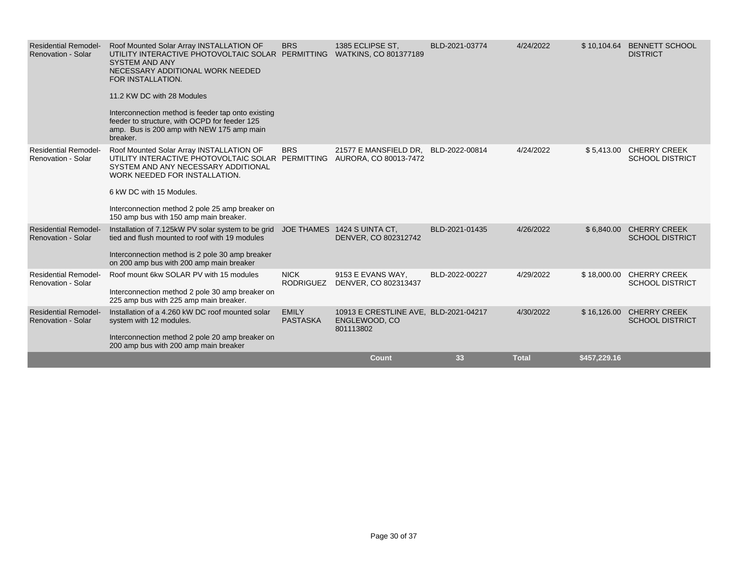| <b>Residential Remodel-</b><br><b>Renovation - Solar</b> | Roof Mounted Solar Array INSTALLATION OF<br>UTILITY INTERACTIVE PHOTOVOLTAIC SOLAR PERMITTING<br><b>SYSTEM AND ANY</b><br>NECESSARY ADDITIONAL WORK NEEDED<br>FOR INSTALLATION.<br>11.2 KW DC with 28 Modules<br>Interconnection method is feeder tap onto existing<br>feeder to structure, with OCPD for feeder 125<br>amp. Bus is 200 amp with NEW 175 amp main<br>breaker. | <b>BRS</b>                      | 1385 ECLIPSE ST.<br>WATKINS, CO 801377189                           | BLD-2021-03774 | 4/24/2022    |              | \$10,104.64 BENNETT SCHOOL<br><b>DISTRICT</b>     |
|----------------------------------------------------------|-------------------------------------------------------------------------------------------------------------------------------------------------------------------------------------------------------------------------------------------------------------------------------------------------------------------------------------------------------------------------------|---------------------------------|---------------------------------------------------------------------|----------------|--------------|--------------|---------------------------------------------------|
| <b>Residential Remodel-</b><br><b>Renovation - Solar</b> | Roof Mounted Solar Array INSTALLATION OF<br>UTILITY INTERACTIVE PHOTOVOLTAIC SOLAR PERMITTING<br>SYSTEM AND ANY NECESSARY ADDITIONAL<br>WORK NEEDED FOR INSTALLATION.<br>6 kW DC with 15 Modules.<br>Interconnection method 2 pole 25 amp breaker on<br>150 amp bus with 150 amp main breaker.                                                                                | <b>BRS</b>                      | 21577 E MANSFIELD DR.<br>AURORA, CO 80013-7472                      | BLD-2022-00814 | 4/24/2022    |              | \$5,413.00 CHERRY CREEK<br><b>SCHOOL DISTRICT</b> |
| <b>Residential Remodel-</b><br><b>Renovation - Solar</b> | Installation of 7.125kW PV solar system to be grid<br>tied and flush mounted to roof with 19 modules<br>Interconnection method is 2 pole 30 amp breaker<br>on 200 amp bus with 200 amp main breaker                                                                                                                                                                           |                                 | JOE THAMES 1424 S UINTA CT,<br>DENVER, CO 802312742                 | BLD-2021-01435 | 4/26/2022    |              | \$6,840.00 CHERRY CREEK<br><b>SCHOOL DISTRICT</b> |
| <b>Residential Remodel-</b><br><b>Renovation - Solar</b> | Roof mount 6kw SOLAR PV with 15 modules<br>Interconnection method 2 pole 30 amp breaker on<br>225 amp bus with 225 amp main breaker.                                                                                                                                                                                                                                          | <b>NICK</b><br><b>RODRIGUEZ</b> | 9153 E EVANS WAY,<br>DENVER, CO 802313437                           | BLD-2022-00227 | 4/29/2022    | \$18,000.00  | <b>CHERRY CREEK</b><br><b>SCHOOL DISTRICT</b>     |
| <b>Residential Remodel-</b><br><b>Renovation - Solar</b> | Installation of a 4.260 kW DC roof mounted solar<br>system with 12 modules.<br>Interconnection method 2 pole 20 amp breaker on<br>200 amp bus with 200 amp main breaker                                                                                                                                                                                                       | <b>EMILY</b><br><b>PASTASKA</b> | 10913 E CRESTLINE AVE, BLD-2021-04217<br>ENGLEWOOD, CO<br>801113802 |                | 4/30/2022    | \$16,126.00  | <b>CHERRY CREEK</b><br><b>SCHOOL DISTRICT</b>     |
|                                                          |                                                                                                                                                                                                                                                                                                                                                                               |                                 | Count                                                               | 33             | <b>Total</b> | \$457,229.16 |                                                   |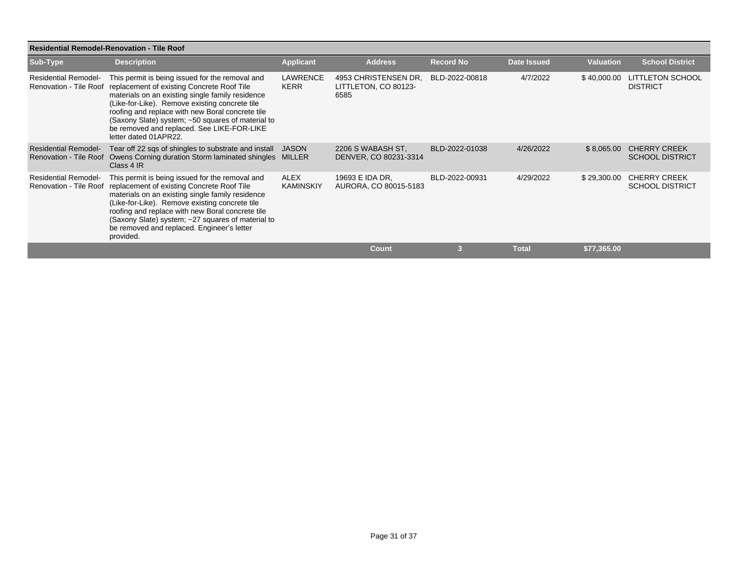| <b>Residential Remodel-Renovation - Tile Roof</b>     |                                                                                                                                                                                                                                                                                                                                                                                     |                                 |                                                      |                  |                    |                  |                                               |  |  |  |
|-------------------------------------------------------|-------------------------------------------------------------------------------------------------------------------------------------------------------------------------------------------------------------------------------------------------------------------------------------------------------------------------------------------------------------------------------------|---------------------------------|------------------------------------------------------|------------------|--------------------|------------------|-----------------------------------------------|--|--|--|
| Sub-Type                                              | <b>Description</b>                                                                                                                                                                                                                                                                                                                                                                  | <b>Applicant</b>                | <b>Address</b>                                       | <b>Record No</b> | <b>Date Issued</b> | <b>Valuation</b> | <b>School District</b>                        |  |  |  |
| <b>Residential Remodel-</b><br>Renovation - Tile Roof | This permit is being issued for the removal and<br>replacement of existing Concrete Roof Tile<br>materials on an existing single family residence<br>(Like-for-Like). Remove existing concrete tile<br>roofing and replace with new Boral concrete tile<br>(Saxony Slate) system; ~50 squares of material to<br>be removed and replaced. See LIKE-FOR-LIKE<br>letter dated 01APR22. | LAWRENCE<br><b>KERR</b>         | 4953 CHRISTENSEN DR.<br>LITTLETON, CO 80123-<br>6585 | BLD-2022-00818   | 4/7/2022           | \$40,000.00      | <b>LITTLETON SCHOOL</b><br><b>DISTRICT</b>    |  |  |  |
| <b>Residential Remodel-</b><br>Renovation - Tile Roof | Tear off 22 sqs of shingles to substrate and install<br>Owens Corning duration Storm laminated shingles MILLER<br>Class 4 IR                                                                                                                                                                                                                                                        | JASON                           | 2206 S WABASH ST,<br>DENVER, CO 80231-3314           | BLD-2022-01038   | 4/26/2022          | \$8,065.00       | <b>CHERRY CREEK</b><br><b>SCHOOL DISTRICT</b> |  |  |  |
| <b>Residential Remodel-</b><br>Renovation - Tile Roof | This permit is being issued for the removal and<br>replacement of existing Concrete Roof Tile<br>materials on an existing single family residence<br>(Like-for-Like). Remove existing concrete tile<br>roofing and replace with new Boral concrete tile<br>(Saxony Slate) system; ~27 squares of material to<br>be removed and replaced. Engineer's letter<br>provided.             | <b>ALEX</b><br><b>KAMINSKIY</b> | 19693 E IDA DR,<br>AURORA, CO 80015-5183             | BLD-2022-00931   | 4/29/2022          | \$29,300.00      | <b>CHERRY CREEK</b><br><b>SCHOOL DISTRICT</b> |  |  |  |
|                                                       |                                                                                                                                                                                                                                                                                                                                                                                     |                                 | <b>Count</b>                                         | 3                | <b>Total</b>       | \$77,365.00      |                                               |  |  |  |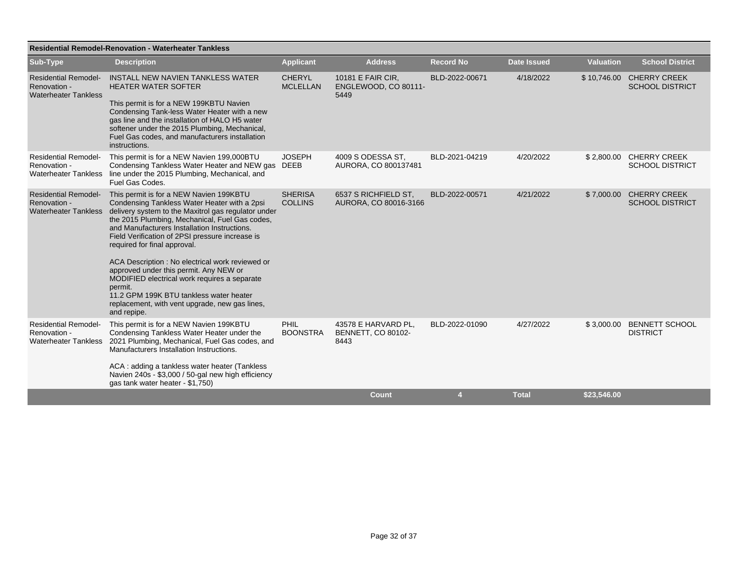| <b>Residential Remodel-Renovation - Waterheater Tankless</b>               |                                                                                                                                                                                                                                                                                                                                                                                                                                                                                                                                                                                                                |                                  |                                                          |                  |                    |                  |                                                   |
|----------------------------------------------------------------------------|----------------------------------------------------------------------------------------------------------------------------------------------------------------------------------------------------------------------------------------------------------------------------------------------------------------------------------------------------------------------------------------------------------------------------------------------------------------------------------------------------------------------------------------------------------------------------------------------------------------|----------------------------------|----------------------------------------------------------|------------------|--------------------|------------------|---------------------------------------------------|
| Sub-Type                                                                   | <b>Description</b>                                                                                                                                                                                                                                                                                                                                                                                                                                                                                                                                                                                             | <b>Applicant</b>                 | <b>Address</b>                                           | <b>Record No</b> | <b>Date Issued</b> | <b>Valuation</b> | <b>School District</b>                            |
| <b>Residential Remodel-</b><br>Renovation -<br><b>Waterheater Tankless</b> | INSTALL NEW NAVIEN TANKLESS WATER<br><b>HEATER WATER SOFTER</b><br>This permit is for a NEW 199KBTU Navien<br>Condensing Tank-less Water Heater with a new<br>gas line and the installation of HALO H5 water<br>softener under the 2015 Plumbing, Mechanical,<br>Fuel Gas codes, and manufacturers installation<br>instructions.                                                                                                                                                                                                                                                                               | <b>CHERYL</b><br><b>MCLELLAN</b> | 10181 E FAIR CIR,<br>ENGLEWOOD, CO 80111-<br>5449        | BLD-2022-00671   | 4/18/2022          | \$10,746.00      | <b>CHERRY CREEK</b><br><b>SCHOOL DISTRICT</b>     |
| <b>Residential Remodel-</b><br>Renovation -                                | This permit is for a NEW Navien 199,000BTU<br>Condensing Tankless Water Heater and NEW gas DEEB<br>Waterheater Tankless line under the 2015 Plumbing, Mechanical, and<br>Fuel Gas Codes.                                                                                                                                                                                                                                                                                                                                                                                                                       | <b>JOSEPH</b>                    | 4009 S ODESSA ST.<br>AURORA, CO 800137481                | BLD-2021-04219   | 4/20/2022          |                  | \$2,800.00 CHERRY CREEK<br><b>SCHOOL DISTRICT</b> |
| <b>Residential Remodel-</b><br>Renovation -                                | This permit is for a NEW Navien 199KBTU<br>Condensing Tankless Water Heater with a 2psi<br>Waterheater Tankless delivery system to the Maxitrol gas regulator under<br>the 2015 Plumbing, Mechanical, Fuel Gas codes,<br>and Manufacturers Installation Instructions.<br>Field Verification of 2PSI pressure increase is<br>required for final approval.<br>ACA Description : No electrical work reviewed or<br>approved under this permit. Any NEW or<br>MODIFIED electrical work requires a separate<br>permit.<br>11.2 GPM 199K BTU tankless water heater<br>replacement, with vent upgrade, new gas lines, | <b>SHERISA</b><br><b>COLLINS</b> | 6537 S RICHFIELD ST.<br>AURORA, CO 80016-3166            | BLD-2022-00571   | 4/21/2022          | \$7,000.00       | <b>CHERRY CREEK</b><br><b>SCHOOL DISTRICT</b>     |
| <b>Residential Remodel-</b><br>Renovation -                                | and repipe.<br>This permit is for a NEW Navien 199KBTU<br>Condensing Tankless Water Heater under the<br>Waterheater Tankless 2021 Plumbing, Mechanical, Fuel Gas codes, and<br>Manufacturers Installation Instructions.<br>ACA: adding a tankless water heater (Tankless)<br>Navien 240s - \$3,000 / 50-gal new high efficiency<br>gas tank water heater - \$1,750)                                                                                                                                                                                                                                            | PHIL<br><b>BOONSTRA</b>          | 43578 E HARVARD PL,<br><b>BENNETT, CO 80102-</b><br>8443 | BLD-2022-01090   | 4/27/2022          | \$3,000.00       | <b>BENNETT SCHOOL</b><br><b>DISTRICT</b>          |
|                                                                            |                                                                                                                                                                                                                                                                                                                                                                                                                                                                                                                                                                                                                |                                  | <b>Count</b>                                             |                  | <b>Total</b>       | \$23,546.00      |                                                   |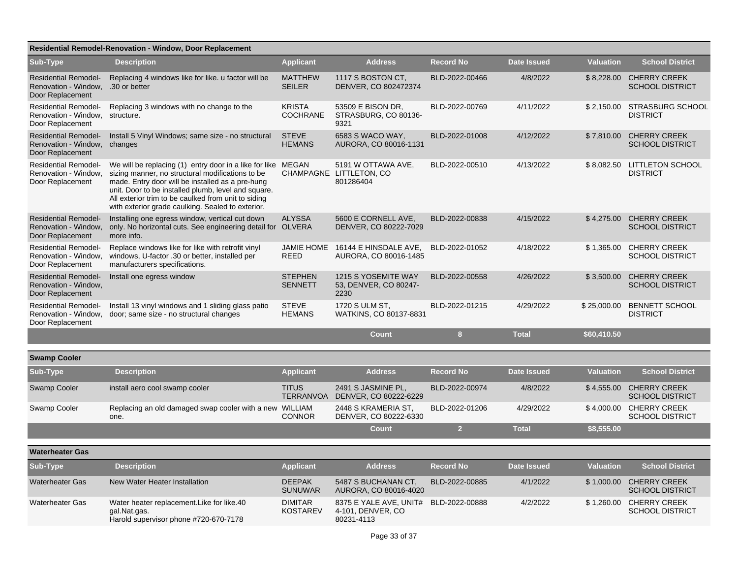| <b>Residential Remodel-Renovation - Window, Door Replacement</b>        |                                                                                                                                                                                                                                                                                                                                         |                                   |                                                            |                  |                    |                  |                                                   |
|-------------------------------------------------------------------------|-----------------------------------------------------------------------------------------------------------------------------------------------------------------------------------------------------------------------------------------------------------------------------------------------------------------------------------------|-----------------------------------|------------------------------------------------------------|------------------|--------------------|------------------|---------------------------------------------------|
| Sub-Type                                                                | <b>Description</b>                                                                                                                                                                                                                                                                                                                      | <b>Applicant</b>                  | <b>Address</b>                                             | <b>Record No</b> | <b>Date Issued</b> | <b>Valuation</b> | <b>School District</b>                            |
| <b>Residential Remodel-</b><br>Renovation - Window,<br>Door Replacement | Replacing 4 windows like for like. u factor will be<br>.30 or better                                                                                                                                                                                                                                                                    | <b>MATTHEW</b><br><b>SEILER</b>   | 1117 S BOSTON CT.<br>DENVER, CO 802472374                  | BLD-2022-00466   | 4/8/2022           | \$8,228.00       | <b>CHERRY CREEK</b><br><b>SCHOOL DISTRICT</b>     |
| <b>Residential Remodel-</b><br>Renovation - Window,<br>Door Replacement | Replacing 3 windows with no change to the<br>structure.                                                                                                                                                                                                                                                                                 | <b>KRISTA</b><br><b>COCHRANE</b>  | 53509 E BISON DR,<br>STRASBURG, CO 80136-<br>9321          | BLD-2022-00769   | 4/11/2022          |                  | \$2,150.00 STRASBURG SCHOOL<br><b>DISTRICT</b>    |
| <b>Residential Remodel-</b><br>Renovation - Window,<br>Door Replacement | Install 5 Vinyl Windows; same size - no structural<br>changes                                                                                                                                                                                                                                                                           | <b>STEVE</b><br><b>HEMANS</b>     | 6583 S WACO WAY,<br>AURORA, CO 80016-1131                  | BLD-2022-01008   | 4/12/2022          | \$7,810.00       | <b>CHERRY CREEK</b><br><b>SCHOOL DISTRICT</b>     |
| <b>Residential Remodel-</b><br>Renovation - Window.<br>Door Replacement | We will be replacing (1) entry door in a like for like MEGAN<br>sizing manner, no structural modifications to be<br>made. Entry door will be installed as a pre-hung<br>unit. Door to be installed plumb, level and square.<br>All exterior trim to be caulked from unit to siding<br>with exterior grade caulking. Sealed to exterior. |                                   | 5191 W OTTAWA AVE,<br>CHAMPAGNE LITTLETON, CO<br>801286404 | BLD-2022-00510   | 4/13/2022          |                  | \$8,082.50 LITTLETON SCHOOL<br><b>DISTRICT</b>    |
| <b>Residential Remodel-</b><br>Renovation - Window,<br>Door Replacement | Installing one egress window, vertical cut down<br>only. No horizontal cuts. See engineering detail for OLVERA<br>more info.                                                                                                                                                                                                            | <b>ALYSSA</b>                     | 5600 E CORNELL AVE,<br>DENVER, CO 80222-7029               | BLD-2022-00838   | 4/15/2022          | \$4,275.00       | <b>CHERRY CREEK</b><br><b>SCHOOL DISTRICT</b>     |
| <b>Residential Remodel-</b><br>Renovation - Window,<br>Door Replacement | Replace windows like for like with retrofit vinyl<br>windows, U-factor .30 or better, installed per<br>manufacturers specifications.                                                                                                                                                                                                    | <b>JAMIE HOME</b><br><b>REED</b>  | 16144 E HINSDALE AVE.<br>AURORA, CO 80016-1485             | BLD-2022-01052   | 4/18/2022          | \$1,365.00       | <b>CHERRY CREEK</b><br><b>SCHOOL DISTRICT</b>     |
| <b>Residential Remodel-</b><br>Renovation - Window,<br>Door Replacement | Install one egress window                                                                                                                                                                                                                                                                                                               | <b>STEPHEN</b><br><b>SENNETT</b>  | 1215 S YOSEMITE WAY<br>53, DENVER, CO 80247-<br>2230       | BLD-2022-00558   | 4/26/2022          | \$3,500.00       | <b>CHERRY CREEK</b><br><b>SCHOOL DISTRICT</b>     |
| <b>Residential Remodel-</b><br>Renovation - Window,<br>Door Replacement | Install 13 vinyl windows and 1 sliding glass patio<br>door; same size - no structural changes                                                                                                                                                                                                                                           | <b>STEVE</b><br><b>HEMANS</b>     | 1720 S ULM ST,<br>WATKINS, CO 80137-8831                   | BLD-2022-01215   | 4/29/2022          | \$25,000.00      | <b>BENNETT SCHOOL</b><br><b>DISTRICT</b>          |
|                                                                         |                                                                                                                                                                                                                                                                                                                                         |                                   | <b>Count</b>                                               | 8 <sup>2</sup>   | <b>Total</b>       | \$60,410.50      |                                                   |
| <b>Swamp Cooler</b>                                                     |                                                                                                                                                                                                                                                                                                                                         |                                   |                                                            |                  |                    |                  |                                                   |
| <b>Sub-Type</b>                                                         | <b>Description</b>                                                                                                                                                                                                                                                                                                                      | <b>Applicant</b>                  | <b>Address</b>                                             | <b>Record No</b> | <b>Date Issued</b> | <b>Valuation</b> | <b>School District</b>                            |
| Swamp Cooler                                                            | install aero cool swamp cooler                                                                                                                                                                                                                                                                                                          | <b>TITUS</b><br><b>TERRANVOA</b>  | 2491 S JASMINE PL,<br>DENVER, CO 80222-6229                | BLD-2022-00974   | 4/8/2022           | \$4,555.00       | <b>CHERRY CREEK</b><br><b>SCHOOL DISTRICT</b>     |
| Swamp Cooler                                                            | Replacing an old damaged swap cooler with a new WILLIAM<br>one.                                                                                                                                                                                                                                                                         | <b>CONNOR</b>                     | 2448 S KRAMERIA ST,<br>DENVER, CO 80222-6330               | BLD-2022-01206   | 4/29/2022          | \$4,000.00       | <b>CHERRY CREEK</b><br><b>SCHOOL DISTRICT</b>     |
|                                                                         |                                                                                                                                                                                                                                                                                                                                         |                                   | <b>Count</b>                                               | $\overline{2}$   | <b>Total</b>       | \$8,555.00       |                                                   |
| <b>Waterheater Gas</b>                                                  |                                                                                                                                                                                                                                                                                                                                         |                                   |                                                            |                  |                    |                  |                                                   |
| <b>Sub-Type</b>                                                         | <b>Description</b>                                                                                                                                                                                                                                                                                                                      | <b>Applicant</b>                  | <b>Address</b>                                             | <b>Record No</b> | <b>Date Issued</b> | <b>Valuation</b> | <b>School District</b>                            |
| <b>Waterheater Gas</b>                                                  | New Water Heater Installation                                                                                                                                                                                                                                                                                                           | <b>DEEPAK</b><br><b>SUNUWAR</b>   | 5487 S BUCHANAN CT.<br>AURORA, CO 80016-4020               | BLD-2022-00885   | 4/1/2022           |                  | \$1,000.00 CHERRY CREEK<br><b>SCHOOL DISTRICT</b> |
| <b>Waterheater Gas</b>                                                  | Water heater replacement. Like for like. 40<br>gal.Nat.gas.<br>Harold supervisor phone #720-670-7178                                                                                                                                                                                                                                    | <b>DIMITAR</b><br><b>KOSTAREV</b> | 8375 E YALE AVE, UNIT#<br>4-101, DENVER, CO<br>80231-4113  | BLD-2022-00888   | 4/2/2022           | \$1,260.00       | <b>CHERRY CREEK</b><br><b>SCHOOL DISTRICT</b>     |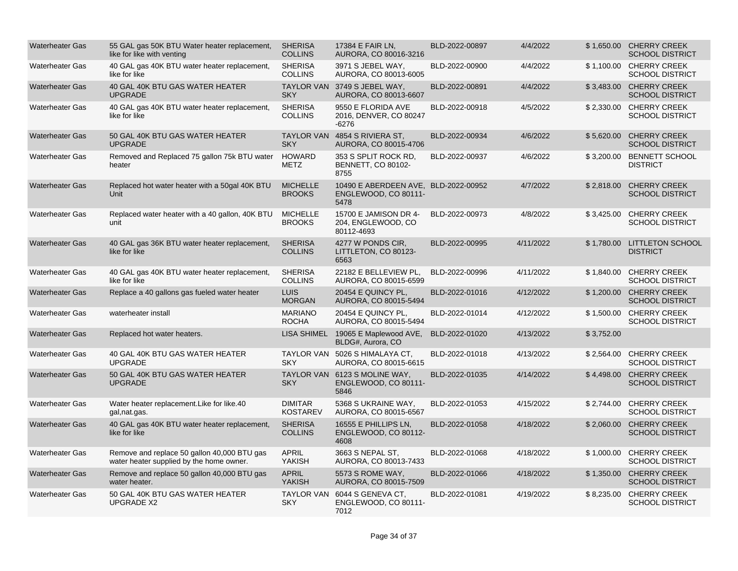| <b>Waterheater Gas</b> | 55 GAL gas 50K BTU Water heater replacement,<br>like for like with venting              | <b>SHERISA</b><br><b>COLLINS</b>  | 17384 E FAIR LN,<br>AURORA, CO 80016-3216                            | BLD-2022-00897 | 4/4/2022  |            | \$1,650.00 CHERRY CREEK<br><b>SCHOOL DISTRICT</b> |
|------------------------|-----------------------------------------------------------------------------------------|-----------------------------------|----------------------------------------------------------------------|----------------|-----------|------------|---------------------------------------------------|
| <b>Waterheater Gas</b> | 40 GAL gas 40K BTU water heater replacement,<br>like for like                           | <b>SHERISA</b><br><b>COLLINS</b>  | 3971 S JEBEL WAY,<br>AURORA, CO 80013-6005                           | BLD-2022-00900 | 4/4/2022  |            | \$1,100.00 CHERRY CREEK<br><b>SCHOOL DISTRICT</b> |
| <b>Waterheater Gas</b> | 40 GAL 40K BTU GAS WATER HEATER<br><b>UPGRADE</b>                                       | <b>SKY</b>                        | TAYLOR VAN 3749 S JEBEL WAY,<br>AURORA, CO 80013-6607                | BLD-2022-00891 | 4/4/2022  |            | \$3,483.00 CHERRY CREEK<br><b>SCHOOL DISTRICT</b> |
| <b>Waterheater Gas</b> | 40 GAL gas 40K BTU water heater replacement,<br>like for like                           | <b>SHERISA</b><br><b>COLLINS</b>  | 9550 E FLORIDA AVE<br>2016, DENVER, CO 80247<br>$-6276$              | BLD-2022-00918 | 4/5/2022  |            | \$2,330.00 CHERRY CREEK<br><b>SCHOOL DISTRICT</b> |
| <b>Waterheater Gas</b> | 50 GAL 40K BTU GAS WATER HEATER<br><b>UPGRADE</b>                                       | <b>SKY</b>                        | TAYLOR VAN 4854 S RIVIERA ST.<br>AURORA, CO 80015-4706               | BLD-2022-00934 | 4/6/2022  |            | \$5,620.00 CHERRY CREEK<br><b>SCHOOL DISTRICT</b> |
| <b>Waterheater Gas</b> | Removed and Replaced 75 gallon 75k BTU water<br>heater                                  | <b>HOWARD</b><br><b>METZ</b>      | 353 S SPLIT ROCK RD.<br><b>BENNETT, CO 80102-</b><br>8755            | BLD-2022-00937 | 4/6/2022  |            | \$3.200.00 BENNETT SCHOOL<br><b>DISTRICT</b>      |
| <b>Waterheater Gas</b> | Replaced hot water heater with a 50gal 40K BTU<br>Unit                                  | <b>MICHELLE</b><br><b>BROOKS</b>  | 10490 E ABERDEEN AVE, BLD-2022-00952<br>ENGLEWOOD, CO 80111-<br>5478 |                | 4/7/2022  |            | \$2.818.00 CHERRY CREEK<br><b>SCHOOL DISTRICT</b> |
| <b>Waterheater Gas</b> | Replaced water heater with a 40 gallon, 40K BTU<br>unit                                 | <b>MICHELLE</b><br><b>BROOKS</b>  | 15700 E JAMISON DR 4-<br>204, ENGLEWOOD, CO<br>80112-4693            | BLD-2022-00973 | 4/8/2022  |            | \$3,425.00 CHERRY CREEK<br><b>SCHOOL DISTRICT</b> |
| <b>Waterheater Gas</b> | 40 GAL gas 36K BTU water heater replacement,<br>like for like                           | <b>SHERISA</b><br><b>COLLINS</b>  | 4277 W PONDS CIR.<br>LITTLETON, CO 80123-<br>6563                    | BLD-2022-00995 | 4/11/2022 | \$1,780.00 | LITTLETON SCHOOL<br><b>DISTRICT</b>               |
| <b>Waterheater Gas</b> | 40 GAL gas 40K BTU water heater replacement,<br>like for like                           | <b>SHERISA</b><br><b>COLLINS</b>  | 22182 E BELLEVIEW PL,<br>AURORA, CO 80015-6599                       | BLD-2022-00996 | 4/11/2022 | \$1,840.00 | <b>CHERRY CREEK</b><br><b>SCHOOL DISTRICT</b>     |
| <b>Waterheater Gas</b> | Replace a 40 gallons gas fueled water heater                                            | <b>LUIS</b><br><b>MORGAN</b>      | 20454 E QUINCY PL,<br>AURORA, CO 80015-5494                          | BLD-2022-01016 | 4/12/2022 | \$1,200.00 | <b>CHERRY CREEK</b><br><b>SCHOOL DISTRICT</b>     |
| <b>Waterheater Gas</b> | waterheater install                                                                     | <b>MARIANO</b><br><b>ROCHA</b>    | 20454 E QUINCY PL,<br>AURORA, CO 80015-5494                          | BLD-2022-01014 | 4/12/2022 |            | \$1,500.00 CHERRY CREEK<br><b>SCHOOL DISTRICT</b> |
| <b>Waterheater Gas</b> | Replaced hot water heaters.                                                             |                                   | LISA SHIMEL 19065 E Maplewood AVE,<br>BLDG#, Aurora, CO              | BLD-2022-01020 | 4/13/2022 | \$3,752.00 |                                                   |
| <b>Waterheater Gas</b> | 40 GAL 40K BTU GAS WATER HEATER<br><b>UPGRADE</b>                                       | <b>SKY</b>                        | TAYLOR VAN 5026 S HIMALAYA CT.<br>AURORA, CO 80015-6615              | BLD-2022-01018 | 4/13/2022 |            | \$2,564.00 CHERRY CREEK<br><b>SCHOOL DISTRICT</b> |
| <b>Waterheater Gas</b> | 50 GAL 40K BTU GAS WATER HEATER<br><b>UPGRADE</b>                                       | <b>SKY</b>                        | TAYLOR VAN 6123 S MOLINE WAY,<br>ENGLEWOOD, CO 80111-<br>5846        | BLD-2022-01035 | 4/14/2022 |            | \$4,498.00 CHERRY CREEK<br><b>SCHOOL DISTRICT</b> |
| <b>Waterheater Gas</b> | Water heater replacement. Like for like. 40<br>gal, nat.gas.                            | <b>DIMITAR</b><br><b>KOSTAREV</b> | 5368 S UKRAINE WAY,<br>AURORA, CO 80015-6567                         | BLD-2022-01053 | 4/15/2022 |            | \$2,744.00 CHERRY CREEK<br><b>SCHOOL DISTRICT</b> |
| <b>Waterheater Gas</b> | 40 GAL gas 40K BTU water heater replacement,<br>like for like                           | <b>SHERISA</b><br><b>COLLINS</b>  | 16555 E PHILLIPS LN,<br>ENGLEWOOD, CO 80112-<br>4608                 | BLD-2022-01058 | 4/18/2022 |            | \$2,060.00 CHERRY CREEK<br><b>SCHOOL DISTRICT</b> |
| <b>Waterheater Gas</b> | Remove and replace 50 gallon 40,000 BTU gas<br>water heater supplied by the home owner. | APRIL<br>YAKISH                   | 3663 S NEPAL ST,<br>AURORA, CO 80013-7433                            | BLD-2022-01068 | 4/18/2022 |            | \$1,000.00 CHERRY CREEK<br><b>SCHOOL DISTRICT</b> |
| <b>Waterheater Gas</b> | Remove and replace 50 gallon 40,000 BTU gas<br>water heater.                            | <b>APRIL</b><br><b>YAKISH</b>     | 5573 S ROME WAY,<br>AURORA, CO 80015-7509                            | BLD-2022-01066 | 4/18/2022 |            | \$1,350.00 CHERRY CREEK<br><b>SCHOOL DISTRICT</b> |
| <b>Waterheater Gas</b> | 50 GAL 40K BTU GAS WATER HEATER<br><b>UPGRADE X2</b>                                    | <b>SKY</b>                        | TAYLOR VAN 6044 S GENEVA CT,<br>ENGLEWOOD, CO 80111-<br>7012         | BLD-2022-01081 | 4/19/2022 |            | \$8,235.00 CHERRY CREEK<br><b>SCHOOL DISTRICT</b> |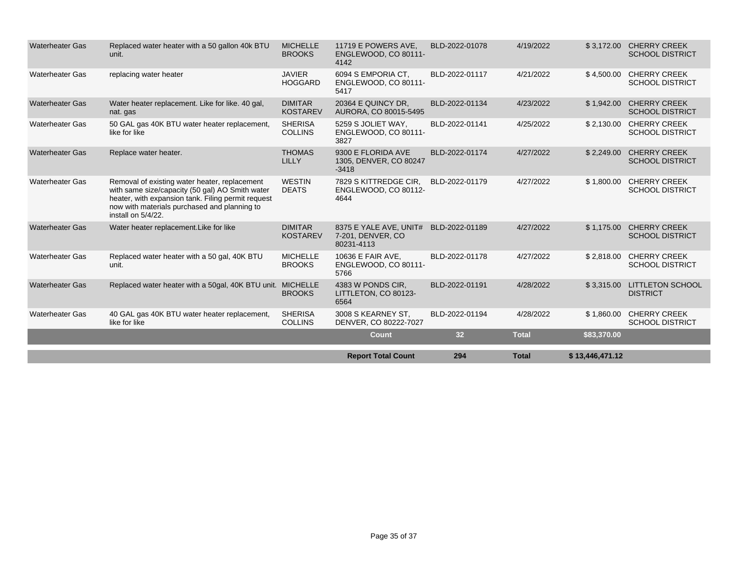|                        |                                                                                                                                                                                                                              |                                   | <b>Report Total Count</b>                                 | 294            | <b>Total</b> | \$13,446,471.12 |                                                   |
|------------------------|------------------------------------------------------------------------------------------------------------------------------------------------------------------------------------------------------------------------------|-----------------------------------|-----------------------------------------------------------|----------------|--------------|-----------------|---------------------------------------------------|
|                        |                                                                                                                                                                                                                              |                                   | <b>Count</b>                                              | 32             | <b>Total</b> | \$83,370.00     |                                                   |
| <b>Waterheater Gas</b> | 40 GAL gas 40K BTU water heater replacement,<br>like for like                                                                                                                                                                | <b>SHERISA</b><br><b>COLLINS</b>  | 3008 S KEARNEY ST.<br>DENVER, CO 80222-7027               | BLD-2022-01194 | 4/28/2022    | \$1,860.00      | <b>CHERRY CREEK</b><br><b>SCHOOL DISTRICT</b>     |
| <b>Waterheater Gas</b> | Replaced water heater with a 50gal, 40K BTU unit. MICHELLE                                                                                                                                                                   | <b>BROOKS</b>                     | 4383 W PONDS CIR.<br>LITTLETON, CO 80123-<br>6564         | BLD-2022-01191 | 4/28/2022    | \$3,315.00      | <b>LITTLETON SCHOOL</b><br><b>DISTRICT</b>        |
| <b>Waterheater Gas</b> | Replaced water heater with a 50 gal, 40K BTU<br>unit.                                                                                                                                                                        | <b>MICHELLE</b><br><b>BROOKS</b>  | 10636 E FAIR AVE,<br>ENGLEWOOD, CO 80111-<br>5766         | BLD-2022-01178 | 4/27/2022    | \$2,818.00      | <b>CHERRY CREEK</b><br><b>SCHOOL DISTRICT</b>     |
| <b>Waterheater Gas</b> | Water heater replacement.Like for like                                                                                                                                                                                       | <b>DIMITAR</b><br><b>KOSTAREV</b> | 8375 E YALE AVE, UNIT#<br>7-201, DENVER, CO<br>80231-4113 | BLD-2022-01189 | 4/27/2022    | \$1,175.00      | <b>CHERRY CREEK</b><br><b>SCHOOL DISTRICT</b>     |
| <b>Waterheater Gas</b> | Removal of existing water heater, replacement<br>with same size/capacity (50 gal) AO Smith water<br>heater, with expansion tank. Filing permit request<br>now with materials purchased and planning to<br>install on 5/4/22. | <b>WESTIN</b><br><b>DEATS</b>     | 7829 S KITTREDGE CIR.<br>ENGLEWOOD, CO 80112-<br>4644     | BLD-2022-01179 | 4/27/2022    | \$1,800.00      | <b>CHERRY CREEK</b><br><b>SCHOOL DISTRICT</b>     |
| <b>Waterheater Gas</b> | Replace water heater.                                                                                                                                                                                                        | <b>THOMAS</b><br>LILLY            | 9300 E FLORIDA AVE<br>1305, DENVER, CO 80247<br>$-3418$   | BLD-2022-01174 | 4/27/2022    | \$2,249.00      | <b>CHERRY CREEK</b><br><b>SCHOOL DISTRICT</b>     |
| <b>Waterheater Gas</b> | 50 GAL gas 40K BTU water heater replacement,<br>like for like                                                                                                                                                                | <b>SHERISA</b><br><b>COLLINS</b>  | 5259 S JOLIET WAY.<br>ENGLEWOOD, CO 80111-<br>3827        | BLD-2022-01141 | 4/25/2022    | \$2,130.00      | <b>CHERRY CREEK</b><br><b>SCHOOL DISTRICT</b>     |
| <b>Waterheater Gas</b> | Water heater replacement. Like for like. 40 gal,<br>nat. gas                                                                                                                                                                 | <b>DIMITAR</b><br><b>KOSTAREV</b> | 20364 E QUINCY DR.<br>AURORA, CO 80015-5495               | BLD-2022-01134 | 4/23/2022    | \$1,942.00      | <b>CHERRY CREEK</b><br><b>SCHOOL DISTRICT</b>     |
| <b>Waterheater Gas</b> | replacing water heater                                                                                                                                                                                                       | <b>JAVIER</b><br><b>HOGGARD</b>   | 6094 S EMPORIA CT.<br>ENGLEWOOD, CO 80111-<br>5417        | BLD-2022-01117 | 4/21/2022    | \$4,500.00      | <b>CHERRY CREEK</b><br><b>SCHOOL DISTRICT</b>     |
| <b>Waterheater Gas</b> | Replaced water heater with a 50 gallon 40k BTU<br>unit.                                                                                                                                                                      | <b>MICHELLE</b><br><b>BROOKS</b>  | 11719 E POWERS AVE,<br>ENGLEWOOD, CO 80111-<br>4142       | BLD-2022-01078 | 4/19/2022    |                 | \$3,172.00 CHERRY CREEK<br><b>SCHOOL DISTRICT</b> |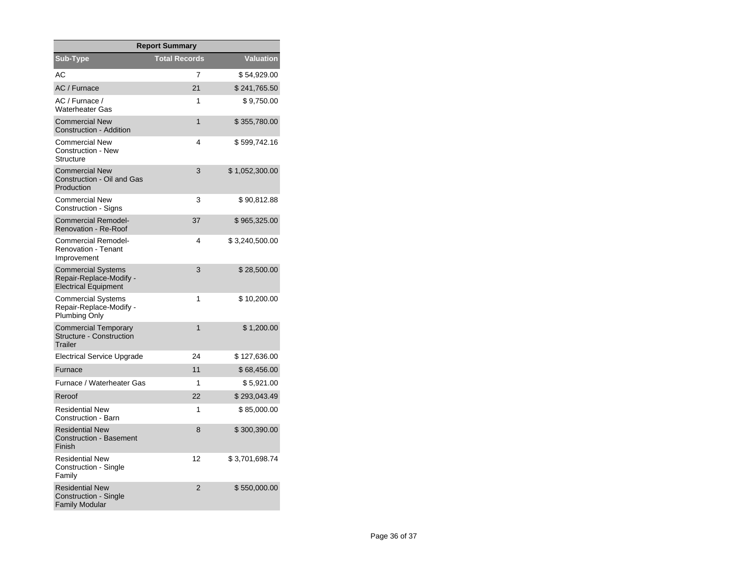| <b>Report Summary</b>                                                               |                      |                  |  |  |  |  |  |
|-------------------------------------------------------------------------------------|----------------------|------------------|--|--|--|--|--|
| Sub-Type                                                                            | <b>Total Records</b> | <b>Valuation</b> |  |  |  |  |  |
| AC                                                                                  | 7                    | \$54,929.00      |  |  |  |  |  |
| AC / Furnace                                                                        | 21                   | \$241,765.50     |  |  |  |  |  |
| AC / Furnace /<br><b>Waterheater Gas</b>                                            | 1                    | \$9,750.00       |  |  |  |  |  |
| <b>Commercial New</b><br><b>Construction - Addition</b>                             | $\mathbf{1}$         | \$355,780.00     |  |  |  |  |  |
| Commercial New<br>Construction - New<br><b>Structure</b>                            | 4                    | \$599,742.16     |  |  |  |  |  |
| <b>Commercial New</b><br>Construction - Oil and Gas<br>Production                   | 3                    | \$1,052,300.00   |  |  |  |  |  |
| <b>Commercial New</b><br>Construction - Signs                                       | 3                    | \$90,812.88      |  |  |  |  |  |
| <b>Commercial Remodel-</b><br><b>Renovation - Re-Roof</b>                           | 37                   | \$965,325.00     |  |  |  |  |  |
| <b>Commercial Remodel-</b><br><b>Renovation - Tenant</b><br>Improvement             | 4                    | \$3,240,500.00   |  |  |  |  |  |
| <b>Commercial Systems</b><br>Repair-Replace-Modify -<br><b>Electrical Equipment</b> | 3                    | \$28,500.00      |  |  |  |  |  |
| <b>Commercial Systems</b><br>Repair-Replace-Modify -<br><b>Plumbing Only</b>        | 1                    | \$ 10,200.00     |  |  |  |  |  |
| <b>Commercial Temporary</b><br><b>Structure - Construction</b><br>Trailer           | 1                    | \$1,200.00       |  |  |  |  |  |
| Electrical Service Upgrade                                                          | 24                   | \$127,636.00     |  |  |  |  |  |
| Furnace                                                                             | 11                   | \$68,456.00      |  |  |  |  |  |
| Furnace / Waterheater Gas                                                           | 1                    | \$5,921.00       |  |  |  |  |  |
| Reroof                                                                              | 22                   | \$293,043.49     |  |  |  |  |  |
| <b>Residential New</b><br>Construction - Barn                                       | 1                    | \$85,000.00      |  |  |  |  |  |
| <b>Residential New</b><br><b>Construction - Basement</b><br>Finish                  | 8                    | \$300,390.00     |  |  |  |  |  |
| <b>Residential New</b><br>Construction - Single<br>Family                           | 12                   | \$3,701,698.74   |  |  |  |  |  |
| <b>Residential New</b><br>Construction - Single<br><b>Family Modular</b>            | $\overline{2}$       | \$550,000.00     |  |  |  |  |  |